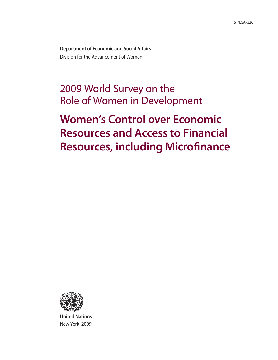**Department of Economic and Social Affairs** Division for the Advancement of Women

# 2009 World Survey on the Role of Women in Development

# **Women's Control over Economic Resources and Access to Financial Resources, including Microfinance**



**United Nations** New York, 2009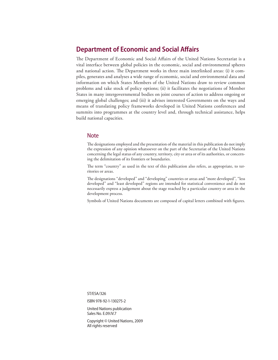## **Department of Economic and Social Affairs**

The Department of Economic and Social Affairs of the United Nations Secretariat is a vital interface between global policies in the economic, social and environmental spheres and national action. The Department works in three main interlinked areas: (i) it compiles, generates and analyses a wide range of economic, social and environmental data and information on which States Members of the United Nations draw to review common problems and take stock of policy options; (ii) it facilitates the negotiations of Member States in many intergovernmental bodies on joint courses of action to address ongoing or emerging global challenges; and (iii) it advises interested Governments on the ways and means of translating policy frameworks developed in United Nations conferences and summits into programmes at the country level and, through technical assistance, helps build national capacities.

### Note

The designations employed and the presentation of the material in this publication do not imply the expression of any opinion whatsoever on the part of the Secretariat of the United Nations concerning the legal status of any country, territory, city or area or of its authorities, or concerning the delimitation of its frontiers or boundaries.

The term "country" as used in the text of this publication also refers, as appropriate, to territories or areas.

The designations "developed" and "developing" countries or areas and "more developed", "less developed" and "least developed" regions are intended for statistical convenience and do not necessarily express a judgement about the stage reached by a particular country or area in the development process.

Symbols of United Nations documents are composed of capital letters combined with figures.

ST/ESA/326

ISBN 978-92-1-130275-2

United Nations publication Sales No. E.09.IV.7

Copyright © United Nations, 2009 All rights reserved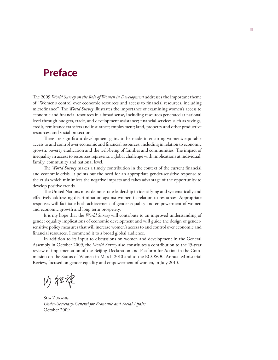# **Preface**

The 2009 *World Survey on the Role of Women in Development* addresses the important theme of "Women's control over economic resources and access to financial resources, including microfinance". The *World Survey* illustrates the importance of examining women's access to economic and financial resources in a broad sense, including resources generated at national level through budgets, trade, and development assistance; financial services such as savings, credit, remittance transfers and insurance; employment; land, property and other productive resources; and social protection.

There are significant development gains to be made in ensuring women's equitable access to and control over economic and financial resources, including in relation to economic growth, poverty eradication and the well-being of families and communities. The impact of inequality in access to resources represents a global challenge with implications at individual, family, community and national level.

The *World Survey* makes a timely contribution in the context of the current financial and economic crisis. It points out the need for an appropriate gender-sensitive response to the crisis which minimizes the negative impacts and takes advantage of the opportunity to develop positive trends.

The United Nations must demonstrate leadership in identifying and systematically and effectively addressing discrimination against women in relation to resources. Appropriate responses will facilitate both achievement of gender equality and empowerment of women and economic growth and long term prosperity.

It is my hope that the *World Survey* will contribute to an improved understanding of gender equality implications of economic development and will guide the design of gendersensitive policy measures that will increase women's access to and control over economic and financial resources. I commend it to a broad global audience.

In addition to its input to discussions on women and development in the General Assembly in October 2009, the *World Survey* also constitutes a contribution to the 15-year review of implementation of the Beijing Declaration and Platform for Action in the Commission on the Status of Women in March 2010 and to the ECOSOC Annual Ministerial Review, focused on gender equality and empowerment of women, in July 2010.

内细染

Sha Zukang *Under-Secretary-General for Economic and Social Affairs* October 2009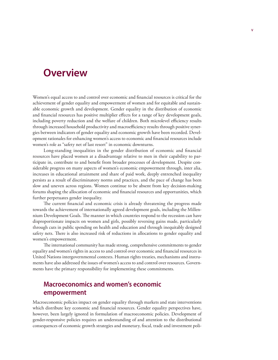# **Overview**

Women's equal access to and control over economic and financial resources is critical for the achievement of gender equality and empowerment of women and for equitable and sustainable economic growth and development. Gender equality in the distribution of economic and financial resources has positive multiplier effects for a range of key development goals, including poverty reduction and the welfare of children. Both microlevel efficiency results through increased household productivity and macroefficiency results through positive synergies between indicators of gender equality and economic growth have been recorded. Development rationales for enhancing women's access to economic and financial resources include women's role as "safety net of last resort" in economic downturns.

Long-standing inequalities in the gender distribution of economic and financial resources have placed women at a disadvantage relative to men in their capability to participate in, contribute to and benefit from broader processes of development. Despite considerable progress on many aspects of women's economic empowerment through, inter alia, increases in educational attainment and share of paid work, deeply entrenched inequality persists as a result of discriminatory norms and practices, and the pace of change has been slow and uneven across regions. Women continue to be absent from key decision-making forums shaping the allocation of economic and financial resources and opportunities, which further perpetuates gender inequality.

The current financial and economic crisis is already threatening the progress made towards the achievement of internationally agreed development goals, including the Millennium Development Goals. The manner in which countries respond to the recession can have disproportionate impacts on women and girls, possibly reversing gains made, particularly through cuts in public spending on health and education and through inequitably designed safety nets. There is also increased risk of reductions in allocations to gender equality and women's empowerment.

The international community has made strong, comprehensive commitments to gender equality and women's rights in access to and control over economic and financial resources in United Nations intergovernmental contexts. Human rights treaties, mechanisms and instruments have also addressed the issues of women's access to and control over resources. Governments have the primary responsibility for implementing these commitments.

## **Macroeconomics and women's economic empowerment**

Macroeconomic policies impact on gender equality through markets and state interventions which distribute key economic and financial resources. Gender equality perspectives have, however, been largely ignored in formulation of macroeconomic policies. Development of gender-responsive policies requires an understanding of and attention to the distributional consequences of economic growth strategies and monetary, fiscal, trade and investment poli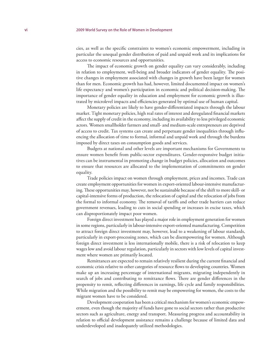cies, as well as the specific constraints to women's economic empowerment, including in particular the unequal gender distribution of paid and unpaid work and its implications for access to economic resources and opportunities.

The impact of economic growth on gender equality can vary considerably, including in relation to employment, well-being and broader indicators of gender equality. The positive changes in employment associated with changes in growth have been larger for women than for men. Economic growth has had, however, limited documented impact on women's life expectancy and women's participation in economic and political decision-making. The importance of gender equality in education and employment for economic growth is illustrated by microlevel impacts and efficiencies generated by optimal use of human capital.

Monetary policies are likely to have gender-differentiated impacts through the labour market. Tight monetary policies, high real rates of interest and deregulated financial markets affect the supply of credit in the economy, including its availability to less privileged economic actors. Women smallholder farmers and small- and medium-scale entrepreneurs are deprived of access to credit. Tax systems can create and perpetuate gender inequalities through influencing the allocation of time to formal, informal and unpaid work and through the burdens imposed by direct taxes on consumption goods and services.

Budgets at national and other levels are important mechanisms for Governments to ensure women benefit from public-sector expenditures. Gender-responsive budget initiatives can be instrumental in promoting change in budget policies, allocation and outcomes to ensure that resources are allocated to the implementation of commitments on gender equality.

Trade policies impact on women through employment, prices and incomes. Trade can create employment opportunities for women in export-oriented labour-intensive manufacturing. These opportunities may, however, not be sustainable because of the shift to more skill- or capital-intensive forms of production, the relocation of capital and the relocation of jobs from the formal to informal economy. The removal of tariffs and other trade barriers can reduce government revenues, leading to cuts in social spending or increases in excise taxes, which can disproportionately impact poor women.

Foreign direct investment has played a major role in employment generation for women in some regions, particularly in labour-intensive export-oriented manufacturing. Competition to attract foreign direct investment may, however, lead to a weakening of labour standards, particularly in export-processing zones, which can be disempowering for women. Although foreign direct investment is less internationally mobile, there is a risk of relocation to keep wages low and avoid labour regulation, particularly in sectors with low levels of capital investment where women are primarily located.

Remittances are expected to remain relatively resilient during the current financial and economic crisis relative to other categories of resource flows to developing countries. Women make up an increasing percentage of international migrants, migrating independently in search of jobs and contributing to remittance flows. There are gender differences in the propensity to remit, reflecting differences in earnings, life cycle and family responsibilities. While migration and the possibility to remit may be empowering for women, the costs to the migrant women have to be considered.

Development cooperation has been a critical mechanism for women's economic empowerment, even though the majority of funds have gone to social sectors rather than productive sectors such as agriculture, energy and transport. Measuring progress and accountability in relation to official development assistance remains a challenge because of limited data and underdeveloped and inadequately utilized methodologies.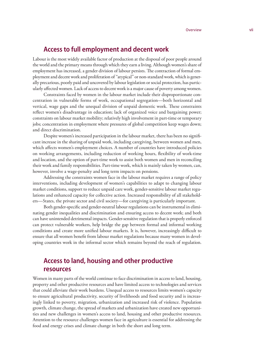## **Access to full employment and decent work**

Labour is the most widely available factor of production at the disposal of poor people around the world and the primary means through which they earn a living. Although women's share of employment has increased, a gender division of labour persists. The contraction of formal employment and decent work and proliferation of "atypical" or non-standard work, which is generally precarious, poorly paid and uncovered by labour legislation or social protection, has particularly affected women. Lack of access to decent work is a major cause of poverty among women.

Constraints faced by women in the labour market include their disproportionate concentration in vulnerable forms of work, occupational segregation—both horizontal and vertical, wage gaps and the unequal division of unpaid domestic work. These constraints reflect women's disadvantage in education; lack of organized voice and bargaining power; constraints on labour market mobility; relatively high involvement in part-time or temporary jobs; concentration in employment where pressures of global competition keep wages down; and direct discrimination.

Despite women's increased participation in the labour market, there has been no significant increase in the sharing of unpaid work, including caregiving, between women and men, which affects women's employment choices. A number of countries have introduced policies on working arrangements, including reduction of working hours, flexibility of work-time and location, and the option of part-time work to assist both women and men in reconciling their work and family responsibilities. Part-time work, which is mainly taken by women, can, however, involve a wage-penalty and long term impacts on pensions.

Addressing the constraints women face in the labour market requires a range of policy interventions, including development of women's capabilities to adapt to changing labour market conditions, support to reduce unpaid care work, gender-sensitive labour market regulations and enhanced capacity for collective action. Increased responsibility of all stakeholders—States, the private sector and civil society—for caregiving is particularly important.

Both gender-specific and gender-neutral labour regulations can be instrumental in eliminating gender inequalities and discrimination and ensuring access to decent work; and both can have unintended detrimental impacts. Gender-sensitive regulation that is properly enforced can protect vulnerable workers, help bridge the gap between formal and informal working conditions and create more unified labour markets. It is, however, increasingly difficult to ensure that all women benefit from labour market regulations because many women in developing countries work in the informal sector which remains beyond the reach of regulation.

## **Access to land, housing and other productive resources**

Women in many parts of the world continue to face discrimination in access to land, housing, property and other productive resources and have limited access to technologies and services that could alleviate their work burdens. Unequal access to resources limits women's capacity to ensure agricultural productivity, security of livelihoods and food security and is increasingly linked to poverty, migration, urbanization and increased risk of violence. Population growth, climate change, the spread of markets and urbanization have created new opportunities and new challenges in women's access to land, housing and other productive resources. Attention to the resource challenges women face in agriculture is essential for addressing the food and energy crises and climate change in both the short and long term.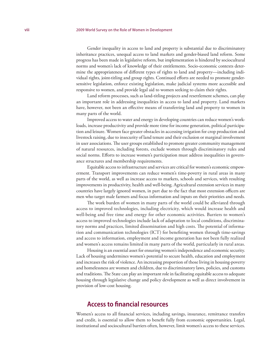Gender inequality in access to land and property is substantial due to discriminatory inheritance practices, unequal access to land markets and gender-biased land reform. Some progress has been made in legislative reform, but implementation is hindered by sociocultural norms and women's lack of knowledge of their entitlements. Socio-economic contexts determine the appropriateness of different types of rights to land and property—including individual rights, joint-titling and group rights. Continued efforts are needed to promote gendersensitive legislation, enforce existing legislation, make judicial systems more accessible and responsive to women, and provide legal aid to women seeking to claim their rights.

Land reform processes, such as land-titling projects and resettlement schemes, can play an important role in addressing inequalities in access to land and property. Land markets have, however, not been an effective means of transferring land and property to women in many parts of the world.

Improved access to water and energy in developing countries can reduce women's workloads, increase productivity and provide more time for income generation, political participation and leisure. Women face greater obstacles in accessing irrigation for crop production and livestock raising, due to insecurity of land tenure and their exclusion or marginal involvement in user associations. The user groups established to promote greater community management of natural resources, including forests, exclude women through discriminatory rules and social norms. Efforts to increase women's participation must address inequalities in governance structures and membership requirements.

Equitable access to infrastructure and services are critical for women's economic empowerment. Transport improvements can reduce women's time-poverty in rural areas in many parts of the world, as well as increase access to markets, schools and services, with resulting improvements in productivity, health and well-being. Agricultural extension services in many countries have largely ignored women, in part due to the fact that most extension officers are men who target male farmers and focus information and inputs on their priorities and needs.

The work burden of women in many parts of the world could be alleviated through access to improved technologies, including electricity, which would increase health and well-being and free time and energy for other economic activities. Barriers to women's access to improved technologies include lack of adaptation to local conditions, discriminatory norms and practices, limited dissemination and high costs. The potential of information and communication technologies (ICT) for benefiting women through time-savings and access to information, employment and income generation has not been fully realized and women's access remains limited in many parts of the world, particularly in rural areas.

Housing is an essential asset for ensuring women's independence and economic security. Lack of housing undermines women's potential to secure health, education and employment and increases the risk of violence. An increasing proportion of those living in housing-poverty and homelessness are women and children, due to discriminatory laws, policies, and customs and traditions. The State can play an important role in facilitating equitable access to adequate housing through legislative change and policy development as well as direct involvement in provision of low-cost housing.

## **Access to financial resources**

Women's access to all financial services, including savings, insurance, remittance transfers and credit, is essential to allow them to benefit fully from economic opportunities. Legal, institutional and sociocultural barriers often, however, limit women's access to these services.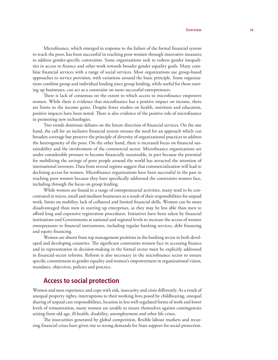Microfinance, which emerged in response to the failure of the formal financial system to reach the poor, has been successful in reaching poor women through innovative measures to address gender-specific constraints. Some organizations seek to redress gender inequalities in access to finance and other work towards broader gender equality goals. Many combine financial services with a range of social services. Most organizations use group-based approaches to service provision, with variations around the basic principle. Some organizations combine group and individual lending since group lending, while useful for those starting up businesses, can act as a constraint on more successful entrepreneurs.

There is lack of consensus on the extent to which access to microfinance empowers women. While there is evidence that microfinance has a positive impact on income, there are limits to the income gains. Despite fewer studies on health, nutrition and education, positive impacts have been noted. There is also evidence of the positive role of microfinance in promoting new technologies.

Two trends dominate debates on the future direction of financial services. On the one hand, the call for an inclusive financial system stresses the need for an approach which can broaden coverage but preserve the principle of diversity of organizational practices to address the heterogeneity of the poor. On the other hand, there is increased focus on financial sustainability and the involvement of the commercial sector. Microfinance organizations are under considerable pressure to become financially sustainable, in part because the potential for mobilizing the savings of poor people around the world has attracted the attention of international investors. Data from several regions suggest that commercialization will lead to declining access for women. Microfinance organizations have been successful in the past in reaching poor women because they have specifically addressed the constraints women face, including through the focus on group lending.

While women are found in a range of entrepreneurial activities, many tend to be concentrated in micro, small and medium businesses as a result of their responsibilities for unpaid work, limits on mobility, lack of collateral and limited financial skills. Women can be more disadvantaged than men in starting up enterprises, as they may be less able than men to afford long and expensive registration procedures. Initiatives have been taken by financial institutions and Governments at national and regional levels to increase the access of women entrepreneurs to financial instruments, including regular banking services, debt financing and equity financing.

Women are absent from top management positions in the banking sector in both developed and developing countries. The significant constraints women face in accessing finance and in representation in decision-making in the formal sector must be explicitly addressed in financial-sector reforms. Reform is also necessary in the microfinance sector to ensure specific commitment to gender equality and women's empowerment in organizational vision, mandates, objectives, policies and practice.

## **Access to social protection**

Women and men experience and cope with risk, insecurity and crisis differently. As a result of unequal property rights, interruptions to their working lives posed by childbearing, unequal sharing of unpaid care responsibilities, location in less well-regulated forms of work and lower levels of remuneration, many women are unable to insure themselves against contingencies arising from old age, ill-health, disability, unemployment and other life crises.

The insecurities generated by global competition, flexible labour markets and recurring financial crises have given rise to strong demands for State support for social protection.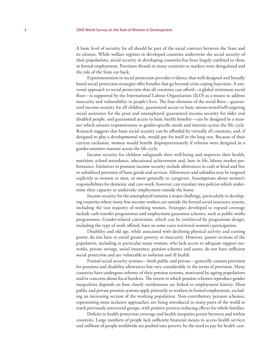A basic level of security for all should be part of the social contract between the State and its citizens. While welfare regimes in developed countries underwrite the social security of their populations, social security in developing countries has been largely confined to those in formal employment. Provision shrank in many countries as markets were deregulated and the role of the State cut back.

Experimentation in social protection provides evidence that well-designed and broadly based social protection strategies offer benefits that go beyond crisis-coping functions. A universal approach to social protection that all countries can afford—a global minimum social floor—is supported by the International Labour Organization (ILO) as a means to address insecurity and vulnerability in people's lives. The four elements of the social floor—guaranteed income security for all children, guaranteed access to basic means-tested/self-targeting social assistance for the poor and unemployed, guaranteed income security for older and disabled people, and guaranteed access to basic health benefits—can be designed in a manner which ensures responsiveness to gender-specific needs and interests across the life cycle. Research suggests that basic social security can be afforded by virtually all countries, and, if designed to play a developmental role, would pay for itself in the long run. Because of their current exclusion, women would benefit disproportionately if reforms were designed in a gender-sensitive manner across the life cycle.

Income security for children safeguards their well-being and improves their health, nutrition, school attendance, educational achievement and, later in life, labour market performance. Initiatives to promote income security include allowances in cash or kind and free or subsidized provision of basic goods and services. Allowances and subsidies may be targeted explicitly to women or men, or more generally to caregivers. Assumptions about women's responsibilities for domestic and care-work, however, can translate into policies which undermine their capacity to undertake employment outside the home.

Income security for the unemployed remains a major challenge, particularly in developing countries where many low-income workers are outside the formal social insurance system, including the vast majority of working women. Strategies developed to expand coverage include cash transfer programmes and employment guarantee schemes, such as public works programmes. Gender-related constraints, which can be reinforced by programme design, including the type of work offered, have in some cases restricted women's participation.

Disability and old age, while associated with declining physical activity and earning power, do not have to entail greater poverty or insecurity. However, poorer sections of the population, including in particular many women, who lack access to adequate support networks, private savings, social insurance, pension schemes and assets, do not have sufficient social protection and are vulnerable to isolation and ill health.

Formal social security systems—both public and private—generally contain provision for pensions and disability allowances but vary considerably in the terms of provision. Many countries have undergone reforms of their pension systems, motivated by ageing populations and/or concerns about fiscal burdens. The extent to which pension schemes reproduce gender inequalities depends on how closely entitlements are linked to employment history. Most public and private pension systems apply primarily to workers in formal employment, excluding an increasing section of the working population. Non-contributory pension schemes, representing more inclusive approaches, are being introduced in many parts of the world to reach previously uncovered groups, with positive poverty-reducing effects for whole families.

Deficits in health protection coverage and health inequities persist between and within countries. Large numbers of people lack sufficient financial means to access health services and millions of people worldwide are pushed into poverty by the need to pay for health care.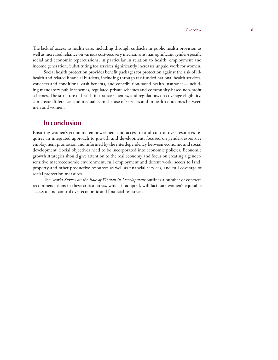The lack of access to health care, including through cutbacks in public health provision as well as increased reliance on various cost-recovery mechanisms, has significant gender-specific social and economic repercussions, in particular in relation to health, employment and income generation. Substituting for services significantly increases unpaid work for women.

Social health protection provides benefit packages for protection against the risk of illhealth and related financial burdens, including through tax-funded national health services, vouchers and conditional cash benefits, and contribution-based health insurance—including mandatory public schemes, regulated private schemes and community-based non-profit schemes. The structure of health insurance schemes, and regulations on coverage eligibility, can create differences and inequality in the use of services and in health outcomes between men and women.

## **In conclusion**

Ensuring women's economic empowerment and access to and control over resources requires an integrated approach to growth and development, focused on gender-responsive employment promotion and informed by the interdependency between economic and social development. Social objectives need to be incorporated into economic policies. Economic growth strategies should give attention to the real economy and focus on creating a gendersensitive macroeconomic environment, full employment and decent work, access to land, property and other productive resources as well as financial services, and full coverage of social protection measures.

The *World Survey on the Role of Women in Development* outlines a number of concrete recommendations in these critical areas, which if adopted, will facilitate women's equitable access to and control over economic and financial resources.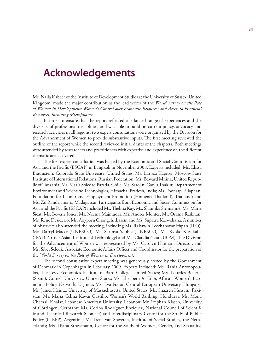# **Acknowledgements**

Ms. Naila Kabeer of the Institute of Development Studies at the University of Sussex, United Kingdom, made the major contribution as the lead writer of the *World Survey on the Role of Women in Development: Women's Control over Economic Resources and Access to Financial Resources, Including Microfinance.*

In order to ensure that the report reflected a balanced range of experiences and the diversity of professional disciplines, and was able to build on current policy, advocacy and research activities in all regions, two expert consultations were organized by the Division for the Advancement of Women to provide substantive inputs. The first meeting reviewed the outline of the report while the second reviewed initial drafts of the chapters. Both meetings were attended by researchers and practitioners with expertise and experience on the different thematic areas covered.

The first expert consultation was hosted by the Economic and Social Commission for Asia and the Pacific (ESCAP) in Bangkok in November 2008. Experts included: Ms. Elissa Braunstein, Colorado State University, United States; Ms. Larissa Kapitsa, Moscow State Institute of International Relations, Russian Federation; Mr. Edward Mhina, United Republic of Tanzania; Ms. María Soledad Parada, Chile; Ms. Sarojini Ganju Thakur, Department of Environment and Scientific Technologies, Himachal Pradesh, India; Ms. Poonsap Tulaphan, Foundation for Labour and Employment Promotion (Homenet Thailand), Thailand; and Ms. Zo Randriamaro, Madagascar. Participants from Economic and Social Commission for Asia and the Pacific (ESCAP) included Ms. Thelma Kay, Ms. Shamika Sirimanne, Ms. Marie Sicat, Ms. Beverly Jones, Ms. Neema Majmudar, Mr. Andres Montes, Mr. Osama Rajkhan, Mr. Rene Desiderio, Ms. Aoyporn Chongchitkasem and Ms. Supatra Kaewchana. A number of observers also attended the meeting, including Ms. Rakawin Leechanavanichpan (ILO), Mr. Darryl Macer (UNESCO), Ms. Sarinya Sophia (UNESCO), Ms. Kyoko Kusakabe (IFAD Partner-Asian Institute of Technology) and Ms. Claudia Natali (IOM). The Division for the Advancement of Women was represented by Ms. Carolyn Hannan, Director, and Ms. Sibel Selcuk, Associate Economic Affairs Officer and Coordinator for the preparation of the *World Survey on the Role of Women in Development*.

The second consultative expert meeting was generously hosted by the Government of Denmark in Copenhagen in February 2009. Experts included: Ms. Rania Antonopoulos, The Levy Economics Institute of Bard College, United States; Ms. Lourdes Benería (Spain), Cornell University, United States: Ms. Elizabeth A. Eilor, African Women's Economic Policy Network, Uganda; Ms. Eva Fodor, Central European University, Hungary; Mr. James Heintz, University of Massachusetts, United States; Ms. Shazreh Hussain, Pakistan; Ms. María Celina Kawas Castillo, Women's World Banking, Honduras; Ms. Mona Chemali Khalaf, Lebanese American University, Lebanon; Mr. Stephan Klasen, University of Göttingen, Germany; Ms. Corina Rodríguez Enríquez, National Council of Scientific and Technical Research (Conicet) and Interdisciplinary Centre for the Study of Public Policy (CIEPP), Argentina; Ms. Irene van Staveren, Institute of Social Studies, the Netherlands; Ms. Diana Strassmann, Centre for the Study of Women, Gender, and Sexuality,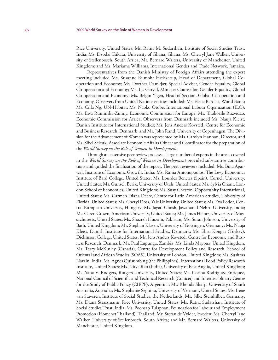Rice University, United States; Ms. Ratna M. Sudarshan, Institute of Social Studies Trust, India; Ms. Dzodzi Tsikata, University of Ghana, Ghana; Ms. Cherryl Jane Walker, University of Stellenbosch, South Africa; Mr. Bernard Walters, University of Manchester, United Kingdom; and Ms. Mariama Williams, International Gender and Trade Network, Jamaica.

Representatives from the Danish Ministry of Foreign Affairs attending the expert meeting included Ms. Susanne Rumohr Hækkerup, Head of Department, Global Cooperation and Economy; Ms. Dorthea Damkjær, Special Adviser, Gender Equality, Global Co-operation and Economy; Ms. Lis Garval, Minister Counsellor, Gender Equality, Global Co-operation and Economy; Ms. Belgin Yigen, Head of Section, Global Co-operation and Economy. Observers from United Nations entities included: Ms. Elena Bardasi, World Bank; Ms. Cilla Ng, UN-Habitat; Ms. Naoko Otobe, International Labour Organization (ILO); Ms. Ewa Ruminska-Zimny, Economic Commission for Europe; Ms. Thokozile Ruzvidzo, Economic Commission for Africa; Observers from Denmark included Ms. Nauja Kleist, Danish Institute for International Studies; Mr. Jens Anders Kovsted, Centre for Economic and Business Research, Denmark; and Mr. John Rand, University of Copenhagen. The Division for the Advancement of Women was represented by Ms. Carolyn Hannan, Director, and Ms. Sibel Selcuk, Associate Economic Affairs Officer and Coordinator for the preparation of the *World Survey on the Role of Women in Development*.

Through an extensive peer review process, a large number of experts in the areas covered in the *World Survey on the Role of Women in Development* provided substantive contributions and guided the finalization of the report. The peer reviewers included: Ms. Bina Agarwal, Institute of Economic Growth, India; Ms. Rania Antonopoulos, The Levy Economics Institute of Bard College, United States; Ms. Lourdes Benería (Spain), Cornell University, United States; Ms. Gunseli Berik, University of Utah, United States; Ms. Sylvia Chant, London School of Economics, United Kingdom; Ms. Susy Cheston, Opportunity International, United States; Ms. Carmen Diana Deere, Centre for Latin American Studies, University of Florida, United States; Ms. Cheryl Doss, Yale University, United States; Ms. Eva Fodor, Central European University, Hungary; Ms. Jayati Ghosh, Jawaharlal Nehru University, India; Ms. Caren Grown, American University, United States; Mr. James Heintz, University of Massachusetts, United States; Ms. Shazreh Hussain, Pakistan; Ms. Susan Johnson, University of Bath, United Kingdom; Mr. Stephan Klasen, University of Göttingen, Germany; Ms. Nauja Kleist, Danish Institute for International Studies, Denmark; Ms. Ebru Kongar (Turkey), Dickinson College, United States; Mr. Jens Anders Kovsted, Centre for Economic and Business Research, Denmark; Mr. Paul Lupunga, Zambia; Ms. Linda Mayoux, United Kingdom; Mr. Terry McKinley (Canada), Centre for Development Policy and Research, School of Oriental and African Studies (SOAS), University of London, United Kingdom; Ms. Sushma Narain, India; Ms. Agnes Quisumbing (the Philippines), International Food Policy Research Institute, United States; Ms. Nitya Rao (India), University of East Anglia, United Kingdom; Ms. Yana V. Rodgers, Rutgers University, United States; Ms. Corina Rodríguez Enríquez, National Council of Scientific and Technical Research (Conicet) and Interdisciplinary Centre for the Study of Public Policy (CIEPP), Argentina; Ms. Rhonda Sharp, University of South Australia, Australia; Ms. Stephanie Seguino, University of Vermont, United States; Ms. Irene van Staveren, Institute of Social Studies, the Netherlands; Ms. Silke Steinhilber, Germany; Ms. Diana Strassmann, Rice University, United States; Ms. Ratna Sudarshan, Institute of Social Studies Trust, India; Ms. Poonsap Tulaphan, Foundation for Labour and Employment Promotion (Homenet Thailand), Thailand; Mr. Stefan de Vylder, Sweden; Ms. Cherryl Jane Walker, University of Stellenbosch, South Africa; and Mr. Bernard Walters, University of Manchester, United Kingdom.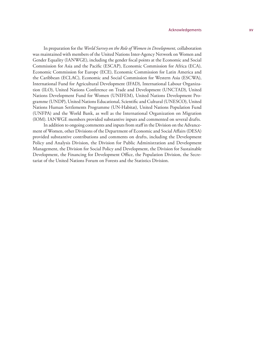#### Acknowledgements xv

In preparation for the *World Survey on the Role of Women in Development,* collaboration was maintained with members of the United Nations Inter-Agency Network on Women and Gender Equality (IANWGE), including the gender focal points at the Economic and Social Commission for Asia and the Pacific (ESCAP), Economic Commission for Africa (ECA), Economic Commission for Europe (ECE), Economic Commission for Latin America and the Caribbean (ECLAC), Economic and Social Commission for Western Asia (ESCWA), International Fund for Agricultural Development (IFAD), International Labour Organization (ILO), United Nations Conference on Trade and Development (UNCTAD), United Nations Development Fund for Women (UNIFEM), United Nations Development Programme (UNDP), United Nations Educational, Scientific and Cultural (UNESCO), United Nations Human Settlements Programme (UN-Habitat), United Nations Population Fund (UNFPA) and the World Bank, as well as the International Organization on Migration (IOM). IANWGE members provided substantive inputs and commented on several drafts.

In addition to ongoing comments and inputs from staff in the Division on the Advancement of Women, other Divisions of the Department of Economic and Social Affairs (DESA) provided substantive contributions and comments on drafts, including the Development Policy and Analysis Division, the Division for Public Administration and Development Management, the Division for Social Policy and Development, the Division for Sustainable Development, the Financing for Development Office, the Population Division, the Secretariat of the United Nations Forum on Forests and the Statistics Division.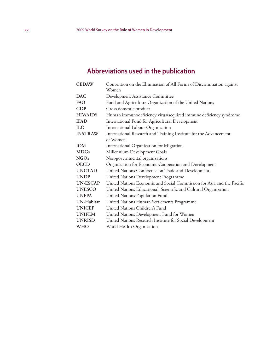# **Abbreviations used in the publication**

| <b>CEDAW</b>      | Convention on the Elimination of All Forms of Discrimination against   |
|-------------------|------------------------------------------------------------------------|
|                   | Women                                                                  |
| <b>DAC</b>        | Development Assistance Committee                                       |
| FAO               | Food and Agriculture Organization of the United Nations                |
| <b>GDP</b>        | Gross domestic product                                                 |
| <b>HIV/AIDS</b>   | Human immunodeficiency virus/acquired immune deficiency syndrome       |
| <b>IFAD</b>       | International Fund for Agricultural Development                        |
| <b>ILO</b>        | International Labour Organization                                      |
| <b>INSTRAW</b>    | International Research and Training Institute for the Advancement      |
|                   | of Women                                                               |
| <b>IOM</b>        | International Organization for Migration                               |
| <b>MDGs</b>       | Millennium Development Goals                                           |
| <b>NGOs</b>       | Non-governmental organizations                                         |
| <b>OECD</b>       | Organization for Economic Cooperation and Development                  |
| <b>UNCTAD</b>     | United Nations Conference on Trade and Development                     |
| <b>UNDP</b>       | United Nations Development Programme                                   |
| <b>UN-ESCAP</b>   | United Nations Economic and Social Commission for Asia and the Pacific |
| <b>UNESCO</b>     | United Nations Educational, Scientific and Cultural Organization       |
| <b>UNFPA</b>      | United Nations Population Fund                                         |
| <b>UN-Habitat</b> | United Nations Human Settlements Programme                             |
| <b>UNICEF</b>     | United Nations Children's Fund                                         |
| <b>UNIFEM</b>     | United Nations Development Fund for Women                              |
| <b>UNRISD</b>     | United Nations Research Institute for Social Development               |
| <b>WHO</b>        | World Health Organization                                              |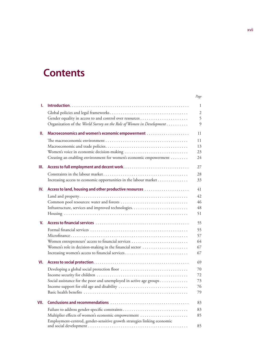# **Contents**

|      |                                                                         | Page |
|------|-------------------------------------------------------------------------|------|
| ı.   |                                                                         | 1    |
|      |                                                                         | 2    |
|      |                                                                         | 5    |
|      | Organization of the World Survey on the Role of Women in Development    | 9    |
| Ш.   |                                                                         | 11   |
|      |                                                                         | 11   |
|      |                                                                         | 13   |
|      |                                                                         | 23   |
|      | Creating an enabling environment for women's economic empowerment       | 24   |
| Ш.   |                                                                         | 27   |
|      |                                                                         | 28   |
|      | Increasing access to economic opportunities in the labour market        | 33   |
| IV.  |                                                                         | 41   |
|      |                                                                         | 42   |
|      | Common pool resources: water and forests                                | 46   |
|      |                                                                         | 48   |
|      |                                                                         | 51   |
| v.   |                                                                         | 55   |
|      |                                                                         | 55   |
|      |                                                                         | 57   |
|      | Women entrepreneurs' access to financial services                       | 64   |
|      | Women's role in decision-making in the financial sector                 | 67   |
|      | Increasing women's access to financial services                         | 67   |
| VI.  |                                                                         | 69   |
|      |                                                                         | 70   |
|      |                                                                         | 72   |
|      | Social assistance for the poor and unemployed in active age groups      | 73   |
|      |                                                                         | 76   |
|      |                                                                         | 79   |
| VII. |                                                                         | 83   |
|      | Failure to address gender-specific constraints                          | 83   |
|      | Multiplier effects of women's economic empowerment                      | 85   |
|      | Employment-centred, gender-sensitive growth strategies linking economic |      |
|      |                                                                         | 85   |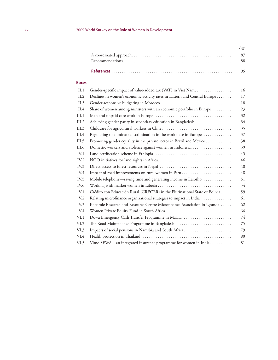| Page |
|------|
|      |
|      |
|      |

### **Boxes**

| II.1            | Gender-specific impact of value-added tax (VAT) in Viet Nam                | 16 |
|-----------------|----------------------------------------------------------------------------|----|
| II.2            | Declines in women's economic activity rates in Eastern and Central Europe  | 17 |
| II.3            |                                                                            | 18 |
| II.4            | Share of women among ministers with an economic portfolio in Europe        | 23 |
| III.1           |                                                                            | 32 |
| III.2           | Achieving gender parity in secondary education in Bangladesh               | 34 |
| III.3           |                                                                            | 35 |
| III.4           | Regulating to eliminate discrimination in the workplace in Europe          | 37 |
| III.5           | Promoting gender equality in the private sector in Brazil and Mexico       | 38 |
| III.6           |                                                                            | 39 |
| IV.1            |                                                                            | 45 |
| IV.2            |                                                                            | 46 |
| IV.3            |                                                                            | 48 |
| IV.4            |                                                                            | 48 |
| IV.5            | Mobile telephony-saving time and generating income in Lesotho              | 51 |
| IV.6            |                                                                            | 54 |
| V <sub>1</sub>  | Crédito con Educación Rural (CRECER) in the Plurinational State of Bolivia | 59 |
| V <sub>12</sub> | Relating microfinance organizational strategies to impact in India         | 61 |
| V <sub>3</sub>  | Kabarole Research and Resource Centre Microfinance Association in Uganda   | 62 |
| V.4             | Women Private Equity Fund in South Africa                                  | 66 |
| VI.1            | Dowa Emergency Cash Transfer Programme in Malawi                           | 74 |
| VI.2            |                                                                            | 75 |
| VI.3            | Impacts of social pensions in Namibia and South Africa                     | 79 |
| VI.4            |                                                                            | 80 |
| VI.5            | Vimo SEWA-an integrated insurance programme for women in India             | 81 |
|                 |                                                                            |    |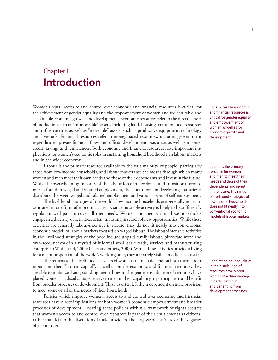# Chapter I **Introduction**

Women's equal access to and control over economic and financial resources is critical for the achievement of gender equality and the empowerment of women and for equitable and sustainable economic growth and development. Economic resources refer to the direct factors of production such as "immoveable" assets, including land, housing, common pool resources and infrastructure, as well as "moveable" assets, such as productive equipment, technology and livestock. Financial resources refer to money-based resources, including government expenditures, private financial flows and official development assistance, as well as income, credit, savings and remittances. Both economic and financial resources have important implications for women's economic roles in sustaining household livelihoods, in labour markets and in the wider economy.

Labour is the primary resource available to the vast majority of people, particularly those from low-income households, and labour markets are the means through which many women and men meet their own needs and those of their dependants and invest in the future. While the overwhelming majority of the labour force in developed and transitional economies is found in waged and salaried employment, the labour force in developing countries is distributed between waged and salaried employment and various types of self-employment.

The livelihood strategies of the world's low-income households are generally not concentrated in one form of economic activity, since no single activity is likely to be sufficiently regular or well paid to cover all their needs. Women and men within these households engage in a diversity of activities, often migrating in search of new opportunities. While these activities are generally labour-intensive in nature, they do not fit neatly into conventional economic models of labour markets focused on waged labour. The labour-intensive activities in the livelihood strategies of the poor include unpaid family labour, piece-rate work and own-account work in a myriad of informal small-scale trade, services and manufacturing enterprises (Whitehead, 2005; Chen and others, 2005). While these activities provide a living for a major proportion of the world's working poor, they are rarely visible in official statistics.

The returns to the livelihood activities of women and men depend on both their labour inputs and their "human capital", as well as on the economic and financial resources they are able to mobilize. Long-standing inequalities in the gender distribution of resources have placed women at a disadvantage relative to men in their capability to participate in and benefit from broader processes of development. This has often left them dependent on male provision to meet some or all of the needs of their households.

Policies which improve women's access to and control over economic and financial resources have direct implications for both women's economic empowerment and broader processes of development. Locating these policies within a framework of rights ensures that women's access to and control over resources is part of their entitlements as citizens, rather than left to the discretion of male providers, the largesse of the State or the vagaries of the market.

Equal access to economic and financial resources is critical for gender equality and empowerment of women as well as for economic growth and development.

Labour is the primary resource for women and men to meet their needs and those of their dependents and invest in the future. The range of livelihood strategies of low-income households does not fit neatly into conventional economic models of labour markets.

Long-standing inequalities in the distribution of resources have placed women at a disadvantage in participating in and benefiting from development processes.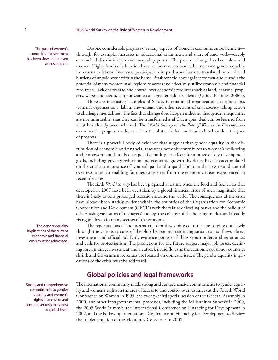The pace of women's economic empowerment has been slow and uneven across regions.

Despite considerable progress on many aspects of women's economic empowerment through, for example, increases in educational attainment and share of paid work—deeply entrenched discrimination and inequality persist. The pace of change has been slow and uneven. Higher levels of education have not been accompanied by increased gender equality in returns to labour. Increased participation in paid work has not translated into reduced burdens of unpaid work within the home. Persistent violence against women also curtails the potential of many women in all regions to access and effectively utilize economic and financial resources. Lack of access to and control over economic resources such as land, personal property, wages and credit, can put women at a greater risk of violence (United Nations, 2006a).

There are increasing examples of States, international organizations, corporations, women's organizations, labour movements and other sections of civil society taking action to challenge inequalities. The fact that change does happen indicates that gender inequalities are not immutable, that they can be transformed and that a great deal can be learned from what has already been achieved. The *World Survey on the Role of Women in Development*  examines the progress made, as well as the obstacles that continue to block or slow the pace of progress.

There is a powerful body of evidence that suggests that gender equality in the distribution of economic and financial resources not only contributes to women's well-being and empowerment, but also has positive multiplier effects for a range of key development goals, including poverty reduction and economic growth. Evidence has also accumulated on the critical importance of women's paid and unpaid labour, and access to and control over resources, in enabling families to recover from the economic crises experienced in recent decades.

The sixth *World Survey* has been prepared at a time when the food and fuel crises that developed in 2007 have been overtaken by a global financial crisis of such magnitude that there is likely to be a prolonged recession around the world. The consequences of the crisis have already been starkly evident within the countries of the Organization for Economic Cooperation and Development (OECD) with the failure of leading banks and the bailout of others using vast sums of taxpayers' money, the collapse of the housing market and steadily rising job losses in many sectors of the economy.

The repercussions of the present crisis for developing countries are playing out slowly through the various circuits of the global economy: trade, migration, capital flows, direct investments and official aid. Early evidence points to falling export orders and remittances and calls for protectionism. The predictions for the future suggest major job losses, declining foreign direct investment and a cutback in aid flows as the economies of donor countries shrink and Government revenues are focused on domestic issues. The gender equality implications of the crisis must be addressed.

## **Global policies and legal frameworks**

The international community made strong and comprehensive commitments to gender equality and women's rights in the area of access to and control over resources at the Fourth World Conference on Women in 1995, the twenty-third special session of the General Assembly in 2000, and other intergovernmental processes, including the Millennium Summit in 2000, the 2005 World Summit, the International Conference on Financing for Development in 2002, and the Follow-up International Conference on Financing for Development to Review the Implementation of the Monterrey Consensus in 2008.

The gender equality implications of the current economic and financial crisis must be addressed.

Strong and comprehensive commitments to gender equality and women's rights in access to and control over resources exist at global level.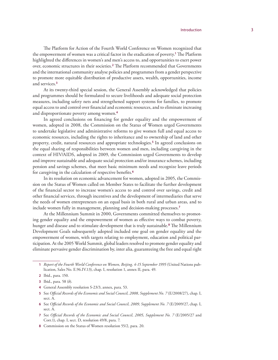The Platform for Action of the Fourth World Conference on Women recognized that the empowerment of women was a critical factor in the eradication of poverty.**<sup>1</sup>** The Platform highlighted the differences in women's and men's access to, and opportunities to exert power over, economic structures in their societies.**<sup>2</sup>** The Platform recommended that Governments and the international community analyse policies and programmes from a gender perspective to promote more equitable distribution of productive assets, wealth, opportunities, income and services.**<sup>3</sup>**

At its twenty-third special session, the General Assembly acknowledged that policies and programmes should be formulated to secure livelihoods and adequate social protection measures, including safety nets and strengthened support systems for families, to promote equal access to and control over financial and economic resources, and to eliminate increasing and disproportionate poverty among women.**<sup>4</sup>**

In agreed conclusions on financing for gender equality and the empowerment of women, adopted in 2008, the Commission on the Status of Women urged Governments to undertake legislative and administrative reforms to give women full and equal access to economic resources, including the rights to inheritance and to ownership of land and other property, credit, natural resources and appropriate technologies.**<sup>5</sup>** In agreed conclusions on the equal sharing of responsibilities between women and men, including caregiving in the context of HIV/AIDS, adopted in 2009, the Commission urged Governments to develop and improve sustainable and adequate social protection and/or insurance schemes, including pension and savings schemes, that meet basic minimum needs and recognize leave periods for caregiving in the calculation of respective benefits.**<sup>6</sup>**

In its resolution on economic advancement for women, adopted in 2005, the Commission on the Status of Women called on Member States to facilitate the further development of the financial sector to increase women's access to and control over savings, credit and other financial services, through incentives and the development of intermediaries that serve the needs of women entrepreneurs on an equal basis in both rural and urban areas, and to include women fully in management, planning and decision-making processes.**<sup>7</sup>**

At the Millennium Summit in 2000, Governments committed themselves to promoting gender equality and the empowerment of women as effective ways to combat poverty, hunger and disease and to stimulate development that is truly sustainable.**<sup>8</sup>** The Millennium Development Goals subsequently adopted included one goal on gender equality and the empowerment of women, with targets relating to employment, education and political participation. At the 2005 World Summit, global leaders resolved to promote gender equality and eliminate pervasive gender discrimination by, inter alia, guaranteeing the free and equal right

**<sup>1</sup>** *Report of the Fourth World Conference on Women, Beijing, 4-15 September 1995* (United Nations publication, Sales No. E.96.IV.13), chap. I, resolution 1, annex II, para. 49.

**<sup>2</sup>** Ibid., para. 150.

**<sup>3</sup>** Ibid., para. 58 (*b*).

**<sup>4</sup>** General Assembly resolution S-23/3, annex, para. 53.

**<sup>5</sup>** See *Official Records of the Economic and Social Council, 2008, Supplement No. 7* (E/2008/27), chap. I, sect. A.

**<sup>6</sup>** See *Official Records of the Economic and Social Council, 2009, Supplement No. 7* (E/2009/27, chap. I, sect. A.

**<sup>7</sup>** See *Official Records of the Economic and Social Council, 2005, Supplement No. 7* (E/2005/27 and Corr.1), chap. I, sect. D, resolution 49/8, para. 7.

**<sup>8</sup>** Commission on the Status of Women resolution 55/2, para. 20.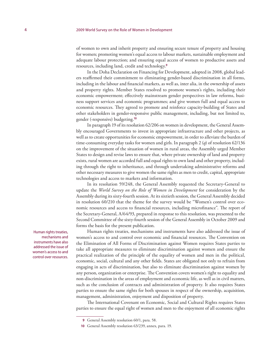of women to own and inherit property and ensuring secure tenure of property and housing for women; promoting women's equal access to labour markets, sustainable employment and adequate labour protection; and ensuring equal access of women to productive assets and resources, including land, credit and technology.**<sup>9</sup>**

In the Doha Declaration on Financing for Development, adopted in 2008, global leaders reaffirmed their commitment to eliminating gender-based discrimination in all forms, including in the labour and financial markets, as well as, inter alia, in the ownership of assets and property rights. Member States resolved to promote women's rights, including their economic empowerment; effectively mainstream gender perspectives in law reforms, business support services and economic programmes; and give women full and equal access to economic resources. They agreed to promote and reinforce capacity-building of States and other stakeholders in gender-responsive public management, including, but not limited to, gender (-responsive) budgeting.**<sup>10</sup>**

In paragraph 19 of its resolution 62/206 on women in development, the General Assembly encouraged Governments to invest in appropriate infrastructure and other projects, as well as to create opportunities for economic empowerment, in order to alleviate the burden of time-consuming everyday tasks for women and girls. In paragraph 2 (*q*) of resolution 62/136 on the improvement of the situation of women in rural areas, the Assembly urged Member States to design and revise laws to ensure that, where private ownership of land and property exists, rural women are accorded full and equal rights to own land and other property, including through the right to inheritance, and through undertaking administrative reforms and other necessary measures to give women the same rights as men to credit, capital, appropriate technologies and access to markets and information.

In its resolution 59/248, the General Assembly requested the Secretary-General to update the *World Survey on the Role of Women in Development* for consideration by the Assembly during its sixty-fourth session. At its sixtieth session, the General Assembly decided in resolution 60/210 that the theme for the survey would be "Women's control over economic resources and access to financial resources, including microfinance". The report of the Secretary-General, A/64/93, prepared in response to this resolution, was presented to the Second Committee of the sixty-fourth session of the General Assembly in October 2009 and forms the basis for the present publication.

Human rights treaties, mechanisms and instruments have also addressed the issue of women's access to and control over economic and financial resources. The Convention on the Elimination of All Forms of Discrimination against Women requires States parties to take all appropriate measures to eliminate discrimination against women and ensure the practical realization of the principle of the equality of women and men in the political, economic, social, cultural and any other fields. States are obligated not only to refrain from engaging in acts of discrimination, but also to eliminate discrimination against women by any person, organization or enterprise. The Convention covers women's right to equality and non-discrimination in the areas of employment and economic life, as well as in civil matters, such as the conclusion of contracts and administration of property. It also requires States parties to ensure the same rights for both spouses in respect of the ownership, acquisition, management, administration, enjoyment and disposition of property.

The International Covenant on Economic, Social and Cultural Rights requires States parties to ensure the equal right of women and men to the enjoyment of all economic rights

Human rights treaties, mechanisms and instruments have also addressed the issue of women's access to and control over resources.

**<sup>9</sup>** General Assembly resolution 60/1, para. 58.

**<sup>10</sup>** General Assembly resolution 63/239, annex, para. 19.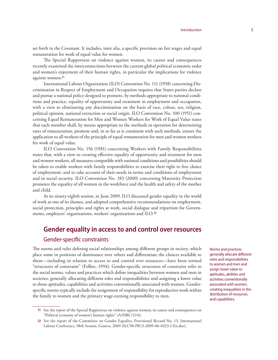set forth in the Covenant. It includes, inter alia, a specific provision on fair wages and equal remuneration for work of equal value for women.

The Special Rapporteur on violence against women, its causes and consequences recently examined the interconnections between the current global political economic order and women's enjoyment of their human rights, in particular the implications for violence against women.**<sup>11</sup>**

International Labour Organization (ILO) Convention No. 111 (1958) concerning Discrimination in Respect of Employment and Occupation requires that States parties declare and pursue a national policy designed to promote, by methods appropriate to national conditions and practice, equality of opportunity and treatment in employment and occupation, with a view to eliminating any discrimination on the basis of race, colour, sex, religion, political opinion, national extraction or social origin. ILO Convention No. 100 (1951) concerning Equal Remuneration for Men and Women Workers for Work of Equal Value states that each member shall, by means appropriate to the methods in operation for determining rates of remuneration, promote and, in so far as is consistent with such methods, ensure the application to all workers of the principle of equal remuneration for men and women workers for work of equal value.

ILO Convention No. 156 (1981) concerning Workers with Family Responsibilities states that, with a view to creating effective equality of opportunity and treatment for men and women workers, all measures compatible with national conditions and possibilities should be taken to enable workers with family responsibilities to exercise their right to free choice of employment; and to take account of their needs in terms and conditions of employment and in social security. ILO Convention No. 183 (2000) concerning Maternity Protection promotes the equality of all women in the workforce and the health and safety of the mother and child.

At its ninety-eighth session, in June 2009, ILO discussed gender equality in the world of work as one of its themes, and adopted comprehensive recommendations on employment, social protection, principles and rights at work, social dialogue and tripartism for Governments, employers' organizations, workers' organizations and ILO.**<sup>12</sup>**

# **Gender equality in access to and control over resources** Gender-specific constraints

The norms and rules defining social relationships among different groups in society, which place some in positions of dominance over others and differentiate the choices available to them—including in relation to access to and control over resources—have been termed "structures of constraint" (Folbre, 1994). Gender-specific structures of constraint refer to the social norms, values and practices which define inequalities between women and men in societies, generally allocating different roles and responsibilities and assigning a lower value to those aptitudes, capabilities and activities conventionally associated with women. Genderspecific norms typically include the assignment of responsibility for reproductive work within the family to women and the primary wage-earning responsibility to men.

Norms and practices generally allocate different roles and responsibilities to women and men and assign lower value to aptitudes, abilities and activities conventionally associated with women, creating inequalities in the distribution of resources and capabilities.

**<sup>11</sup>** See the report of the Special Rapporteur on violence against women, its causes and consequences on "Political economy of women's human rights" (A/HRC/11/6).

**<sup>12</sup>** See the report of the Committee on Gender Equality, Provisional Record No. 13, International Labour Conference, 98th Session, Geneva, 2009 (ILC98-PR13-2009-06-0323-1-En.doc).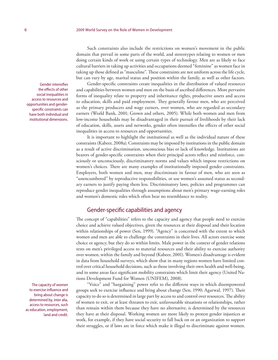Such constraints also include the restrictions on women's movement in the public domain that prevail in some parts of the world, and stereotypes relating to women or men doing certain kinds of work or using certain types of technology. Men are as likely to face cultural barriers in taking up activities and occupations deemed "feminine" as women face in taking up those defined as "masculine". These constraints are not uniform across the life cycle, but can vary by age, marital status and position within the family, as well as other factors.

Gender-specific constraints create inequalities in the distribution of valued resources and capabilities between women and men on the basis of ascribed differences. More pervasive forms of inequality relate to property and inheritance rights, productive assets and access to education, skills and paid employment. They generally favour men, who are perceived as the primary producers and wage earners, over women, who are regarded as secondary earners (World Bank, 2001; Grown and others, 2005). While both women and men from low-income households may be disadvantaged in their pursuit of livelihoods by their lack of education, skills, assets and networks, gender often intensifies the effects of other social inequalities in access to resources and opportunities.

It is important to highlight the institutional as well as the individual nature of these constraints (Kabeer, 2008a). Constraints may be imposed by institutions in the public domain as a result of active discrimination, unconscious bias or lack of knowledge. Institutions are bearers of gender-specific constraints when their principal actors reflect and reinforce, consciously or unconsciously, discriminatory norms and values which impose restrictions on women's choices. There are many examples of institutionally imposed gender constraints. Employers, both women and men, may discriminate in favour of men, who are seen as "unencumbered" by reproductive responsibilities, or use women's assumed status as secondary earners to justify paying them less. Discriminatory laws, policies and programmes can reproduce gender inequalities through assumptions about men's primary wage-earning roles and women's domestic roles which often bear no resemblance to reality.

### Gender-specific capabilities and agency

The concept of "capabilities" refers to the capacity and agency that people need to exercise choice and achieve valued objectives, given the resources at their disposal and their location within relationships of power (Sen, 1999). "Agency" is concerned with the extent to which women and men are able to challenge the constraints in their lives. All actors exercise some choice or agency, but they do so within limits. Male power in the context of gender relations rests on men's privileged access to material resources and their ability to exercise authority over women, within the family and beyond (Kabeer, 2001). Women's disadvantage is evident in data from household surveys, which show that in many regions women have limited control over critical household decisions, such as those involving their own health and well-being, and in some areas face significant mobility constraints which limit their agency (United Nations Development Fund for Women (UNIFEM), 2008).

"Voice" and "bargaining" power refer to the different ways in which disempowered groups seek to exercise influence and bring about change (Sen, 1990; Agarwal, 1997). Their capacity to do so is determined in large part by access to and control over resources. The ability of women to exit, or at least threaten to exit, unfavourable situations or relationships, rather than remain within them because they have no alternative, is determined by the resources they have at their disposal. Working women are more likely to protest gender injustices at work, for example, if they have social security to fall back on or an organization to support their struggles, or if laws are in force which make it illegal to discriminate against women.

Gender intensifies the effects of other social inequalities in access to resources and opportunities and genderspecific constraints can have both individual and institutional dimensions.

The capacity of women to exercise influence and bring about change is determined by, inter alia, access to resources, such as education, employment, land and credit.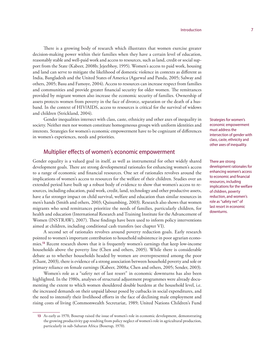There is a growing body of research which illustrates that women exercise greater decision-making power within their families when they have a certain level of education, reasonably stable and well-paid work and access to resources, such as land, credit or social support from the State (Kabeer, 2008b; Jejeebhoy, 1995). Women's access to paid work, housing and land can serve to mitigate the likelihood of domestic violence in contexts as different as India, Bangladesh and the United States of America (Agarwal and Panda, 2005; Salway and others, 2005; Basu and Famoye, 2004). Access to resources can increase respect from families and communities and provide greater financial security for older women. The remittances provided by migrant women also increase the economic security of families. Ownership of assets protects women from poverty in the face of divorce, separation or the death of a husband. In the context of HIV/AIDS, access to resources is critical for the survival of widows and children (Strickland, 2004).

Gender inequalities intersect with class, caste, ethnicity and other axes of inequality in society. Neither men nor women constitute homogeneous groups with uniform identities and interests. Strategies for women's economic empowerment have to be cognizant of differences in women's experiences, needs and priorities.

### Multiplier effects of women's economic empowerment

Gender equality is a valued goal in itself, as well as instrumental for other widely shared development goals. There are strong developmental rationales for enhancing women's access to a range of economic and financial resources. One set of rationales revolves around the implications of women's access to resources for the welfare of their children. Studies over an extended period have built up a robust body of evidence to show that women's access to resources, including education, paid work, credit, land, technology and other productive assets, have a far stronger impact on child survival, welfare and education than similar resources in men's hands (Smith and others, 2003; Quisumbing, 2003). Research also shows that women migrants who send remittances prioritize the needs of families, particularly children, for health and education (International Research and Training Institute for the Advancement of Women (INSTRAW), 2007). These findings have been used to inform policy interventions aimed at children, including conditional cash transfers (see chapter VI).

A second set of rationales revolves around poverty reduction goals. Early research pointed to women's important contribution to household subsistence in poor agrarian economies.**<sup>13</sup>** Recent research shows that it is frequently women's earnings that keep low-income households above the poverty line (Chen and others, 2005). While there is considerable debate as to whether households headed by women are overrepresented among the poor (Chant, 2003), there is evidence of a strong association between household poverty and sole or primary reliance on female earnings (Kabeer, 2008a; Chen and others, 2005; Sender, 2003).

Women's role as a "safety net of last resort" in economic downturns has also been highlighted. In the 1980s, analyses of structural adjustment programmes were already documenting the extent to which women shouldered double burdens at the household level, i.e. the increased demands on their unpaid labour posed by cutbacks in social expenditures, and the need to intensify their livelihood efforts in the face of declining male employment and rising costs of living (Commonwealth Secretariat, 1989; United Nations Children's Fund Strategies for women's economic empowerment must address the intersection of gender with class, caste, ethnicity and other axes of inequality.

There are strong development rationales for enhancing women's access to economic and financial resources, including implications for the welfare of children, poverty reduction, and women's role as "safety net" of last resort in economic downturns.

**<sup>13</sup>** As early as 1970, Boserup raised the issue of women's role in economic development, demonstrating the growing productivity gap resulting from policy neglect of women's role in agricultural production, particularly in sub-Saharan Africa (Boserup, 1970).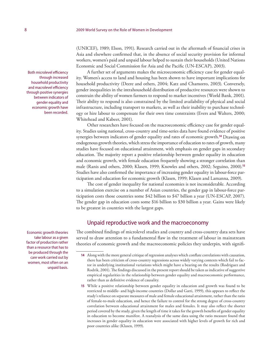(UNICEF), 1989; Elson, 1991). Research carried out in the aftermath of financial crises in Asia and elsewhere confirmed that, in the absence of social security provision for informal workers, women's paid and unpaid labour helped to sustain their households (United Nations Economic and Social Commission for Asia and the Pacific (UN-ESCAP), 2003).

A further set of arguments makes the microeconomic efficiency case for gender equality. Women's access to land and housing has been shown to have important implications for household productivity (Deere and others, 2004; Katz and Chamorro, 2003). Conversely, gender inequalities in the intrahousehold distribution of productive resources were shown to constrain the ability of women farmers to respond to market incentives (World Bank, 2001). Their ability to respond is also constrained by the limited availability of physical and social infrastructure, including transport to markets, as well as their inability to purchase technology or hire labour to compensate for their own time constraints (Evers and Walters, 2000; Whitehead and Kabeer, 2001).

Other researchers have focused on the macroeconomic efficiency case for gender equality. Studies using national, cross-country and time-series data have found evidence of positive synergies between indicators of gender equality and rates of economic growth.**<sup>14</sup>** Drawing on endogenous growth theories, which stress the importance of education to rates of growth, many studies have focused on educational attainment, with emphasis on gender gaps in secondary education. The majority report a positive relationship between gender equality in education and economic growth, with female education frequently showing a stronger correlation than male (Ranis and others, 2000; Klasen, 1999; Knowles and others, 2002; Seguino, 2000).**<sup>15</sup>** Studies have also confirmed the importance of increasing gender equality in labour-force participation and education for economic growth (Klasen, 1999; Klasen and Lamanna, 2009).

The cost of gender inequality for national economies is not inconsiderable. According to a simulation exercise on a number of Asian countries, the gender gap in labour-force participation costs those countries some \$42 billion to \$47 billion a year (UN-ESCAP, 2007). The gender gap in education costs some \$16 billion to \$30 billion a year. Gains were likely to be greatest in countries with the largest gaps.

## Unpaid reproductive work and the macroeconomy

The combined findings of microlevel studies and country and cross-country data sets have served to draw attention to a fundamental flaw in the treatment of labour in mainstream theories of economic growth and the macroeconomic policies they underpin, with signifi-

Both microlevel efficiency through increased household productivity and macrolevel efficiency through positive synergies between indicators of gender equality and economic growth have been recorded.

Economic growth theories take labour as a given factor of production rather than a resource that has to be produced through the care work carried out by women, most often on an unpaid basis.

**<sup>14</sup>** Along with the more general critique of regression analyses which conflate correlations with causation, there has been criticism of cross-country regressions across widely varying contexts which fail to factor in underlying institutional variations which might have a bearing on the results (Rodriguez and Rodrik, 2001). The findings discussed in the present report should be taken as indicative of suggestive empirical regularities in the relationship between gender equality and macroeconomic performance, rather than as definitive evidence of causality.

**<sup>15</sup>** While a positive relationship between gender equality in education and growth was found to be restricted to middle- and high-income countries (Dollar and Gatti, 1999), this appears to reflect the study's reliance on separate measures of male and female educational attainment, rather than the ratio of female-to-male education, and hence the failure to control for the strong degree of cross-country correlation between educational attainment for males and females. It may also reflect the shorter period covered by the study, given the length of time it takes for the growth benefits of gender equality in education to become manifest. A reanalysis of the same data using the ratio measure found that increases in gender equality in education were associated with higher levels of growth for rich and poor countries alike (Klasen, 1999).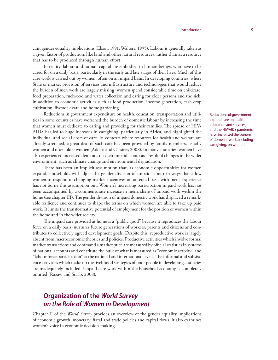cant gender equality implications (Elson, 1991; Walters, 1995). Labour is generally taken as a given factor of production, like land and other natural resources, rather than as a resource that has to be produced through human effort.

In reality, labour and human capital are embodied in human beings, who have to be cared for on a daily basis, particularly in the early and late stages of their lives. Much of this care work is carried out by women, often on an unpaid basis. In developing countries, where State or market provision of services and infrastructure and technologies that would reduce the burden of such work are largely missing, women spend considerable time on childcare, food preparation, fuelwood and water collection and caring for older persons and the sick, in addition to economic activities such as food production, income generation, cash crop cultivation, livestock care and home gardening.

Reductions in government expenditure on health, education, transportation and utilities in some countries have worsened the burden of domestic labour by increasing the time that women must dedicate to caring and providing for their families. The spread of HIV/ AIDS has led to huge increases in caregiving, particularly in Africa, and highlighted the individual and social costs of care. In contexts where resources for health and welfare are already stretched, a great deal of such care has been provided by family members, usually women and often older women (Addati and Cassirer, 2008). In many countries, women have also experienced increased demands on their unpaid labour as a result of changes in the wider environment, such as climate change and environmental degradation.

There has been an implicit assumption that, as economic opportunities for women expand, households will adjust the gender division of unpaid labour in ways that allow women to respond to changing market incentives on an equal basis with men. Experience has not borne this assumption out. Women's increasing participation in paid work has not been accompanied by a commensurate increase in men's share of unpaid work within the home (see chapter III). The gender division of unpaid domestic work has displayed a remarkable resilience and continues to shape the terms on which women are able to take up paid work. It limits the transformative potential of employment for the position of women within the home and in the wider society.

The unpaid care provided at home is a "public good" because it reproduces the labour force on a daily basis, nurtures future generations of workers, parents and citizens and contributes to collectively agreed development goals. Despite this, reproductive work is largely absent from macroeconomic theories and policies. Productive activities which involve formal market transactions and command a market price are measured by official statistics in systems of national accounts and constitute the bulk of what is measured as "economic activity" and "labour force participation" at the national and international levels. The informal and subsistence activities which make up the livelihood strategies of poor people in developing countries are inadequately included. Unpaid care work within the household economy is completely omitted (Razavi and Staab, 2008).

## **Organization of the** *World Survey on the Role of Women in Development*

Chapter II of the *World Survey* provides an overview of the gender equality implications of economic growth, monetary, fiscal and trade policies and capital flows. It also examines women's voice in economic decision-making.

Reductions of government expenditure on health, education and services, and the HIV/AIDS pandemic have increased the burden of domestic work, including caregiving, on women.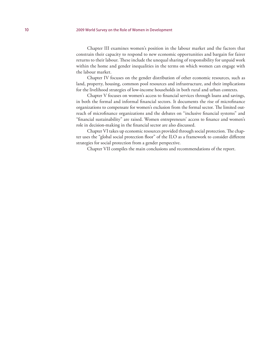#### 10 2009 World Survey on the Role of Women in Development

Chapter III examines women's position in the labour market and the factors that constrain their capacity to respond to new economic opportunities and bargain for fairer returns to their labour. These include the unequal sharing of responsibility for unpaid work within the home and gender inequalities in the terms on which women can engage with the labour market.

Chapter IV focuses on the gender distribution of other economic resources, such as land, property, housing, common pool resources and infrastructure, and their implications for the livelihood strategies of low-income households in both rural and urban contexts.

Chapter V focuses on women's access to financial services through loans and savings, in both the formal and informal financial sectors. It documents the rise of microfinance organizations to compensate for women's exclusion from the formal sector. The limited outreach of microfinance organizations and the debates on "inclusive financial systems" and "financial sustainability" are raised. Women entrepreneurs' access to finance and women's role in decision-making in the financial sector are also discussed.

Chapter VI takes up economic resources provided through social protection. The chapter uses the "global social protection floor" of the ILO as a framework to consider different strategies for social protection from a gender perspective.

Chapter VII compiles the main conclusions and recommendations of the report.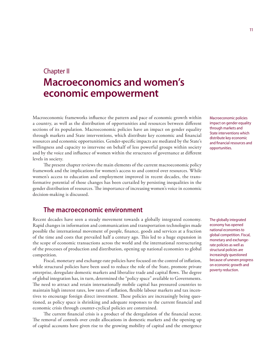# Chapter II **Macroeconomics and women's economic empowerment**

Macroeconomic frameworks influence the pattern and pace of economic growth within a country, as well as the distribution of opportunities and resources between different sections of its population. Macroeconomic policies have an impact on gender equality through markets and State interventions, which distribute key economic and financial resources and economic opportunities. Gender-specific impacts are mediated by the State's willingness and capacity to intervene on behalf of less powerful groups within society and by the voice and influence of women within the structures of governance at different levels in society.

The present chapter reviews the main elements of the current macroeconomic policy framework and the implications for women's access to and control over resources. While women's access to education and employment improved in recent decades, the transformative potential of those changes has been curtailed by persisting inequalities in the gender distribution of resources. The importance of increasing women's voice in economic decision-making is discussed.

## **The macroeconomic environment**

Recent decades have seen a steady movement towards a globally integrated economy. Rapid changes in information and communication and transportation technologies made possible the international movement of people, finance, goods and services at a fraction of the time and costs that prevailed half a century ago. This led to a huge expansion in the scope of economic transactions across the world and the international restructuring of the processes of production and distribution, opening up national economies to global competition.

Fiscal, monetary and exchange-rate policies have focused on the control of inflation, while structural policies have been used to reduce the role of the State, promote private enterprise, deregulate domestic markets and liberalize trade and capital flows. The degree of global integration has, in turn, determined the "policy space" available to Governments. The need to attract and retain internationally mobile capital has pressured countries to maintain high interest rates, low rates of inflation, flexible labour markets and tax incentives to encourage foreign direct investment. These policies are increasingly being questioned, as policy space is shrinking and adequate responses to the current financial and economic crisis through counter-cyclical policies are constrained.

The current financial crisis is a product of the deregulation of the financial sector. The removal of controls over credit allocations in domestic markets and the opening up of capital accounts have given rise to the growing mobility of capital and the emergence Macroeconomic policies impact on gender equality through markets and State interventions which distribute key economic and financial resources and opportunities.

The globally integrated economy has opened national economies to global competition. Fiscal, monetary and exchangerate policies as well as structural policies are increasingly questioned because of uneven progress on economic growth and poverty reduction.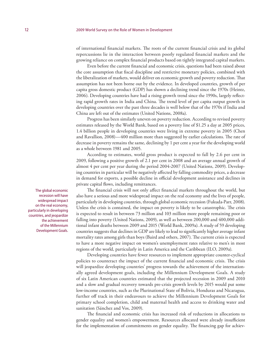of international financial markets. The roots of the current financial crisis and its global repercussions lie in the interaction between poorly regulated financial markets and the growing reliance on complex financial products based on tightly integrated capital markets.

Even before the current financial and economic crisis, questions had been raised about the core assumption that fiscal discipline and restrictive monetary policies, combined with the liberalization of markets, would deliver on economic growth and poverty reduction. That assumption has not been borne out by the evidence. In developed countries, growth of per capita gross domestic product (GDP) has shown a declining trend since the 1970s (Heintz, 2006). Developing countries have had a rising growth trend since the 1990s, largely reflecting rapid growth rates in India and China. The trend level of per capita output growth in developing countries over the past three decades is well below that of the 1970s if India and China are left out of the estimates (United Nations, 2008a).

Progress has been similarly uneven on poverty reduction. According to revised poverty estimates released by the World Bank, based on a poverty line of \$1.25 a day at 2005 prices, 1.4 billion people in developing countries were living in extreme poverty in 2005 (Chen and Ravallion, 2008)—400 million more than suggested by earlier calculations. The rate of decrease in poverty remains the same, declining by 1 per cent a year for the developing world as a whole between 1981 and 2005.

According to estimates, world gross product is expected to fall by 2.6 per cent in 2009, following a positive growth of 2.1 per cent in 2008 and an average annual growth of almost 4 per cent per year during the period 2004-2007 (United Nations, 2009). Developing countries in particular will be negatively affected by falling commodity prices, a decrease in demand for exports, a possible decline in official development assistance and declines in private capital flows, including remittances.

The financial crisis will not only affect financial markets throughout the world, but also have a serious and more widespread impact on the real economy and the lives of people, particularly in developing countries, through global economic recession (Fukuda-Parr, 2008). Unless the crisis is contained, the impact on poverty is likely to be catastrophic. The crisis is expected to result in between 73 million and 103 million more people remaining poor or falling into poverty (United Nations, 2009), as well as between 200,000 and 400,000 additional infant deaths between 2009 and 2015 (World Bank, 2009a). A study of 59 developing countries suggests that declines in GDP are likely to lead to significantly higher average infant mortality rates among girls than boys (Baird and others, 2007). The current crisis is expected to have a more negative impact on women's unemployment rates relative to men's in most regions of the world, particularly in Latin America and the Caribbean (ILO, 2009a).

Developing countries have fewer resources to implement appropriate counter-cyclical policies to counteract the impact of the current financial and economic crisis. The crisis will jeopardize developing countries' progress towards the achievement of the internationally agreed development goals, including the Millennium Development Goals. A study of six Latin American countries estimated that the projected recession in 2009 and 2010 and a slow and gradual recovery towards pre-crisis growth levels by 2015 would put some low-income countries, such as the Plurinational State of Bolivia, Honduras and Nicaragua, further off track in their endeavours to achieve the Millennium Development Goals for primary school completion, child and maternal health and access to drinking water and sanitation (Sánchez and Vos, 2009).

The financial and economic crisis has increased risk of reductions in allocations to gender equality and women's empowerment. Resources allocated were already insufficient for the implementation of commitments on gender equality. The financing gap for achiev-

The global economic recession will have widespread impact on the real economy, particularly in developing countries, and jeopardize the achievement of the Millennium Development Goals.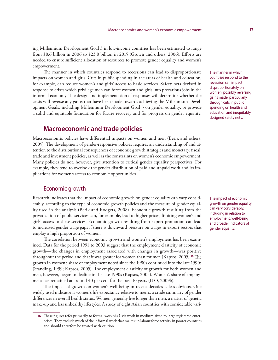ing Millennium Development Goal 3 in low-income countries has been estimated to range from \$8.6 billion in 2006 to \$23.8 billion in 2015 (Grown and others, 2006). Efforts are needed to ensure sufficient allocation of resources to promote gender equality and women's empowerment.

The manner in which countries respond to recessions can lead to disproportionate impacts on women and girls. Cuts in public spending in the areas of health and education, for example, can reduce women's and girls' access to basic services. Safety nets devised in response to crises which privilege men can force women and girls into precarious jobs in the informal economy. The design and implementation of responses will determine whether the crisis will reverse any gains that have been made towards achieving the Millennium Development Goals, including Millennium Development Goal 3 on gender equality, or provide a solid and equitable foundation for future recovery and for progress on gender equality.

## **Macroeconomic and trade policies**

Macroeconomic policies have differential impacts on women and men (Berik and others, 2009). The development of gender-responsive policies requires an understanding of and attention to the distributional consequences of economic growth strategies and monetary, fiscal, trade and investment policies, as well as the constraints on women's economic empowerment. Many policies do not, however, give attention to critical gender equality perspectives. For example, they tend to overlook the gender distribution of paid and unpaid work and its implications for women's access to economic opportunities.

### Economic growth

Research indicates that the impact of economic growth on gender equality can vary considerably, according to the type of economic growth policies and the measure of gender equality used in the analysis (Berik and Rodgers, 2008). Economic growth resulting from the privatization of public services can, for example, lead to higher prices, limiting women's and girls' access to these services. Economic growth resulting from export promotion can lead to increased gender wage gaps if there is downward pressure on wages in export sectors that employ a high proportion of women.

The correlation between economic growth and women's employment has been examined. Data for the period 1991 to 2003 suggest that the employment elasticity of economic growth—the changes in employment associated with changes in growth—was positive throughout the period and that it was greater for women than for men (Kapsos, 2005).**<sup>16</sup>** The growth in women's share of employment noted since the 1980s continued into the late 1990s (Standing, 1999; Kapsos, 2005). The employment elasticity of growth for both women and men, however, began to decline in the late 1990s (Kapsos, 2005). Women's share of employment has remained at around 40 per cent for the past 10 years (ILO, 2009b).

The impact of growth on women's well-being in recent decades is less obvious. One widely used indicator is women's life expectancy relative to men's, a crude summary of gender differences in overall health status. Women generally live longer than men, a matter of genetic make-up and less unhealthy lifestyles. A study of eight Asian countries with considerable variThe manner in which countries respond to the recession can impact disproportionately on women, possibly reversing gains made, particularly through cuts in public spending on health and education and inequitably designed safety nets.

The impact of economic growth on gender equality can vary considerably, including in relation to employment, well-being and broader indicators of gender equality.

**<sup>16</sup>** These figures refer primarily to formal work vis-à-vis work in medium-sized to large registered enterprises. They exclude much of the informal work that makes up labour force activity in poorer countries and should therefore be treated with caution.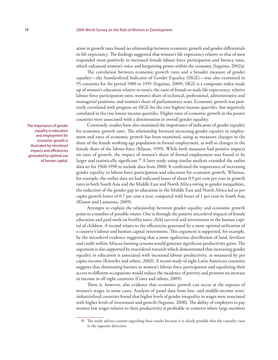ation in growth rates found no relationship between economic growth and gender differentials in life expectancy. The findings suggested that women's life expectancy relative to that of men responded most positively to increased female labour force participation and literacy rates, which enhanced women's voice and bargaining power within the economy (Seguino, 2002a).

The correlation between economic growth rates and a broader measure of gender equality—the Standardized Indicator of Gender Equality (SIGE)—was also examined in 95 countries for the period 1980 to 1995 (Seguino, 2009). SIGE is a composite index made up of women's education relative to men's; the ratio of female to male life expectancy; relative labour force participation rates; women's share of technical, professional, administrative and managerial positions; and women's share of parliamentary seats. Economic growth was positively correlated with progress on SIGE for the two highest income quartiles, but negatively correlated in the two lowest income quartiles. Higher rates of economic growth in the poorer countries were associated with a deterioration in overall gender equality.

Conversely, studies have also examined the importance of indicators of gender equality for economic growth rates. The relationship between increasing gender equality in employment and rates of economic growth has been examined, using as measures changes in the share of the female working-age population in formal employment, as well as changes in the female share of the labour force (Klasen, 1999). While both measures had positive impacts on rates of growth, the impact of women's share of formal employment was found to be larger and statistically significant.**<sup>17</sup>** A later study using similar analysis extended the earlier data set for 1960-1990 to include data from 2000. It confirmed the importance of increasing gender equality in labour force participation and education for economic growth. Whereas, for example, the earlier data set had indicated losses of about 0.9 per cent per year in growth rates in both South Asia and the Middle East and North Africa owing to gender inequalities, the reduction of the gender gap in education in the Middle East and North Africa led to per capita growth losses of 0.7 per cent a year, compared with losses of 1 per cent in South Asia (Klasen and Lamanna, 2009).

Attempts to explain the relationship between gender equality and economic growth point to a number of possible routes. One is through the positive microlevel impacts of female education and paid work on fertility rates, child survival and investments in the human capital of children. A second relates to the efficiencies generated by a more optimal utilization of a country's labour and human capital investments. This argument is supported, for example, by the microlevel evidence suggesting that a more egalitarian distribution of land, fertilizer and credit within African farming systems would generate significant productivity gains. The argument is also supported by macrolevel research which demonstrated that increasing gender equality in education is associated with increased labour productivity, as measured by per capita income (Knowles and others, 2002). A recent study of eight Latin American countries suggests that eliminating barriers to women's labour force participation and equalizing their access to different occupations would reduce the incidence of poverty and promote an increase in income in all eight countries (Costa and others, 2009).

There is, however, also evidence that economic growth can occur at the expense of women's wages in some cases. Analysis of panel data from low- and middle-income semiindustrialized countries found that higher levels of gender inequality in wages were associated with higher levels of investment and growth (Seguino, 2000). The ability of employers to pay women low wages relative to their productivity is profitable in contexts where large numbers

The importance of gender equality in education and employment for economic growth is illustrated by microlevel impacts and efficiencies generated by optimal use of human capital.

**<sup>17</sup>** The study advises caution regarding these results because it is clearly possible that the causality runs in the opposite direction.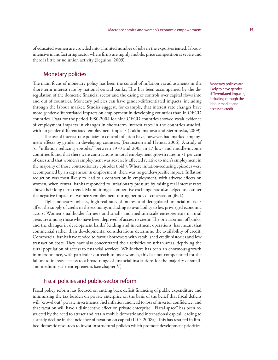of educated women are crowded into a limited number of jobs in the export-oriented, labourintensive manufacturing sector where firms are highly mobile, price competition is severe and there is little or no union activity (Seguino, 2009).

## Monetary policies

The main focus of monetary policy has been the control of inflation via adjustments in the short-term interest rate by national central banks. This has been accompanied by the deregulation of the domestic financial sector and the easing of controls over capital flows into and out of countries. Monetary policies can have gender-differentiated impacts, including through the labour market. Studies suggest, for example, that interest rate changes have more gender-differentiated impacts on employment in developing countries than in OECD countries. Data for the period 1980-2004 for nine OECD countries showed weak evidence of employment impacts in changes in short-term interest rates in the countries studied, with no gender-differentiated employment impacts (Takhtamanova and Sierminska, 2009).

The use of interest-rate policies to control inflation have, however, had marked employment effects by gender in developing countries (Braunstein and Heintz, 2006). A study of 51 "inflation reducing episodes" between 1970 and 2003 in 17 low- and middle-income countries found that there were contractions in total employment growth rates in 71 per cent of cases and that women's employment was adversely affected relative to men's employment in the majority of those contractionary episodes (ibid.). Where inflation-reducing episodes were accompanied by an expansion in employment, there was no gender-specific impact. Inflation reduction was most likely to lead to a contraction in employment, with adverse effects on women, when central banks responded to inflationary pressure by raising real interest rates above their long term trend. Maintaining a competitive exchange rate also helped to counter the negative impact on women's employment during periods of contraction (ibid.).

Tight monetary policies, high real rates of interest and deregulated financial markets affect the supply of credit in the economy, including its availability to less privileged economic actors. Women smallholder farmers and small- and medium-scale entrepreneurs in rural areas are among those who have been deprived of access to credit. The privatization of banks, and the changes in development banks' lending and investment operations, has meant that commercial rather than developmental considerations determine the availability of credit. Commercial banks have tended to favour borrowers with established credit histories and low transaction costs. They have also concentrated their activities on urban areas, depriving the rural population of access to financial services. While there has been an enormous growth in microfinance, with particular outreach to poor women, this has not compensated for the failure to increase access to a broad range of financial institutions for the majority of smalland medium-scale entrepreneurs (see chapter V).

### Fiscal policies and public-sector reform

Fiscal policy reform has focused on cutting back deficit financing of public expenditure and minimizing the tax burden on private enterprise on the basis of the belief that fiscal deficits will "crowd out" private investments, fuel inflation and lead to loss of investor confidence, and that taxation will have a disincentive effect on private enterprise. "Fiscal space" has been restricted by the need to attract and retain mobile domestic and international capital, leading to a steady decline in the incidence of taxation on capital (ILO, 2008a). This has resulted in limited domestic resources to invest in structural policies which promote development priorities. Monetary policies are likely to have genderdifferentiated impacts, including through the labour market and access to credit.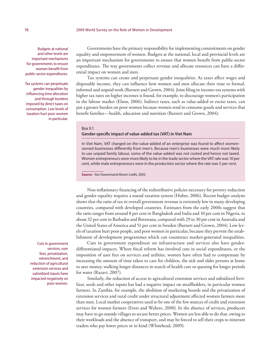Budgets at national and other levels are important mechanisms for governments to ensure women benefit from public-sector expenditures.

Tax systems can perpetuate gender inequalities by influencing time allocation and through burdens imposed by direct taxes on consumption. Low levels of taxation hurt poor women in particular.

Governments have the primary responsibility for implementing commitments on gender equality and empowerment of women. Budgets at the national, local and provincial levels are an important mechanism for governments to ensure that women benefit from public-sector expenditures. The way governments collect revenue and allocate resources can have a differential impact on women and men.

Tax systems can create and perpetuate gender inequalities. As taxes affect wages and disposable income, they can influence how women and men allocate their time to formal, informal and unpaid work (Barnett and Grown, 2004). Joint filing in income-tax systems with higher tax rates on higher incomes is found, for example, to discourage women's participation in the labour market (Elson, 2006). Indirect taxes, such as value-added or excise taxes, can put a greater burden on poor women because women tend to consume goods and services that benefit families—health, education and nutrition (Barnett and Grown, 2004).

### Box II.1 **Gender-specific impact of value-added tax (VAT) in Viet Nam**

In Viet Nam, VAT charged on the value-added of an enterprise was found to affect womenowned businesses differently from men's. Because men's businesses were much more likely to use unpaid family labour, some of the value-added was not costed and hence not taxed. Women entrepreneurs were more likely to be in the trade sector where the VAT rate was 10 per cent, while male entrepreneurs were in the production sector where the rate was 5 per cent.

**Source:** Van Staverenand Akram-Lodhi, 2003.

Non-inflationary financing of the redistributive policies necessary for poverty reduction and gender equality requires a sound taxation system (Huber, 2006). Recent budget analysis shows that the ratio of tax to overall government revenue is extremely low in many developing countries, compared with developed countries. Estimates from the early 2000s suggest that the ratio ranges from around 8 per cent in Bangladesh and India and 10 per cent in Nigeria, to about 32 per cent in Barbados and Botswana, compared with 29 to 30 per cent in Australia and the United States of America and 51 per cent in Sweden (Barnett and Grown, 2004). Low levels of taxation hurt poor people, and poor women in particular, because they prevent the establishment of development programmes which can counteract market-generated inequalities.

Cuts in government expenditure on infrastructure and services also have genderdifferentiated impacts. Where fiscal reform has involved cuts in social expenditures, or the imposition of user fees on services and utilities, women have often had to compensate by increasing the amount of time taken to care for children, the sick and older persons at home to save money, walking longer distances in search of health care or queuing for longer periods for water (Razavi, 2007).

Similarly, the reduction of access to agricultural extension services and subsidized fertilizer, seeds and other inputs has had a negative impact on smallholders, in particular women farmers. In Zambia, for example, the abolition of marketing boards and the privatization of extension services and rural credit under structural adjustment affected women farmers more than men. Local market cooperatives used to be one of the few sources of credit and extension services for women farmers (Evers and Walters, 2000). In the absence of services, producers may have to go outside villages to secure better prices. Women are less able to do that, owing to their workloads and the absence of transport, and may be forced to sell their crops to itinerant traders who pay lower prices or in kind (Whitehead, 2009).

Cuts in government services, user fees, privatization, retrenchment, and reduction of agricultural extension services and subsidized inputs have impacted negatively on poor women.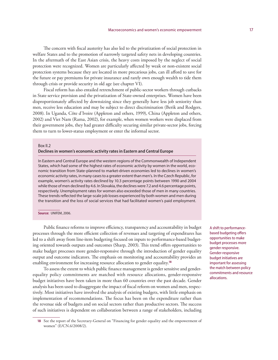The concern with fiscal austerity has also led to the privatization of social protection in welfare States and to the promotion of narrowly targeted safety nets in developing countries. In the aftermath of the East Asian crisis, the heavy costs imposed by the neglect of social protection were recognized. Women are particularly affected by weak or non-existent social protection systems because they are located in more precarious jobs, can ill afford to save for the future or pay premiums for private insurance and rarely own enough wealth to tide them through crisis or provide security in old age (see chapter VI).

Fiscal reform has also entailed retrenchment of public-sector workers through cutbacks in State service provision and the privatization of State-owned enterprises. Women have been disproportionately affected by downsizing since they generally have less job seniority than men, receive less education and may be subject to direct discrimination (Berik and Rodgers, 2008). In Uganda, Côte d'Ivoire (Appleton and others, 1999), China (Appleton and others, 2002) and Viet Nam (Rama, 2002), for example, when women workers were displaced from their government jobs, they had greater difficulty securing similar private-sector jobs, forcing them to turn to lower-status employment or enter the informal sector.

#### Box II.2

### **Declines in women's economic activity rates in Eastern and Central Europe**

In Eastern and Central Europe and the western regions of the Commonwealth of Independent States, which had some of the highest rates of economic activity by women in the world, economic transition from State-planned to market-driven economies led to declines in women's economic activity rates, in many cases to a greater extent than men's. In the Czech Republic, for example, women's activity rates declined by 10.3 percentage points between 1990 and 2004 while those of men declined by 4.6. In Slovakia, the declines were 7.2 and 4.6 percentage points, respectively. Unemployment rates for women also exceeded those of men in many countries. These trends reflected the large-scale job losses experienced by both women and men during the transition and the loss of social services that had facilitated women's paid employment.

#### **Source:** UNIFEM, 2006.

Public finance reforms to improve efficiency, transparency and accountability in budget processes through the more efficient collection of revenues and targeting of expenditures has led to a shift away from line-item budgeting focused on inputs to performance-based budgeting oriented towards outputs and outcomes (Sharp, 2003). This trend offers opportunities to make budget processes more gender-responsive through the introduction of gender equality output and outcome indicators. The emphasis on monitoring and accountability provides an enabling environment for increasing resource allocation to gender equality.**<sup>18</sup>**

To assess the extent to which public finance management is gender sensitive and genderequality policy commitments are matched with resource allocations, gender-responsive budget initiatives have been taken in more than 60 countries over the past decade. Gender analysis has been used to disaggregate the impact of fiscal reform on women and men, respectively. Most initiatives have involved the analysis of existing budgets, with little emphasis on implementation of recommendations. The focus has been on the expenditure rather than the revenue side of budgets and on social sectors rather than productive sectors. The success of such initiatives is dependent on collaboration between a range of stakeholders, including A shift to performancebased budgeting offers opportunities to make budget processes more gender responsive. Gender-responsive budget initiatives are important for assessing the match between policy commitments and resource allocations.

**<sup>18</sup>** See the report of the Secretary-General on "Financing for gender equality and the empowerment of women" (E/CN.6/2008/2).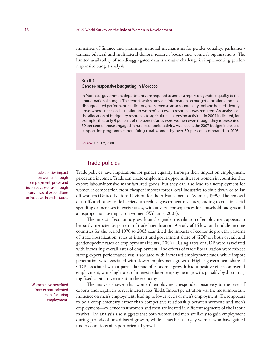#### 18 2009 World Survey on the Role of Women in Development

ministries of finance and planning, national mechanisms for gender equality, parliamentarians, bilateral and multilateral donors, research bodies and women's organizations. The limited availability of sex-disaggregated data is a major challenge in implementing genderresponsive budget analysis.

#### Box II.3

#### **Gender-responsive budgeting in Morocco**

In Morocco, government departments are required to annex a report on gender equality to the annual national budget. The report, which provides information on budget allocations and sexdisaggregated performance indicators, has served as an accountability tool and helped identify areas where increased attention to women's access to resources was required. An analysis of the allocation of budgetary resources to agricultural extension activities in 2004 indicated, for example, that only 9 per cent of the beneficiaries were women even though they represented 39 per cent of those engaged in rural economic activity. As a result, the 2007 budget increased support for programmes benefiting rural women by over 50 per cent compared to 2005.

**Source:** UNIFEM, 2008.

### Trade policies

Trade policies have implications for gender equality through their impact on employment, prices and incomes. Trade can create employment opportunities for women in countries that export labour-intensive manufactured goods, but they can also lead to unemployment for women if competition from cheaper imports forces local industries to shut down or to lay off workers (United Nations Division for the Advancement of Women, 1999). The removal of tariffs and other trade barriers can reduce government revenues, leading to cuts in social spending or increases in excise taxes, with adverse consequences for household budgets and a disproportionate impact on women (Williams, 2007).

The impact of economic growth on the gender distribution of employment appears to be partly mediated by patterns of trade liberalization. A study of 16 low- and middle-income countries for the period 1970 to 2003 examined the impacts of economic growth, patterns of trade liberalization, rates of interest and government share of GDP on both overall and gender-specific rates of employment (Heintz, 2006). Rising rates of GDP were associated with increasing overall rates of employment. The effects of trade liberalization were mixed: strong export performance was associated with increased employment rates, while import penetration was associated with slower employment growth. Higher government share of GDP associated with a particular rate of economic growth had a positive effect on overall employment, while high rates of interest reduced employment growth, possibly by discouraging fixed capital investment in the economy.

The analysis showed that women's employment responded positively to the level of exports and negatively to real interest rates (ibid.). Import penetration was the most important influence on men's employment, leading to lower levels of men's employment. There appears to be a complementary rather than competitive relationship between women's and men's employment—evidence that women and men are located in different segments of the labour market. The analysis also suggests that both women and men are likely to gain employment during periods of broad-based growth, while it has been largely women who have gained under conditions of export-oriented growth.

Trade policies impact on women through employment, prices and incomes as well as through cuts in social expenditure or increases in excise taxes.

> Women have benefited from export-oriented manufacturing employment.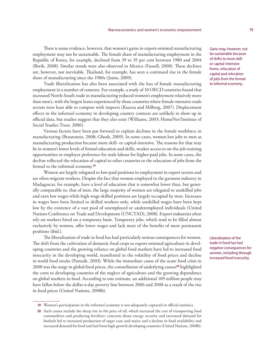There is some evidence, however, that women's gains in export-oriented manufacturing employment may not be sustainable. The female share of manufacturing employment in the Republic of Korea, for example, declined from 39 to 35 per cent between 1980 and 2004 (Berik, 2008). Similar trends were also observed in Mexico (Fussell, 2000). These declines are, however, not inevitable. Thailand, for example, has seen a continued rise in the female share of manufacturing since the 1980s (Jomo, 2009).

Trade liberalization has also been associated with the loss of female manufacturing employment in a number of contexts. For example, a study of 10 OECD countries found that increased North-South trade in manufacturing reduced women's employment relatively more than men's, with the largest losses experienced by those countries where female-intensive trade sectors were least able to compete with imports (Kucera and Milberg, 2007). Displacement effects in the informal economy in developing country contexts are unlikely to show up in official data, but studies suggest that they also exist (Williams, 2003; HomeNet/Institute of Social Studies Trust, 2006).

Various factors have been put forward to explain declines in the female workforce in manufacturing (Braunstein, 2008; Ghosh, 2009). In some cases, women lost jobs to men as manufacturing production became more skill- or capital-intensive. The reasons for that may lie in women's lower levels of formal education and skills, weaker access to on-the-job training opportunities or employer preference for male labour for higher-paid jobs. In some cases, the decline reflected the relocation of capital to other countries or the relocation of jobs from the formal to the informal economy.**<sup>19</sup>**

Women are largely relegated to low-paid positions in employment in export sectors and are often migrant workers. Despite the fact that women employed in the garment industry in Madagascar, for example, have a level of education that is somewhat lower than, but generally comparable to, that of men, the large majority of women are relegated to unskilled jobs and earn low wages while high-wage skilled positions are largely occupied by men. Increases in wages have been limited to skilled workers only, while unskilled wages have been kept low by the existence of a vast pool of unemployed or underemployed individuals (United Nations Conference on Trade and Development (UNCTAD), 2008). Export industries often rely on workers hired on a temporary basis. Temporary jobs, which tend to be filled almost exclusively by women, offer lower wages and lack most of the benefits of more permanent positions (ibid.).

The liberalization of trade in food has had particularly serious consequences for women. The shift from the cultivation of domestic food crops to export-oriented agriculture in developing countries and the growing reliance on global food markets have led to increased food insecurity in the developing world, manifested in the volatility of food prices and decline in world food stocks (Patnaik, 2003). While the immediate cause of the acute food crisis in 2008 was the surge in global food prices, the constellation of underlying causes**<sup>20</sup>** highlighted the costs to developing countries of the neglect of agriculture and the growing dependence on global markets in food. According to one estimate, an additional 109 million people may have fallen below the dollar-a-day poverty line between 2006 and 2008 as a result of the rise in food prices (United Nations, 2008b).

Gains may, however, not be sustainable because of shifts to more skillor capital-intensive forms, relocation of capital and relocation of jobs from the formal to informal economy.

Liberalization of the trade in food has had negative consequences for women, including through increased food insecurity.

**<sup>19</sup>** Women's participation in the informal economy is not adequately captured in official statistics.

**<sup>20</sup>** Such causes include the sharp rise in the price of oil, which increased the cost of transporting food commodities and producing fertilizer; concerns about energy security and increased demand for biofuels led to increased production of sugar cane and maize and a decline in food availability and increased demand for food and fuel from high-growth developing countries (United Nations, 2008b).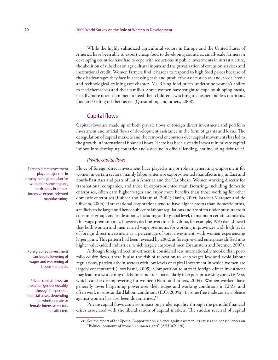While the highly subsidized agricultural sectors in Europe and the United States of America have been able to export cheap food to developing countries, small-scale farmers in developing countries have had to cope with reductions in public investments in infrastructure, the abolition of subsidies on agricultural inputs and the privatization of extension services and institutional credit. Women farmers find it harder to respond to high food prices because of the disadvantages they face in accessing cash and productive assets such as land, seeds, credit and technological training (see chapter IV). Rising food prices undermine women's ability to feed themselves and their families. Some women have sought to cope by skipping meals, usually more often than men, to feed their children, switching to cheaper and less nutritious food and selling off their assets (Quisumbing and others, 2008).

## Capital flows

Capital flows are made up of both private flows of foreign direct investment and portfolio investment and official flows of development assistance in the form of grants and loans. The deregulation of capital markets and the removal of controls over capital movements has led to the growth in international financial flows. There has been a steady increase in private capital inflows into developing countries and a decline in official lending, not including debt relief.

#### *Private capital flows*

Flows of foreign direct investment have played a major role in generating employment for women in certain sectors, mainly labour-intensive export-oriented manufacturing in East and South-East Asia and parts of Latin America and the Caribbean. Women working directly for transnational companies, and those in export-oriented manufacturing, including domestic enterprises, often earn higher wages and enjoy more benefits than those working for other domestic enterprises (Kabeer and Mahmud, 2004; Davin, 2004; Brachet-Márquez and de Oliveira, 2004). Transnational corporations tend to have higher profits than domestic firms, are likely to be larger and hence subject to labour regulations and are often under pressure from consumer groups and trade unions, including at the global level, to maintain certain standards. This wage premium may, however, decline over time. In China, for example, 1995 data showed that both women and men earned wage premiums for working in provinces with high levels of foreign direct investment as a percentage of total investment, with women experiencing larger gains. This pattern had been reversed by 2002, as foreign-owned enterprises shifted into higher value-added industries, which largely employed men (Braunstein and Brenner, 2007).

Although foreign direct investment is considered less internationally mobile than portfolio equity flows, there is also the risk of relocation to keep wages low and avoid labour regulations, particularly in sectors with low levels of capital investment in which women are largely concentrated (Doraisami, 2009). Competition to attract foreign direct investment may lead to a weakening of labour standards, particularly in export processing zones (EPZs), which can be disempowering for women (Floro and others, 2004). Women workers have generally lower bargaining power over their wages and working conditions in EPZs, and often work in substandard labour conditions (ILO, 2009a). In some free trade zones, violence against women has also been documented.**<sup>21</sup>**

Private capital flows can also impact on gender equality through the periodic financial crises associated with the liberalization of capital markets. The sudden reversal of capital

Foreign direct investment plays a major role in employment generation for women in some regions, particularly in labourintensive export-oriented manufacturing.

Foreign direct investment can lead to lowering of wages and weakening of labour standards.

Private capital flows can impact on gender equality through the periodic financial crises, depending on whether male or female-intensive sectors are affected.

**<sup>21</sup>** See the report of the Special Rapporteur on violence against women, its causes and consequences on "Political economy of women's human rights" (A/HRC/11/6).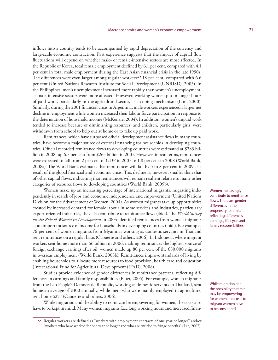inflows into a country tends to be accompanied by rapid depreciation of the currency and large-scale economic contraction. Past experience suggests that the impact of capital flow fluctuations will depend on whether male- or female-intensive sectors are most affected. In the Republic of Korea, total female employment declined by 6.1 per cent, compared with 4.1 per cent in total male employment during the East Asian financial crisis in the late 1990s. The differences were even larger among regular workers:**<sup>22</sup>** 18 per cent, compared with 6.6 per cent (United Nations Research Institute for Social Development (UNRISD), 2005). In the Philippines, men's unemployment increased more rapidly than women's unemployment, as male-intensive sectors were more affected. However, working women put in longer hours of paid work, particularly in the agricultural sector, as a coping mechanism (Lim, 2000). Similarly, during the 2001 financial crisis in Argentina, male workers experienced a larger net decline in employment while women increased their labour force participation in response to the deterioration of household income (McKenzie, 2004). In addition, women's unpaid work tended to increase because of diminishing resources, and children, particularly girls, were withdrawn from school to help out at home or to take up paid work.

Remittances, which have surpassed official development assistance flows in many countries, have become a major source of external financing for households in developing countries. Official recorded remittance flows to developing countries were estimated at \$283 billion in 2008, up 6.7 per cent from \$265 billion in 2007. However, in real terms, remittances were expected to fall from 2 per cent of GDP in 2007 to 1.8 per cent in 2008 (World Bank, 2008a). The World Bank estimates that remittances will fall by 5 to 8 per cent in 2009 as a result of the global financial and economic crisis. This decline is, however, smaller than that of other capital flows, indicating that remittances will remain resilient relative to many other categories of resource flows to developing countries (World Bank, 2009b).

Women make up an increasing percentage of international migrants, migrating independently in search of jobs and economic independence and empowerment (United Nations Division for the Advancement of Women, 2004). As women migrants take up opportunities created by increased demand for female labour in some services and industries, particularly export-oriented industries, they also contribute to remittance flows (ibid.). The *World Survey on the Role of Women in Development* in 2004 identified remittances from women migrants as an important source of income for households in developing countries (ibid.). For example, 76 per cent of women migrants from Myanmar working as domestic servants in Thailand sent remittances on a regular basis (Caouette and others, 2006). In Indonesia, where migrant workers sent home more than \$6 billion in 2006, making remittances the highest source of foreign exchange earnings after oil, women made up 80 per cent of the 680,000 migrants in overseas employment (World Bank, 2008b). Remittances improve standards of living by enabling households to allocate more resources to food provision, health care and education (International Fund for Agricultural Development (IFAD), 2008).

Studies provide evidence of gender differences in remittance patterns, reflecting differences in earnings and family responsibilities (Piper, 2005). For example, women migrants from the Lao People's Democratic Republic, working as domestic servants in Thailand, sent home an average of \$300 annually, while men, who were mainly employed in agriculture, sent home \$257 (Caouette and others, 2006).

While migration and the ability to remit can be empowering for women, the costs also have to be kept in mind. Many women migrants face long working hours and increased finanWomen increasingly contribute to remittance flows. There are gender differences in the propensity to remit, reflecting differences in earnings, life cycle and family responsibilities.

While migration and the possibility to remit may be empowering for women, the costs to migrant women have to be considered.

**<sup>22</sup>** Regular workers are defined as "workers with employment contracts of one year or longer" and/or "workers who have worked for one year or longer and who are entitled to fringe benefits" (Lee, 2007).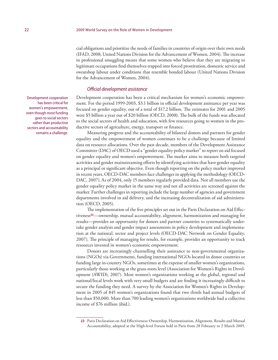cial obligations and prioritize the needs of families in countries of origin over their own needs (IFAD, 2008; United Nations Division for the Advancement of Women, 2004). The increase in professional smuggling means that some women who believe that they are migrating to legitimate occupations find themselves trapped into forced prostitution, domestic service and sweatshop labour under conditions that resemble bonded labour (United Nations Division for the Advancement of Women, 2004).

#### *Official development assistance*

Development cooperation has been a critical mechanism for women's economic empowerment. For the period 1999-2003, \$3.1 billion in official development assistance per year was focused on gender equality, out of a total of \$17.2 billion. The estimates for 2001 and 2005 were \$5 billion a year out of \$20 billion (OECD, 2008). The bulk of the funds was allocated to the social sectors of health and education, with few resources going to women in the productive sectors of agriculture, energy, transport or finance.

Measuring progress and the accountability of bilateral donors and partners for gender equality and the empowerment of women continues to be a challenge because of limited data on resource allocations. Over the past decade, members of the Development Assistance Committee (DAC) of OECD used a "gender equality policy marker" to report on aid focused on gender equality and women's empowerment. The marker aims to measure both targeted activities and gender mainstreaming efforts by identifying activities that have gender equality as a principal or significant objective. Even though reporting on the policy marker improved in recent years, OECD-DAC members face challenges in applying the methodology (OECD-DAC, 2007). As of 2004, only 15 members regularly provided data. Not all members use the gender equality policy marker in the same way and not all activities are screened against the marker. Further challenges in reporting include the large number of agencies and government departments involved in aid delivery, and the increasing decentralization of aid administration (OECD, 2005).

The implementation of the five principles set out in the Paris Declaration on Aid Effectiveness**<sup>23</sup>**—ownership, mutual accountability, alignment, harmonization and managing for results—provides an opportunity for donors and partner countries to systematically undertake gender analysis and gender impact assessments in policy development and implementation at the national, sector and project levels (OECD-DAC Network on Gender Equality, 2007). The principle of managing for results, for example, provides an opportunity to track resources invested in women's economic empowerment.

Donors are increasingly channelling their assistance to non-governmental organizations (NGOs) via Governments, funding international NGOs located in donor countries or funding large in-country NGOs, sometimes at the expense of smaller women's organizations, particularly those working at the grass-roots level (Association for Women's Rights in Development (AWID), 2007). Most women's organizations working at the global, regional and national/local levels work with very small budgets and are finding it increasingly difficult to secure the funding they need. A survey by the Association for Women's Rights in Development in 2005 of 845 women's organizations found that two thirds had annual budgets of less than \$50,000. More than 700 leading women's organizations worldwide had a collective income of \$76 million (ibid.).

Development cooperation has been critical for women's empowerment, even though most funding goes to social sectors rather than productive sectors and accountability remains a challenge.

**<sup>23</sup>** Paris Declaration on Aid Effectiveness: Ownership, Harmonization, Alignment, Results and Mutual Accountability, adopted at the High-level Forum held in Paris from 28 February to 2 March 2005.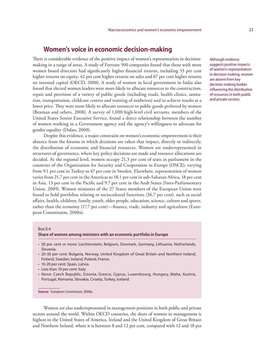## **Women's voice in economic decision-making**

There is considerable evidence of the positive impact of women's representation in decisionmaking in a range of areas. A study of Fortune 500 companies found that those with more women board directors had significantly higher financial returns, including 53 per cent higher returns on equity, 42 per cent higher returns on sales and 67 per cent higher returns on invested capital (OECD, 2008). A study of women in local government in India also found that elected women leaders were more likely to allocate resources to the construction, repair and provision of a variety of public goods (including roads, health clinics, sanitation, transportation, childcare centres and training of midwives) and to achieve results at a lower price. They were more likely to allocate resources to public goods preferred by women (Beaman and others, 2008). A survey of 1,000 high-level civil servants, members of the United States Senior Executive Service, found a direct relationship between the number of women working in a Government agency and the agency's willingness to advocate for gender equality (Dolan, 2000).

Despite this evidence, a major constraint on women's economic empowerment is their absence from the forums in which decisions are taken that impact, directly or indirectly, the distribution of economic and financial resources. Women are underrepresented in structures of governance, where key policy decisions are made and resource allocations are decided. At the regional level, women occupy 21.3 per cent of seats in parliament in the countries of the Organization for Security and Cooperation in Europe (OSCE), varying from 9.1 per cent in Turkey to 47 per cent in Sweden. Elsewhere, representation of women varies from 21.7 per cent in the Americas to 18.1 per cent in sub-Saharan Africa, 18 per cent in Asia, 13 per cent in the Pacific and 9.7 per cent in the Arab States (Inter-Parliamentary Union, 2009). Women ministers of the 27 States members of the European Union were found to hold portfolios relating to sociocultural functions (36.7 per cent), such as social affairs, health, children, family, youth, older people, education, science, culture and sports, rather than the economy (17.7 per cent)—finance, trade, industry and agriculture (European Commission, 2008a).

#### Box II.4

**Share of women among ministers with an economic portfolio in Europe**

- 30 per cent or more: Liechtenstein, Belgium, Denmark, Germany, Lithuania, Netherlands, Slovenia.
- 20-30 per cent: Bulgaria, Norway, United Kingdom of Great Britain and Northern Ireland, Finland, Sweden, Ireland, Poland, France.
- 10-20 per cent: Spain, Latvia.
- Less than 10 per cent: Italy.
- None: Czech Republic, Estonia, Greece, Cyprus, Luxembourg, Hungary, Malta, Austria, Portugal, Romania, Slovakia, Croatia, Turkey, Iceland.

**Source:** European Commission, 2008a.

Women are also underrepresented in management positions in both public and private sectors around the world. Within OECD countries, the share of women in management is highest in the United States of America, Ireland and the United Kingdom of Great Britain and Northern Ireland, where it is between 8 and 12 per cent, compared with 12 and 18 per Although evidence suggests positive impacts of women's representation in decision-making, women are absent from key decision-making bodies influencing the distribution of resources in both public and private sectors.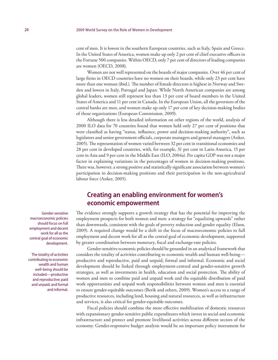cent of men. It is lowest in the southern European countries, such as Italy, Spain and Greece. In the United States of America, women make up only 2 per cent of chief executive officers in the Fortune 500 companies. Within OECD, only 7 per cent of directors of leading companies are women (OECD, 2008).

Women are not well represented on the boards of major companies. Over 46 per cent of large firms in OECD countries have no women on their boards, while only 23 per cent have more than one woman (ibid.). The number of female directors is highest in Norway and Sweden and lowest in Italy, Portugal and Japan. While North American companies are among global leaders, women still represent less than 13 per cent of board members in the United States of America and 11 per cent in Canada. In the European Union, all the governors of the central banks are men, and women make up only 17 per cent of key decision-making bodies of those organizations (European Commission, 2009).

Although there is less detailed information on other regions of the world, analysis of 2000 ILO data for 70 countries found that women held only 27 per cent of positions that were classified as having "status, influence, power and decision-making authority", such as legislators and senior government officials, corporate managers and general managers (Anker, 2005). The representation of women varied between 32 per cent in transitional economies and 28 per cent in developed countries, with, for example, 31 per cent in Latin America, 15 per cent in Asia and 9 per cent in the Middle East (ILO, 2004a). Per capita GDP was not a major factor in explaining variations in the percentages of women in decision-making positions. There was, however, a strong positive and statistically significant association between women's participation in decision-making positions and their participation in the non-agricultural labour force (Anker, 2005).

# **Creating an enabling environment for women's economic empowerment**

The evidence strongly supports a growth strategy that has the potential for improving the employment prospects for both women and men: a strategy for "equalizing upwards" rather than downwards, consistent with the goals of poverty reduction and gender equality (Elson, 2009). A required change would be a shift in the focus of macroeconomic policies to full employment and decent work for all as the central goal of economic development, supported by greater coordination between monetary, fiscal and exchange-rate policies.

Gender-sensitive economic policies should be grounded in an analytical framework that considers the totality of activities contributing to economic wealth and human well-being productive and reproductive, paid and unpaid, formal and informal. Economic and social development should be linked through employment-centred and gender-sensitive growth strategies, as well as investments in health, education and social protection. The ability of women and men to combine paid and unpaid work and the equitable distribution of paid work opportunities and unpaid work responsibilities between women and men is essential to ensure gender-equitable outcomes (Berik and others, 2009). Women's access to a range of productive resources, including land, housing and natural resources, as well as infrastructure and services, is also critical for gender-equitable outcomes.

Fiscal policies should combine the more effective mobilization of domestic resources with expansionary gender-sensitive public expenditures which invest in social and economic infrastructure and protect and promote livelihood activities across different sectors of the economy. Gender-responsive budget analysis would be an important policy instrument for

Gender-sensitive macroeconomic policies should focus on full employment and decent work for all as the central goal of economic development.

The totality of activities contributing to economic wealth and human well-being should be included—productive and reproductive; paid and unpaid; and formal and informal.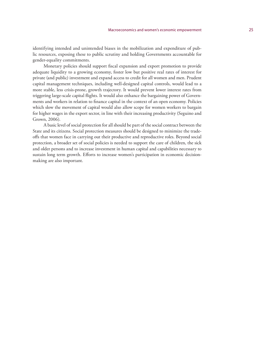identifying intended and unintended biases in the mobilization and expenditure of public resources, exposing these to public scrutiny and holding Governments accountable for gender-equality commitments.

Monetary policies should support fiscal expansion and export promotion to provide adequate liquidity to a growing economy, foster low but positive real rates of interest for private (and public) investment and expand access to credit for all women and men. Prudent capital management techniques, including well-designed capital controls, would lead to a more stable, less crisis-prone, growth trajectory. It would prevent lower interest rates from triggering large-scale capital flights. It would also enhance the bargaining power of Governments and workers in relation to finance capital in the context of an open economy. Policies which slow the movement of capital would also allow scope for women workers to bargain for higher wages in the export sector, in line with their increasing productivity (Seguino and Grown, 2006).

A basic level of social protection for all should be part of the social contract between the State and its citizens. Social protection measures should be designed to minimize the tradeoffs that women face in carrying out their productive and reproductive roles. Beyond social protection, a broader set of social policies is needed to support the care of children, the sick and older persons and to increase investment in human capital and capabilities necessary to sustain long term growth. Efforts to increase women's participation in economic decisionmaking are also important.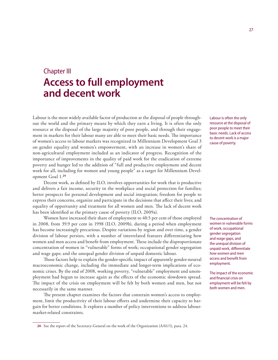# Chapter III **Access to full employment and decent work**

Labour is the most widely available factor of production at the disposal of people throughout the world and the primary means by which they earn a living. It is often the only resource at the disposal of the large majority of poor people, and through their engagement in markets for their labour many are able to meet their basic needs. The importance of women's access to labour markets was recognized in Millennium Development Goal 3 on gender equality and women's empowerment, with an increase in women's share of non-agricultural employment included as an indicator of progress. Recognition of the importance of improvements in the quality of paid work for the eradication of extreme poverty and hunger led to the addition of "full and productive employment and decent work for all, including for women and young people" as a target for Millennium Development Goal 1.**<sup>24</sup>**

Decent work, as defined by ILO, involves opportunities for work that is productive and delivers a fair income, security in the workplace and social protection for families; better prospects for personal development and social integration; freedom for people to express their concerns, organize and participate in the decisions that affect their lives; and equality of opportunity and treatment for all women and men. The lack of decent work has been identified as the primary cause of poverty (ILO, 2009a).

Women have increased their share of employment to 40.5 per cent of those employed in 2008, from 39.9 per cent in 1998 (ILO, 2009b), during a period when employment has become increasingly precarious. Despite variations by region and over time, a gender division of labour persists, with a number of interrelated features differentiating how women and men access and benefit from employment. These include the disproportionate concentration of women in "vulnerable" forms of work; occupational gender segregation and wage gaps; and the unequal gender division of unpaid domestic labour.

Those factors help to explain the gender-specific impact of apparently gender-neutral macroeconomic change, including the immediate and longer-term implications of economic crises. By the end of 2008, working poverty, "vulnerable" employment and unemployment had begun to increase again as the effects of the economic slowdown spread. The impact of the crisis on employment will be felt by both women and men, but not necessarily in the same manner.

The present chapter examines the factors that constrain women's access to employment, limit the productivity of their labour efforts and undermine their capacity to bargain for better conditions. It explores a number of policy interventions to address labourmarket-related constraints.

Labour is often the only resource at the disposal of poor people to meet their basic needs. Lack of access to decent work is a major cause of poverty.

The concentration of women in vulnerable forms of work, occupational gender segregation and wage gaps, and the unequal division of unpaid work, differentiate how women and men access and benefit from employment.

The impact of the economic and financial crisis on employment will be felt by both women and men.

**<sup>24</sup>** See the report of the Secretary-General on the work of the Organization (A/61/1), para. 24.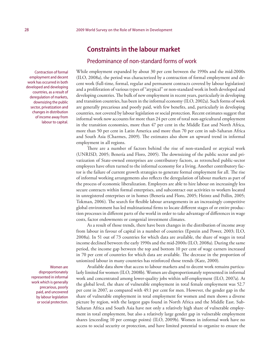# **Constraints in the labour market**

## Predominance of non-standard forms of work

While employment expanded by about 30 per cent between the 1990s and the mid-2000s (ILO, 2008a), the period was characterized by a contraction of formal employment and decent work (full-time, formal, regular and permanent contracts covered by labour legislation) and a proliferation of various types of "atypical" or non-standard work in both developed and developing countries. The bulk of new employment in recent years, particularly in developing and transition countries, has been in the informal economy (ILO, 2002a). Such forms of work are generally precarious and poorly paid, with few benefits, and, particularly in developing countries, not covered by labour legislation or social protection. Recent estimates suggest that informal work now accounts for more than 24 per cent of total non-agricultural employment in the transition economies, more than 47 per cent in the Middle East and North Africa, more than 50 per cent in Latin America and more than 70 per cent in sub-Saharan Africa and South Asia (Charmes, 2009). The estimates also show an upward trend in informal employment in all regions.

There are a number of factors behind the rise of non-standard or atypical work (UNRISD, 2005; Benería and Floro, 2005). The downsizing of the public sector and privatization of State-owned enterprises are contributory factors, as retrenched public-sector employees have often turned to the informal economy for a living. Another contributory factor is the failure of current growth strategies to generate formal employment for all. The rise of informal working arrangements also reflects the deregulation of labour markets as part of the process of economic liberalization. Employers are able to hire labour on increasingly less secure contracts within formal enterprises, and subcontract out activities to workers located in unregistered enterprises or in homes (Benería and Floro, 2005; Heintz and Pollin, 2005; Tokman, 2006). The search for flexible labour arrangements in an increasingly competitive global environment has led multinational firms to locate different stages of or entire production processes in different parts of the world in order to take advantage of differences in wage costs, factor endowments or congenial investment climates.

As a result of those trends, there have been changes in the distribution of income away from labour in favour of capital in a number of countries (Epstein and Power, 2003; ILO, 2008a). In 51 out of 73 countries for which data are available, the share of wages in total income declined between the early 1990s and the mid-2000s (ILO, 2008a). During the same period, the income gap between the top and bottom 10 per cent of wage earners increased in 70 per cent of countries for which data are available. The decrease in the proportion of unionized labour in many countries has reinforced those trends (Katz, 2000).

Available data show that access to labour markets and to decent work remains particularly limited for women (ILO, 2008b). Women are disproportionately represented in informal work and concentrated among lower-quality jobs within self-employment (ILO, 2007a). At the global level, the share of vulnerable employment in total female employment was 52.7 per cent in 2007, as compared with 49.1 per cent for men. However, the gender gap in the share of vulnerable employment in total employment for women and men shows a diverse picture by region, with the largest gaps found in North Africa and the Middle East. Sub-Saharan Africa and South Asia have not only a relatively high share of vulnerable employment in total employment, but also a relatively large gender gap in vulnerable employment shares (exceeding 10 per centage points) (ILO, 2009b). Women in informal work have no access to social security or protection, and have limited potential to organize to ensure the

Contraction of formal employment and decent work has occurred in both developed and developing countries, as a result of deregulation of markets, downsizing the public sector, privatization and changes in distribution of income away from labour to capital.

> Women are disproportionately represented in informal work which is generally precarious, poorly paid, and uncovered by labour legislation or social protection.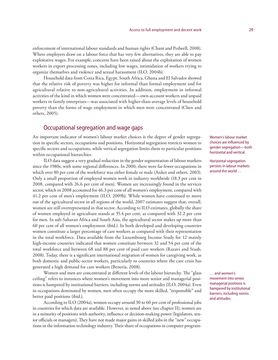enforcement of international labour standards and human rights (Chant and Pedwell, 2008). Where employers draw on a labour force that has very few alternatives, they are able to pay exploitative wages. For example, concerns have been raised about the exploitation of women workers in export processing zones, including low wages, intimidation of workers trying to organize themselves and violence and sexual harassment (ILO, 2004b).

Household data from Costa Rica, Egypt, South Africa, Ghana and El Salvador showed that the relative risk of poverty was higher for informal than formal employment and for agricultural relative to non-agricultural activities. In addition, employment in informal activities of the kind in which women were concentrated—own-account workers and unpaid workers in family enterprises—was associated with higher-than-average levels of household poverty than the forms of wage employment in which men were concentrated (Chen and others, 2005).

## Occupational segregation and wage gaps

An important indicator of women's labour market choices is the degree of gender segregation in specific sectors, occupations and positions. Horizontal segregation restricts women to specific sectors and occupations, while vertical segregation limits them to particular positions within occupational hierarchies.

ILO data suggest a very gradual reduction in the gender segmentation of labour markets since the 1980s, with some regional differences. In 2000, there were far fewer occupations in which over 80 per cent of the workforce was either female or male (Anker and others, 2003). Only a small proportion of employed women work in industry worldwide (18.3 per cent in 2008, compared with 26.6 per cent of men). Women are increasingly found in the services sector, which in 2008 accounted for 46.3 per cent of all women's employment, compared with 41.2 per cent of men's employment (ILO, 2009b). While women have continued to move out of the agricultural sector in all regions of the world, 2007 estimates suggest that, overall, women are still overrepresented in that sector. According to ILO estimates, globally the share of women employed in agriculture stands at 35.4 per cent, as compared with 32.2 per cent for men. In sub-Saharan Africa and South Asia, the agricultural sector makes up more than 60 per cent of all women's employment (ibid.). In both developed and developing countries women constitute a larger percentage of care workers as compared with their representation in the total workforce. Data available from the Luxembourg Income Study for 12 mainly high-income countries indicated that women constitute between 32 and 54 per cent of the total workforce and between 68 and 88 per cent of paid care workers (Razavi and Staab, 2008). Today, there is a significant international migration of women for caregiving work, as both domestic and public-sector workers, particularly to countries where the care crisis has generated a high demand for care workers (Benería, 2008).

Women and men are concentrated at different levels of the labour hierarchy. The "glass ceiling" refers to instances where women's movement into more senior and managerial positions is hampered by institutional barriers, including norms and attitudes (ILO, 2004a). Even in occupations dominated by women, men often occupy the more skilled, "responsible" and better paid positions (ibid.).

According to ILO (2004a), women occupy around 30 to 60 per cent of professional jobs in countries for which data are available. However, as noted above (see chapter II), women are in a minority of positions with authority, influence or decision-making power (legislators, senior officials or managers). They have not made major gains in skilled jobs in the "new" occupations in the information technology industry. Their share of occupations in computer programWomen's labour market choices are influenced by gender segregation—both horizontal and vertical.

Horizontal segregation persists in labour markets around the world …

… and women's movement into senior managerial positions is hampered by institutional barriers, including norms and attitudes.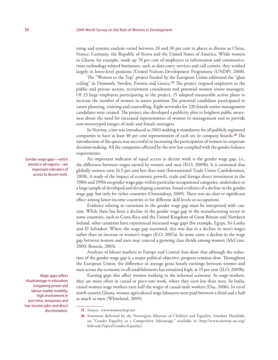ming and systems analysis varied between 20 and 30 per cent in places as diverse as China, France, Germany, the Republic of Korea and the United States of America. While women in Ghana, for example, made up 70 per cent of employees in information and communications technology-related businesses, such as data-entry services and call centres, they worked largely in lower-level positions (United Nations Development Programme (UNDP), 2008).

The "Women to the Top" project funded by the European Union addressed the "glass ceiling" in Denmark, Sweden, Estonia and Greece.**<sup>25</sup>** The project targeted employers in the public and private sectors, recruitment consultants and potential women senior managers. Of 23 large employers participating in the project, 15 adopted measurable action plans to increase the number of women in senior positions The potential candidates participated in career planning, training and counselling. Eight networks for 220 female senior management candidates were created. The project also developed a publicity plan to heighten public awareness about the need for increased representation of women in management and to provide non-stereotyped images of male and female managers.

In Norway, a law was introduced in 2003 making it mandatory for all publicly registered companies to have at least 40 per cent representation of each sex in company boards.**<sup>26</sup>** The introduction of the quota was successful in increasing the participation of women in corporate decision-making. All the companies affected by the new law complied with the gender-balance requirements.

An important indicator of equal access to decent work is the gender wage gap, i.e., the difference between wages earned by women and men (ILO, 2009b). It is estimated that globally women earn 16.5 per cent less than men (International Trade Union Confederation, 2008). A study of the impact of economic growth, trade and foreign direct investment in the 1980s and 1990s on gender wage gaps within particular occupational categories, undertaken in a large sample of developed and developing countries, found evidence of a decline in the gender wage gap, but only for richer countries (Oostendorp, 2009). There was no clear or significant effect among lower-income countries or for different skill levels or occupations.

Evidence relating to variations in the gender wage gap must be interpreted with caution. While there has been a decline in the gender wage gap in the manufacturing sector in some countries, such as Costa Rica and the United Kingdom of Great Britain and Northern Ireland, other countries have experienced increased wage gaps (for example, Egypt, Sri Lanka and El Salvador). Where the wage gap narrowed, this was due to a decline in men's wages rather than an increase in women's wages (ILO, 2007a). In some cases, a decline in the wage gap between women and men may conceal a growing class divide among women (McCrate, 2000; Benería, 2003).

Analyses of labour markets in Europe and Central Asia show that although the reduction of the gender wage gap is a major political objective, progress remains slow. Throughout the European Union, the difference in average gross hourly earnings between women and men across the economy in all establishments has remained high, at 15 per cent (ILO, 2009b).

Earning gaps also affect women working in the informal economy. As wage workers, they are more often in casual or piece-rate work, where they earn less than men. In India, casual women wage workers earn half the wages of casual male workers (Das, 2006). In rural north-eastern Ghana, women agricultural wage labourers were paid between a third and a half as much as men (Whitehead, 2009).

Gender wage gaps—which persist in all regions—are important indicators of access to decent work.

Wage gaps reflect disadvantage in education; bargaining power and labour market mobility; high involvement in part-time, temporary and low-income jobs; and direct discrimination.

<sup>25</sup> Source: www.women2top.net.

**<sup>26</sup>** Statement delivered by the Norwegian Minister of Children and Equality, Anniken Huitfeldt, on "Gender Equality as a Competitive Advantage," available at: http://www.norway-un.org/ Selected+Topics/Gender+Equality/.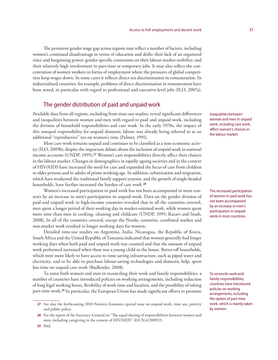The persistent gender wage gap across regions may reflect a number of factors, including women's continued disadvantage in terms of education and skills; their lack of an organized voice and bargaining power; gender-specific constraints on their labour market mobility; and their relatively high involvement in part-time or temporary jobs. It may also reflect the concentration of women workers in forms of employment where the pressures of global competition keep wages down. In some cases it reflects direct sex discrimination in remuneration. In industrialized countries, for example, problems of direct discrimination in remuneration have been noted, in particular with regard to professional and executive-level jobs (ILO, 2007a).

## The gender distribution of paid and unpaid work

Available data from all regions, including from time-use studies, reveal significant differences and inequalities between women and men with regard to paid and unpaid work, including the division of household responsibilities and care work. In the early 1970s, the impact of this unequal responsibility for unpaid domestic labour was already being referred to as an additional "reproductive" tax on women's time (Palmer, 1991).

Most care work remains unpaid and continues to be classified as a non-economic activity (ILO, 2009b), despite the important debate about the inclusion of unpaid work in national income accounts (UNDP, 1995).**<sup>27</sup>** Women's care responsibilities directly affect their choices in the labour market. Changes in demographics in rapidly ageing societies and in the context of HIV/AIDS have increased the need for care and expanded the focus of care from children to older persons and to adults of prime working age. In addition, urbanization and migration, which have weakened the traditional family support systems, and the growth of single-headed households, have further increased the burden of care work.**<sup>28</sup>**

Women's increased participation in paid work has not been accompanied in most contexts by an increase in men's participation in unpaid work. Data on the gender division of paid and unpaid work in high-income countries revealed that in all the countries covered, men spent a longer period of their working day in market-oriented work, while women spent more time than men in cooking, cleaning and childcare (UNDP, 1995; Razavi and Staab, 2008). In all of the countries covered, except the Nordic countries, combined market and non-market work resulted in longer working days for women.

Detailed time-use studies on Argentina, India, Nicaragua, the Republic of Korea, South Africa and the United Republic of Tanzania indicated that women generally had longer working days when both paid and unpaid work was counted and that the amount of unpaid work performed increased when there was a young child in the house. Better-off households, which were more likely to have access to time-saving infrastructure, such as piped water and electricity, and to be able to purchase labour-saving technologies and domestic help, spent less time on unpaid care work (Budlender, 2008).

To assist both women and men in reconciling their work and family responsibilities, a number of countries have introduced policies on working arrangements, including reduction of long legal working hours, flexibility of work time and location, and the possibility of taking part-time work.**<sup>29</sup>** In particular, the European Union has made significant efforts to promote

Inequalities between women and men in unpaid work, including care work, affect women's choices in the labour market.

The increased participation of women in paid work has not been accompanied by an increase in men's participation in unpaid work in most countries.

To reconcile work and family responsibilities, countries have introduced policies on working arrangements, including the option of part-time work, which is mainly taken by women.

**<sup>27</sup>** See also the forthcoming 2010 *Feminist Economics* special issue on unpaid work, time use, poverty and public policy.

**<sup>28</sup>** See the report of the Secretary-General on "The equal sharing of responsibilities between women and men, including caregiving in the context of HIV/AIDS" (E/CN.6/2009/2).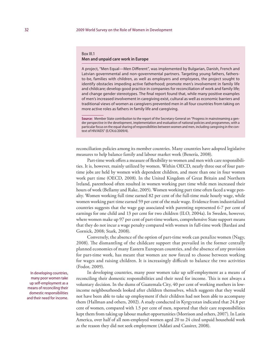#### Box III.1 **Men and unpaid care work in Europe**

A project, "Men Equal—Men Different", was implemented by Bulgarian, Danish, French and Latvian governmental and non-governmental partners. Targeting young fathers, fathersto-be, families with children, as well as employers and employees, the project sought to identify obstacles impeding active fatherhood; promote men's involvement in family life and childcare; develop good practice in companies for reconciliation of work and family life; and change gender stereotypes. The final report found that, while many positive examples of men's increased involvement in caregiving exist, cultural as well as economic barriers and traditional views of women as caregivers prevented men in all four countries from taking on more active roles as fathers in family life and caregiving.

**Source:** Member State contribution to the report of the Secretary-General on "Progress in mainstreaming a gender perspective in the development, implementation and evaluation of national policies and programmes, with a particular focus on the equal sharing of responsibilities between women and men, including caregiving in the context of HIV/AIDS" (E/CN.6/2009/4).

reconciliation policies among its member countries. Many countries have adopted legislative measures to help balance family and labour market work (Benería, 2008).

Part-time work offers a measure of flexibility to women and men with care responsibilities. It is, however, mainly utilized by women. Within OECD, nearly three out of four parttime jobs are held by women with dependent children, and more than one in four women work part time (OECD, 2008). In the United Kingdom of Great Britain and Northern Ireland, parenthood often resulted in women working part time while men increased their hours of work (Bellamy and Rake, 2005). Women working part time often faced a wage penalty. Women working full time earned 82 per cent of the full-time male hourly wage, while women working part time earned 59 per cent of the male wage. Evidence from industrialized countries suggests that the wage gap associated with parenting represented 6-7 per cent of earnings for one child and 13 per cent for two children (ILO, 2004a). In Sweden, however, where women make up 97 per cent of part-time workers, comprehensive State support means that they do not incur a wage penalty compared with women in full-time work (Bardasi and Gornick, 2008; Stark, 2008).

Conversely, the absence of the option of part-time work can penalize women (Nagy, 2008). The dismantling of the childcare support that prevailed in the former centrally planned economies of many Eastern European countries, and the absence of any provision for part-time work, has meant that women are now forced to choose between working for wages and raising children. It is increasingly difficult to balance the two activities (Fodor, 2009).

In developing countries, many poor women take up self-employment as a means of reconciling their domestic responsibilities and their need for income. This is not always a voluntary decision. In the slums of Guatemala City, 40 per cent of working mothers in lowincome neighbourhoods looked after children themselves, which suggests that they would not have been able to take up employment if their children had not been able to accompany them (Hallman and others, 2002). A study conducted in Kyrgyzstan indicated that 24.8 per cent of women, compared with 1.5 per cent of men, reported that their care responsibilities kept them from taking up labour market opportunities (Morrison and others, 2007). In Latin America, over half of all non-employed women aged 20 to 24 cited unpaid household work as the reason they did not seek employment (Addati and Cassirer, 2008).

In developing countries, many poor women take up self-employment as a means of reconciling their domestic responsibilities and their need for income.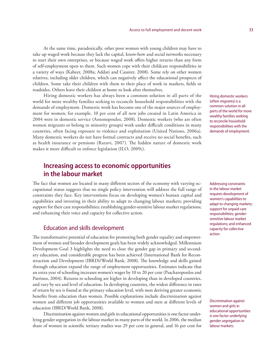At the same time, paradoxically, other poor women with young children may have to take up waged work because they lack the capital, know-how and social networks necessary to start their own enterprises, or because waged work offers higher returns than any form of self-employment open to them. Such women cope with their childcare responsibilities in a variety of ways (Kabeer, 2008a; Addati and Cassirer, 2008). Some rely on other women relatives, including older children, which can negatively affect the educational prospects of children. Some take their children with them to their place of work in markets, fields or roadsides. Others leave their children at home to look after themselves.

Hiring domestic workers has always been a common solution in all parts of the world for more wealthy families seeking to reconcile household responsibilities with the demands of employment. Domestic work has become one of the major sources of employment for women; for example, 10 per cent of all new jobs created in Latin America in 2004 were in domestic service (Antonopoulos, 2008). Domestic workers (who are often women migrants or belong to minority groups) work under difficult conditions in many countries, often facing exposure to violence and exploitation (United Nations, 2006a). Many domestic workers do not have formal contracts and receive no social benefits, such as health insurance or pensions (Razavi, 2007). The hidden nature of domestic work makes it more difficult to enforce legislation (ILO, 2009c).

# **Increasing access to economic opportunities in the labour market**

The fact that women are located in many different sectors of the economy with varying occupational status suggests that no single policy intervention will address the full range of constraints they face. Key interventions focus on developing women's human capital and capabilities and investing in their ability to adapt to changing labour markets; providing support for their care responsibilities; establishing gender-sensitive labour market regulations; and enhancing their voice and capacity for collective action.

### Education and skills development

The transformative potential of education for promoting both gender equality and empowerment of women and broader development goals has been widely acknowledged. Millennium Development Goal 3 highlights the need to close the gender gap in primary and secondary education, and considerable progress has been achieved (International Bank for Reconstruction and Development (IBRD)/World Bank, 2008). The knowledge and skills gained through education expand the range of employment opportunities. Estimates indicate that an extra year of schooling increases women's wages by 10 to 20 per cent (Psacharopoulos and Patrinos, 2004). Returns to schooling are higher in developing than in developed countries, and vary by sex and level of education. In developing countries, the widest difference in rates of return by sex is found at the primary education level, with men deriving greater economic benefits from education than women. Possible explanations include discrimination against women and different job opportunities available to women and men at different levels of education (IBRD/World Bank, 2008).

Discrimination against women and girls in educational opportunities is one factor underlying gender segregation in the labour market in many parts of the world. In 2006, the median share of women in scientific tertiary studies was 29 per cent in general, and 16 per cent for Hiring domestic workers (often migrants) is a common solution in all parts of the world for more wealthy families seeking to reconcile household responsibilities with the demands of employment.

Addressing constraints in the labour market requires development of women's capabilities to adapt to changing markets; support for unpaid care responsibilities; gendersensitive labour market regulations; and enhanced capacity for collective action.

Discrimination against women and girls in educational opportunities is one factor underlying gender segregation in labour markets.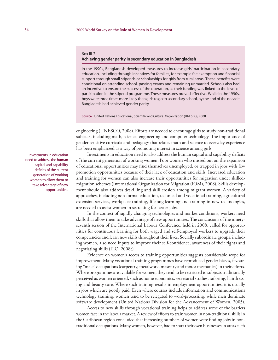#### Box III.2

#### **Achieving gender parity in secondary education in Bangladesh**

In the 1990s, Bangladesh developed measures to increase girls' participation in secondary education, including through incentives for families, for example fee exemption and financial support through small stipends or scholarships for girls from rural areas. These benefits were conditional on attending school, passing exams and remaining unmarried. Schools also had an incentive to ensure the success of the operation, as their funding was linked to the level of participation in the stipend programme. These measures proved effective. While in the 1990s, boys were three times more likely than girls to go to secondary school, by the end of the decade Bangladesh had achieved gender parity.

**Source:** United Nations Educational, Scientific and Cultural Organization (UNESCO), 2008.

engineering (UNESCO, 2008). Efforts are needed to encourage girls to study non-traditional subjects, including math, science, engineering and computer technology. The importance of gender-sensitive curricula and pedagogy that relates math and science to everyday experience has been emphasized as a way of promoting interest in science among girls.

Investments in education need to also address the human capital and capability deficits of the current generation of working women. Poor women who missed out on the expansion of educational opportunities may find themselves unemployed, or trapped in jobs with few promotion opportunities because of their lack of education and skills. Increased education and training for women can also increase their opportunities for migration under skilledmigration schemes (International Organization for Migration (IOM), 2008). Skills development should also address deskilling and skill erosion among migrant women. A variety of approaches, including non-formal education, technical and vocational training, agricultural extension services, workplace training, lifelong learning and training in new technologies, are needed to assist women in searching for better jobs.

In the context of rapidly changing technologies and market conditions, workers need skills that allow them to take advantage of new opportunities. The conclusions of the ninetyseventh session of the International Labour Conference, held in 2008, called for opportunities for continuous learning for both waged and self-employed workers to upgrade their competencies and learn new skills throughout their lives. Socially subordinate groups, including women, also need inputs to improve their self-confidence, awareness of their rights and negotiating skills (ILO, 2008c).

Evidence on women's access to training opportunities suggests considerable scope for improvement. Many vocational training programmes have reproduced gender biases, favouring "male" occupations (carpentry, metalwork, masonry and motor mechanics) in their efforts. Where programmes are available for women, they tend to be restricted to subjects traditionally perceived as women oriented, such as home economics, secretarial studies, tailoring, hairdressing and beauty care. Where such training results in employment opportunities, it is usually in jobs which are poorly paid. Even where courses include information and communications technology training, women tend to be relegated to word-processing, while men dominate software development (United Nations Division for the Advancement of Women, 2005).

Access to new skills through vocational training helps to address some of the barriers women face in the labour market. A review of efforts to train women in non-traditional skills in the Caribbean region concluded that increasing numbers of women were finding jobs in nontraditional occupations. Many women, however, had to start their own businesses in areas such

Investments in education need to address the human capital and capability deficits of the current generation of working women to allow them to take advantage of new opportunities.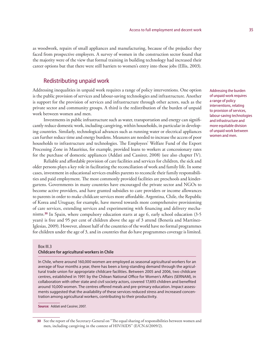as woodwork, repairs of small appliances and manufacturing, because of the prejudice they faced from prospective employers. A survey of women in the construction sector found that the majority were of the view that formal training in building technology had increased their career options but that there were still barriers to women's entry into those jobs (Ellis, 2003).

## Redistributing unpaid work

Addressing inequalities in unpaid work requires a range of policy interventions. One option is the public provision of services and labour-saving technologies and infrastructure. Another is support for the provision of services and infrastructure through other actors, such as the private sector and community groups. A third is the redistribution of the burden of unpaid work between women and men.

Investments in public infrastructure such as water, transportation and energy can significantly reduce domestic work, including caregiving, within households, in particular in developing countries. Similarly, technological advances such as running water or electrical appliances can further reduce time and energy burdens. Measures are needed to increase the access of poor households to infrastructure and technologies. The Employees' Welfare Fund of the Export Processing Zone in Mauritius, for example, provided loans to workers at concessionary rates for the purchase of domestic appliances (Addati and Cassirer, 2008) (see also chapter IV).

Reliable and affordable provision of care facilities and services for children, the sick and older persons plays a key role in facilitating the reconciliation of work and family life. In some cases, investment in educational services enables parents to reconcile their family responsibilities and paid employment. The most commonly provided facilities are preschools and kindergartens. Governments in many countries have encouraged the private sector and NGOs to become active providers, and have granted subsidies to care providers or income allowances to parents in order to make childcare services more affordable. Argentina, Chile, the Republic of Korea and Uruguay, for example, have moved towards more comprehensive provisioning of care services, extending services and experimenting with financing and delivery mechanisms.**<sup>30</sup>** In Spain, where compulsory education starts at age 6, early school education (3-5 years) is free and 95 per cent of children above the age of 3 attend (Benería and Martínez-Iglesias, 2009). However, almost half of the countries of the world have no formal programmes for children under the age of 3, and in countries that do have programmes coverage is limited.

#### Box III.3

#### **Childcare for agricultural workers in Chile**

In Chile, where around 160,000 women are employed as seasonal agricultural workers for an average of four months a year, there has been a long-standing demand through the agricultural trade union for appropriate childcare facilities. Between 2005 and 2006, two childcare centres, established in 1991 by the Chilean National Office for Women's Affairs (SERNAM), in collaboration with other state and civil society actors, covered 17,693 children and benefited around 10,000 women. The centres offered meals and pre-primary education. Impact assessments suggested that the availability of these services reduced stress and increased concentration among agricultural workers, contributing to their productivity.

**Source:** Addati and Cassirer, 2007.

Addressing the burden of unpaid work requires a range of policy interventions, relating to provision of services, labour-saving technologies and infrastructure and more equitable division of unpaid work between women and men.

**<sup>30</sup>** See the report of the Secretary-General on "The equal sharing of responsibilities between women and men, including caregiving in the context of HIV/AIDS" (E/CN.6/2009/2).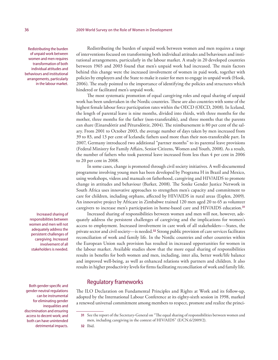Redistributing the burden of unpaid work between women and men requires transformation of both individual attitudes and behaviours and institutional arrangements, particularly in the labour market.

Increased sharing of responsibilities between women and men will not adequately address the persistent challenges of caregiving. Increased involvement of all stakeholders is needed.

Both gender-specific and gender-neutral regulations can be instrumental for eliminating gender inequalities and discrimination and ensuring access to decent work; and both can have unintended detrimental impacts.

Redistributing the burden of unpaid work between women and men requires a range of interventions focused on transforming both individual attitudes and behaviours and institutional arrangements, particularly in the labour market. A study in 20 developed countries between 1965 and 2003 found that men's unpaid work had increased. The main factors behind this change were the increased involvement of women in paid work, together with policies by employers and the State to make it easier for men to engage in unpaid work (Hook, 2006). The study pointed to the importance of identifying the policies and structures which hindered or facilitated men's unpaid work.

The most systematic promotion of equal caregiving roles and equal sharing of unpaid work has been undertaken in the Nordic countries. These are also countries with some of the highest female labour force participation rates within the OECD (OECD, 2008). In Iceland, the length of parental leave is nine months, divided into thirds, with three months for the mother, three months for the father (non-transferable), and three months that the parents can share (Einarsdóttir and Pétursdóttir, 2004). The reimbursement is 80 per cent of the salary. From 2001 to October 2003, the average number of days taken by men increased from 39 to 83, and 13 per cent of Icelandic fathers used more than their non-transferable part. In 2007, Germany introduced two additional "partner months" to its parental leave provisions (Federal Ministry for Family Affairs, Senior Citizens, Women and Youth, 2008). As a result, the number of fathers who took parental leave increased from less than 4 per cent in 2006 to 20 per cent in 2008.

In some cases, change is promoted through civil society initiatives. A well-documented programme involving young men has been developed by Programa H in Brazil and Mexico, using workshops, videos and manuals on fatherhood, caregiving and HIV/AIDS to promote change in attitudes and behaviour (Barker, 2008). The Sonke Gender Justice Network in South Africa uses innovative approaches to strengthen men's capacity and commitment to care for children, including orphans, affected by HIV/AIDS in rural areas (Esplen, 2009). An innovative project by Africare in Zimbabwe trained 120 men aged 20 to 65 as volunteer caregivers to increase men's participation in home-based care and HIV/AIDS education.**<sup>31</sup>**

Increased sharing of responsibilities between women and men will not, however, adequately address the persistent challenges of caregiving and the implications for women's access to employment. Increased involvement in care work of all stakeholders—States, the private sector and civil society—is needed.**<sup>32</sup>** Strong public provision of care services facilitates reconciliation of work and family life. In the Nordic countries and other countries within the European Union such provision has resulted in increased opportunities for women in the labour market. Available studies show that the more equal sharing of responsibilities results in benefits for both women and men, including, inter alia, better work/life balance and improved well-being, as well as enhanced relations with partners and children. It also results in higher productivity levels for firms facilitating reconciliation of work and family life.

## Regulatory frameworks

The ILO Declaration on Fundamental Principles and Rights at Work and its follow-up, adopted by the International Labour Conference at its eighty-sixth session in 1998, marked a renewed universal commitment among members to respect, promote and realize the princi-

**<sup>31</sup>** See the report of the Secretary-General on "The equal sharing of responsibilities between women and men, including caregiving in the context of HIV/AIDS" (E/CN.6/2009/2).

**<sup>32</sup>** Ibid.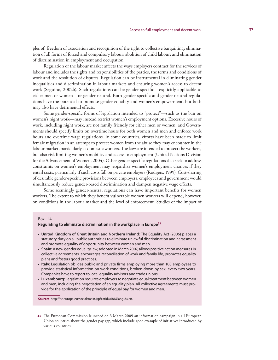ples of: freedom of association and recognition of the right to collective bargaining; elimination of all forms of forced and compulsory labour; abolition of child labour; and elimination of discrimination in employment and occupation.

Regulation of the labour market affects the ways employers contract for the services of labour and includes the rights and responsibilities of the parties, the terms and conditions of work and the resolution of disputes. Regulation can be instrumental in eliminating gender inequalities and discrimination in labour markets and ensuring women's access to decent work (Seguino, 2002b). Such regulations can be gender specific—explicitly applicable to either men or women—or gender neutral. Both gender-specific and gender-neutral regulations have the potential to promote gender equality and women's empowerment, but both may also have detrimental effects.

Some gender-specific forms of legislation intended to "protect"—such as the ban on women's night work—may instead restrict women's employment options. Excessive hours of work, including night work, are not family friendly for either men or women, and Governments should specify limits on overtime hours for both women and men and enforce work hours and overtime wage regulations. In some countries, efforts have been made to limit female migration in an attempt to protect women from the abuse they may encounter in the labour market, particularly as domestic workers. The laws are intended to protect the workers, but also risk limiting women's mobility and access to employment (United Nations Division for the Advancement of Women, 2004). Other gender-specific regulations that seek to address constraints on women's employment may jeopardize women's employment chances if they entail costs, particularly if such costs fall on private employers (Rodgers, 1999). Cost-sharing of desirable gender-specific provisions between employers, employees and government would simultaneously reduce gender-based discrimination and dampen negative wage effects.

Some seemingly gender-neutral regulations can have important benefits for women workers. The extent to which they benefit vulnerable women workers will depend, however, on conditions in the labour market and the level of enforcement. Studies of the impact of

#### Box III.4

#### **Regulating to eliminate discrimination in the workplace in Europe33**

- **United Kingdom of Great Britain and Northern Ireland**: The Equality Act (2006) places a statutory duty on all public authorities to eliminate unlawful discrimination and harassment and promote equality of opportunity between women and men.
- **Spain**: A new gender equality law, adopted in March 2007, allows positive action measures in collective agreements, encourages reconciliation of work and family life, promotes equality plans and fosters good practices.
- **Italy**: Legislation obliges public and private firms employing more than 100 employees to provide statistical information on work conditions, broken down by sex, every two years. Companies have to report to local equality advisors and trade unions.
- **Luxembourg**: Legislation requires employers to negotiate equal treatment between women and men, including the negotiation of an equality plan. All collective agreements must provide for the application of the principle of equal pay for women and men.

Source: http://ec.europa.eu/social/main.jsp?catId=681&langId=en.

**<sup>33</sup>** The European Commission launched on 3 March 2009 an information campaign in all European Union countries about the gender pay gap, which include good example of initiatives introduced by various countries.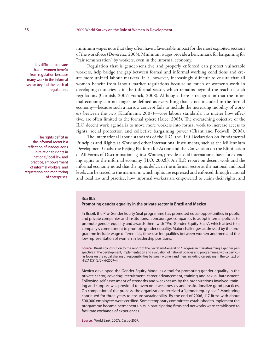minimum wages note that they often have a favourable impact for the most exploited sections of the workforce (Devereux, 2005). Minimum wages provide a benchmark for bargaining for "fair remuneration" by workers, even in the informal economy.

Regulation that is gender-sensitive and properly enforced can protect vulnerable workers, help bridge the gap between formal and informal working conditions and create more unified labour markets. It is, however, increasingly difficult to ensure that all women benefit from labour market regulations because so much of women's work in developing countries is in the informal sector, which remains beyond the reach of such regulations (Cornish, 2007; Franck, 2008). Although there is recognition that the informal economy can no longer be defined as everything that is not included in the formal economy—because such a narrow concept fails to include the increasing mobility of workers between the two (Kaufmann, 2007)—core labour standards, no matter how effective, are often limited to the formal sphere (Luce, 2005). The overarching objective of the ILO decent work agenda is to move more workers into formal work to increase access to rights, social protection and collective bargaining power (Chant and Pedwell, 2008).

The international labour standards of the ILO, the ILO Declaration on Fundamental Principles and Rights at Work and other international instruments, such as the Millennium Development Goals, the Beijing Platform for Action and the Convention on the Elimination of All Forms of Discrimination against Women, provide a solid international basis for extending rights to the informal economy (ILO, 2002b). An ILO report on decent work and the informal economy noted that the rights deficit in the informal sector at the national and local levels can be traced to the manner in which rights are expressed and enforced through national and local law and practice, how informal workers are empowered to claim their rights, and

#### Box III.5

#### **Promoting gender equality in the private sector in Brazil and Mexico**

In Brazil, the Pro-Gender Equity Seal programme has promoted equal opportunities in public and private companies and institutions. It encourages companies to adopt internal policies to promote gender equality and awards them with "Pro-Gender Equity Seals", which attest to a company's commitment to promote gender equality. Major challenges addressed by the programme include wage differentials, time-use inequalities between women and men and the low representation of women in leadership positions.

Mexico developed the Gender Equity Model as a tool for promoting gender equality in the private sector, covering: recruitment, career advancement, training and sexual harassment. Following self-assessment of strengths and weaknesses by the organizations involved, training and support was provided to overcome weaknesses and institutionalize good practices. On completion of the process, the organizations received a "gender equity seal". Monitoring continued for three years to ensure sustainability. By the end of 2006, 117 firms with about 500,000 employees were certified. Some temporary committees established to implement the programme became permanent units in participating firms and networks were established to facilitate exchange of experiences.

**Source:** World Bank, 2007a, Castro 2007.

It is difficult to ensure that all women benefit from regulation because many work in the informal sector beyond the reach of regulations.

The rights deficit in the informal sector is a reflection of inadequacies in relation to rights in national/local law and practice, empowerment of informal workers, and registration and monitoring of enterprises.

**Source:** Brazil's contribution to the report of the Secretary-General on "Progress in mainstreaming a gender perspective in the development, implementation and evaluation of national policies and programmes, with a particular focus on the equal sharing of responsibilities between women and men, including caregiving in the context of HIV/AIDS" (E/CN.6/2009/4).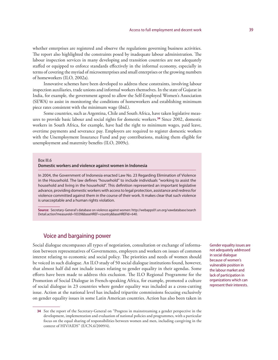whether enterprises are registered and observe the regulations governing business activities. The report also highlighted the constraints posed by inadequate labour administration. The labour inspection services in many developing and transition countries are not adequately staffed or equipped to enforce standards effectively in the informal economy, especially in terms of covering the myriad of microenterprises and small enterprises or the growing numbers of homeworkers (ILO, 2002a).

Innovative schemes have been developed to address these constraints, involving labour inspection auxiliaries, trade unions and informal workers themselves. In the state of Gujarat in India, for example, the government agreed to allow the Self-Employed Women's Association (SEWA) to assist in monitoring the conditions of homeworkers and establishing minimum piece rates consistent with the minimum wage (ibid.).

Some countries, such as Argentina, Chile and South Africa, have taken legislative measures to provide basic labour and social rights for domestic workers.**<sup>34</sup>** Since 2002, domestic workers in South Africa, for example, have had the right to minimum wages, paid leave, overtime payments and severance pay. Employers are required to register domestic workers with the Unemployment Insurance Fund and pay contributions, making them eligible for unemployment and maternity benefits (ILO, 2009c).

#### Box III.6

#### **Domestic workers and violence against women in Indonesia**

In 2004, the Government of Indonesia enacted Law No. 23 Regarding Elimination of Violence in the Household. The law defines "household" to include individuals "working to assist the household and living in the household". This definition represented an important legislative advance, providing domestic workers with access to legal protection, assistance and redress for violence committed against them in the course of their work. It makes clear that such violence is unacceptable and a human rights violation.

**Source:** Secretary-General's database on violence against women: http://webapps01.un.org/vawdatabase/search Detail.action?measureId=10339&baseHREF=country&baseHREFId=640.

## Voice and bargaining power

Social dialogue encompasses all types of negotiation, consultation or exchange of information between representatives of Governments, employers and workers on issues of common interest relating to economic and social policy. The priorities and needs of women should be voiced in such dialogue. An ILO study of 50 social dialogue institutions found, however, that almost half did not include issues relating to gender equality in their agendas. Some efforts have been made to address this exclusion. The ILO Regional Programme for the Promotion of Social Dialogue in French-speaking Africa, for example, promoted a culture of social dialogue in 23 countries where gender equality was included as a cross-cutting issue. Action at the national level has included tripartite commissions focusing exclusively on gender equality issues in some Latin American countries. Action has also been taken in

Gender equality issues are not adequately addressed in social dialogue because of women's vulnerable position in the labour market and lack of participation in organizations which can represent their interests.

**<sup>34</sup>** See the report of the Secretary-General on "Progress in mainstreaming a gender perspective in the development, implementation and evaluation of national policies and programmes, with a particular focus on the equal sharing of responsibilities between women and men, including caregiving in the context of HIV/AIDS" (E/CN.6/2009/4).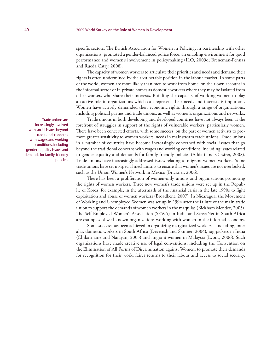specific sectors. The British Association for Women in Policing, in partnership with other organizations, promoted a gender-balanced police force, an enabling environment for good performance and women's involvement in policymaking (ILO, 2009d; Breneman-Pennas and Rueda Catry, 2008).

The capacity of women workers to articulate their priorities and needs and demand their rights is often undermined by their vulnerable position in the labour market. In some parts of the world, women are more likely than men to work from home, on their own account in the informal sector or in private homes as domestic workers where they may be isolated from other workers who share their interests. Building the capacity of working women to play an active role in organizations which can represent their needs and interests is important. Women have actively demanded their economic rights through a range of organizations, including political parties and trade unions, as well as women's organizations and networks.

Trade unions in both developing and developed countries have not always been at the forefront of struggles in support of the rights of vulnerable workers, particularly women. There have been concerted efforts, with some success, on the part of women activists to promote greater sensitivity to women workers' needs in mainstream trade unions. Trade unions in a number of countries have become increasingly concerned with social issues that go beyond the traditional concerns with wages and working conditions, including issues related to gender equality and demands for family-friendly policies (Addati and Cassirer, 2008). Trade unions have increasingly addressed issues relating to migrant women workers. Some trade unions have set up special mechanisms to ensure that women's issues are not overlooked, such as the Union Women's Network in Mexico (Brickner, 2006).

There has been a proliferation of women-only unions and organizations promoting the rights of women workers. Three new women's trade unions were set up in the Republic of Korea, for example, in the aftermath of the financial crisis in the late 1990s to fight exploitation and abuse of women workers (Broadbent, 2007). In Nicaragua, the Movement of Working and Unemployed Women was set up in 1994 after the failure of the main trade union to support the demands of women workers in the maquilas (Bickham Mendez, 2005). The Self-Employed Women's Association (SEWA) in India and StreetNet in South Africa are examples of well-known organizations working with women in the informal economy.

Some success has been achieved in organizing marginalized workers—including, inter alia, domestic workers in South Africa (Devenish and Skinner, 2004), rag-pickers in India (Chikarmane and Narayan, 2005) and migrant women in Malaysia (Lyons, 2006). Such organizations have made creative use of legal conventions, including the Convention on the Elimination of All Forms of Discrimination against Women, to promote their demands for recognition for their work, fairer returns to their labour and access to social security.

Trade unions are increasingly involved with social issues beyond traditional concerns with wages and working conditions, including gender-equality issues and demands for family-friendly policies.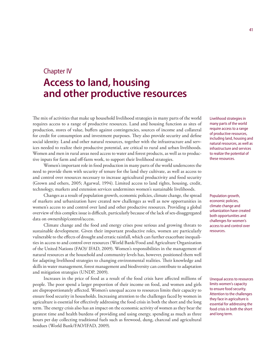# Chapter IV **Access to land, housing and other productive resources**

The mix of activities that make up household livelihood strategies in many parts of the world requires access to a range of productive resources. Land and housing function as sites of production, stores of value, buffers against contingencies, sources of income and collateral for credit for consumption and investment purposes. They also provide security and define social identity. Land and other natural resources, together with the infrastructure and services needed to realize their productive potential, are critical to rural and urban livelihoods. Women and men in rural areas need access to water and forest products, as well as to productive inputs for farm and off-farm work, to support their livelihood strategies.

Women's important role in food production in many parts of the world underscores the need to provide them with security of tenure for the land they cultivate, as well as access to and control over resources necessary to increase agricultural productivity and food security (Grown and others, 2005; Agarwal, 1994). Limited access to land rights, housing, credit, technology, markets and extension services undermines women's sustainable livelihoods.

Changes as a result of population growth, economic policies, climate change, the spread of markets and urbanization have created new challenges as well as new opportunities in women's access to and control over land and other productive resources. Providing a global overview of this complex issue is difficult, particularly because of the lack of sex-disaggregated data on ownership/control/access.

Climate change and the food and energy crises pose serious and growing threats to sustainable development. Given their important productive roles, women are particularly vulnerable to the effects of drought and erratic rainfall, which can further exacerbate inequalities in access to and control over resources (World Bank/Food and Agriculture Organization of the United Nations (FAO)/ IFAD, 2009). Women's responsibilities in the management of natural resources at the household and community levels has, however, positioned them well for adapting livelihood strategies to changing environmental realities. Their knowledge and skills in water management, forest management and biodiversity can contribute to adaptation and mitigation strategies (UNDP, 2009).

Increases in the price of food as a result of the food crisis have affected millions of people. The poor spend a larger proportion of their income on food, and women and girls are disproportionately affected. Women's unequal access to resources limits their capacity to ensure food security in households. Increasing attention to the challenges faced by women in agriculture is essential for effectively addressing the food crisis in both the short and the long term. The energy crisis also has an impact on the economic activity of women as they bear the greatest time and health burdens of providing and using energy, spending as much as three hours per day collecting traditional fuels such as firewood, dung, charcoal and agricultural residues (World Bank/FAO/IFAD, 2009).

Livelihood strategies in many parts of the world require access to a range of productive resources, including land, housing and natural resources, as well as infrastructure and services to realize the potential of these resources.

Population growth, economic policies, climate change and urbanization have created both opportunities and challenges for women's access to and control over resources.

Unequal access to resources limits women's capacity to ensure food security. Attention to the challenges they face in agriculture is essential for addressing the food crisis in both the short and long term.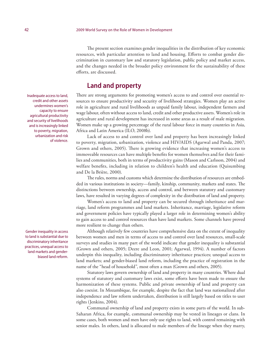The present section examines gender inequalities in the distribution of key economic resources, with particular attention to land and housing. Efforts to combat gender discrimination in customary law and statutory legislation, public policy and market access, and the changes needed in the broader policy environment for the sustainability of these efforts, are discussed.

# **Land and property**

There are strong arguments for promoting women's access to and control over essential resources to ensure productivity and security of livelihood strategies. Women play an active role in agriculture and rural livelihoods as unpaid family labour, independent farmers and wage labour, often without access to land, credit and other productive assets. Women's role in agriculture and rural development has increased in some areas as a result of male migration. Women make up a growing percentage of the rural labour force in many countries in Asia, Africa and Latin America (ILO, 2008b).

Lack of access to and control over land and property has been increasingly linked to poverty, migration, urbanization, violence and HIV/AIDS (Agarwal and Panda, 2007; Grown and others, 2005). There is growing evidence that increasing women's access to immoveable resources can have multiple benefits for women themselves and for their families and communities, both in terms of productivity gains (Mason and Carlsson, 2004) and welfare benefits, including in relation to children's health and education (Quisumbing and De la Brière, 2000).

The rules, norms and customs which determine the distribution of resources are embedded in various institutions in society—family, kinship, community, markets and states. The distinctions between ownership, access and control, and between statutory and customary laws, have resulted in varying degrees of complexity in the distribution of land and property.

Women's access to land and property can be secured through inheritance and marriage, land reform programmes and land markets. Inheritance, marriage, legislative reform and government policies have typically played a larger role in determining women's ability to gain access to and control resources than have land markets. Some channels have proved more resilient to change than others.

Although relatively few countries have comprehensive data on the extent of inequality between women and men in terms of access to and control over land resources, small-scale surveys and studies in many part of the world indicate that gender inequality is substantial (Grown and others, 2005; Deere and Leon, 2001; Agarwal, 1994). A number of factors underpin this inequality, including discriminatory inheritance practices; unequal access to land markets; and gender-biased land reform, including the practice of registration in the name of the "head of household", most often a man (Grown and others, 2005).

Statutory laws govern ownership of land and property in many countries. Where dual systems of statutory and customary laws exist, some efforts have been made to ensure the harmonization of these systems. Public and private ownership of land and property can also coexist. In Mozambique, for example, despite the fact that land was nationalized after independence and law reform undertaken, distribution is still largely based on titles to user rights (Jenkins, 2004).

Communal ownership of land and property exists in some parts of the world. In sub-Saharan Africa, for example, communal ownership may be vested in lineages or clans. In some cases, both women and men have only use rights to land, with control remaining with senior males. In others, land is allocated to male members of the lineage when they marry,

Inadequate access to land, credit and other assets undermines women's capacity to ensure agricultural productivity and security of livelihoods and is increasingly linked to poverty, migration, urbanization and risk of violence.

Gender inequality in access to land is substantial due to discriminatory inheritance practices, unequal access to land markets and genderbiased land reform.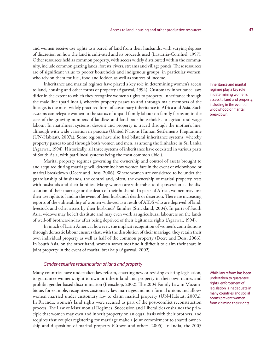and women receive use rights to a parcel of land from their husbands, with varying degrees of discretion on how the land is cultivated and its proceeds used (Lastarria-Cornhiel, 1997). Other resources held as common property, with access widely distributed within the community, include common grazing lands, forests, rivers, streams and village ponds. These resources are of significant value to poorer households and indigenous groups, in particular women, who rely on them for fuel, food and fodder, as well as sources of income.

Inheritance and marital regimes have played a key role in determining women's access to land, housing and other forms of property (Agarwal, 1994). Customary inheritance laws differ in the extent to which they recognize women's rights to property. Inheritance through the male line (patrilineal), whereby property passes to and through male members of the lineage, is the most widely practised form of customary inheritance in Africa and Asia. Such systems can relegate women to the status of unpaid family labour on family farms or, in the case of the growing numbers of landless and land-poor households, to agricultural wage labour. In matrilineal systems, descent and property is traced through the mother's line, although with wide variation in practice (United Nations Human Settlements Programme (UN-Habitat), 2007a). Some regions have also had bilateral inheritance systems, whereby property passes to and through both women and men, as among the Sinhalese in Sri Lanka (Agarwal, 1994). Historically, all three systems of inheritance have coexisted in various parts of South Asia, with patrilineal systems being the most common (ibid.).

Marital property regimes governing the ownership and control of assets brought to and acquired during marriage will determine how women fare in the event of widowhood or marital breakdown (Deere and Doss, 2006). Where women are considered to be under the guardianship of husbands, the control and, often, the ownership of marital property rests with husbands and their families. Many women are vulnerable to dispossession at the dissolution of their marriage or the death of their husband. In parts of Africa, women may lose their use rights to land in the event of their husband's death or desertion. There are increasing reports of the vulnerability of women widowed as a result of AIDS who are deprived of land, livestock and other assets by their husbands' families (Strickland, 2004). In parts of South Asia, widows may be left destitute and may even work as agricultural labourers on the lands of well-off brothers-in-law after being deprived of their legitimate rights (Agarwal, 1994).

In much of Latin America, however, the implicit recognition of women's contributions through domestic labour ensures that, with the dissolution of their marriage, they retain their own individual property as well as half of the common property (Deere and Doss, 2006). In South Asia, on the other hand, women sometimes find it difficult to claim their share in joint property in the event of marital break-up (Agarwal, 2002).

#### *Gender-sensitive redistribution of land and property*

Many countries have undertaken law reform, enacting new or revising existing legislation, to guarantee women's right to own or inherit land and property in their own names and prohibit gender-based discrimination (Benschop, 2002). The 2004 Family Law in Mozambique, for example, recognizes customary-law marriages and non-formal unions and allows women married under customary law to claim marital property (UN-Habitat, 2007a). In Rwanda, women's land rights were secured as part of the post-conflict reconstruction process. The Law of Matrimonial Regimes, Succession and Liberalities enshrines the principle that women may own and inherit property on an equal basis with their brothers, and requires that couples registering for marriage make a joint commitment to shared ownership and disposition of marital property (Grown and others, 2005). In India, the 2005

Inheritance and marital regimes play a key role in determining women's access to land and property, including in the event of widowhood or marital breakdown.

While law reform has been undertaken to guarantee rights, enforcement of legislation is inadequate in many countries and social norms prevent women from claiming their rights.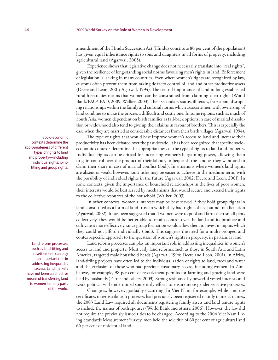amendment of the Hindu Succession Act (Hindus constitute 80 per cent of the population) has given equal inheritance rights to sons and daughters in all forms of property, including agricultural land (Agarwal, 2005).

Experience shows that legislative change does not necessarily translate into "real rights", given the resilience of long-standing social norms favouring men's rights in land. Enforcement of legislation is lacking in many countries. Even where women's rights are recognized by law, customs often prevent them from taking de facto control of land and other productive assets (Deere and Leon, 2001; Agarwal, 1994). The central importance of land in long-established rural hierarchies means that women can be constrained from claiming their rights (World Bank/FAO/IFAD, 2009; Walker, 2003). Their secondary status, illiteracy, fears about disrupting relationships within the family and cultural norms which associate men with ownership of land combine to make the process a difficult and costly one. In some regions, such as much of South Asia, women dependent on birth families as fall-back options in case of marital dissolution or widowhood also tend to give up their claims in favour of brothers. This is especially the case when they are married at considerable distances from their birth villages (Agarwal, 1994).

The type of rights that would best improve women's access to land and increase their productivity has been debated over the past decade. It has been recognized that specific socioeconomic contexts determine the appropriateness of the type of rights to land and property. Individual rights can be critical for increasing women's bargaining power, allowing them to gain control over the product of their labour, to bequeath the land as they want and to claim their share in case of marital conflict (ibid.). In situations where women's land rights are absent or weak, however, joint titles may be easier to achieve in the medium term, with the possibility of individual rights in the future (Agarwal, 2002; Deere and Leon, 2001). In some contexts, given the importance of household relationships in the lives of poor women, their interests would be best served by mechanisms that would secure and extend their rights to the collective resources of the household (Walker, 2003).

In other contexts, women's interests may be best served if they hold group rights in land constituted as a form of land trust in which they had rights of use but not of alienation (Agarwal, 2002). It has been suggested that if women were to pool and farm their small plots collectively, they would be better able to retain control over the land and its produce and cultivate it more effectively, since group formation would allow them to invest in inputs which they could not afford individually (ibid.). This suggests the need for a multi-pronged and context-specific approach to the question of women's rights in property, in particular land.

Land reform processes can play an important role in addressing inequalities in women's access to land and property. Most early land reforms, such as those in South Asia and Latin America, targeted male household heads (Agarwal, 1994; Deere and Leon, 2001). In Africa, land-titling projects have often led to the individualization of rights to land, trees and water and the exclusion of those who had previous customary access, including women. In Zimbabwe, for example, 98 per cent of resettlement permits for farming and grazing land were held by husbands (Petrie and others, 2003). Strong resistance by powerful vested interests and weak political will undermined some early efforts to ensure more gender-sensitive processes.

Change is, however, gradually occurring. In Viet Nam, for example, while land-use certificates in redistribution processes had previously been registered mainly in men's names, the 2003 Land Law required all documents registering family assets and land tenure rights to include the names of both spouses (World Bank and others, 2006). However, the law did not require the previously issued titles to be changed. According to the 2004 Viet Nam Living Standards Measurement Survey, men held the sole title of 60 per cent of agricultural and 66 per cent of residential land.

Socio-economic contexts determine the appropriateness of different types of rights to land and property—including individual rights, jointtitling and group rights.

Land reform processes, such as land-titling and resettlement, can play an important role in addressing inequalities in access. Land markets have not been an effective means of transferring land to women in many parts of the world.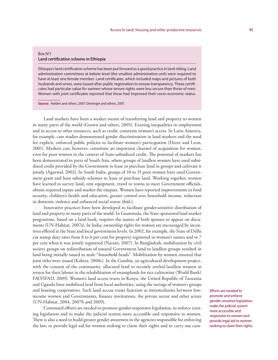#### Box IV.1 **Land certification scheme in Ethiopia**

Ethiopia's land certification scheme has been put forward as a good practice in land-titling. Land administration committees at kebele level (the smallest administrative unit) were required to have at least one female member. Land certificates, which included maps and pictures of both husbands and wives, were issued after public registration to ensure transparency. These certificates had particular value for women whose tenure rights were less secure than those of men. Women with joint certificates reported that these had improved their socio-economic status.

**Source:** Holden and others, 2007; Deininger and others, 2007.

Land markets have been a weaker means of transferring land and property to women in many parts of the world (Grown and others, 2005). Existing inequalities in employment and in access to other resources, such as credit, constrain women's access. In Latin America, for example, case studies demonstrated gender discrimination in land markets and the need for explicit, enforced public policies to facilitate women's participation (Deere and Leon, 2001). Markets can, however, constitute an important channel of acquisition for women, even for poor women in the context of State-subsidized credit. The potential of markets has been demonstrated in parts of South Asia, where groups of landless women have used subsidized credit provided by the Government to lease or purchase land in groups and cultivate it jointly (Agarwal, 2002). In South India, groups of 10 to 15 poor women have used Government grant and loan subsidy schemes to lease or purchase land. Working together, women have learned to survey land, rent equipment, travel to towns to meet Government officials, obtain required inputs and market the outputs. Women have reported improvements in food security, children's health and education, greater control over household income, reduction in domestic violence and enhanced social status (ibid.).

Innovative practices have been developed to facilitate gender-sensitive distribution of land and property in many parts of the world. In Guatemala, the State-sponsored land market programme, based on a land bank, requires the names of both spouses to appear on documents (UN-Habitat, 2007a). In India, ownership rights for women are encouraged by incentives offered at the State and local government levels. In 2002, for example, the State of Delhi cut stamp duty rates from 8 to 6 per cent for property registered in women's names and to 7 per cent when it was jointly registered (Narain, 2007). In Bangladesh, mobilization by civil society groups on redistribution of unused Government land to landless groups resulted in land being initially issued to male "household heads". Mobilization by women ensured that joint titles were issued (Kabeer, 2008c). In the Gambia, an agricultural development project, with the consent of the community, allocated land to recently settled landless women in return for their labour in the rehabilitation of swamplands for rice cultivation (World Bank/ FAO/IFAD, 2009). Women's land access trusts in Kenya, the United Republic of Tanzania and Uganda have mobilized land from local authorities, using the savings of women's groups and housing cooperatives. Such land access trusts function as intermediaries between lowincome women and Governments, finance institutions, the private sector and other actors (UN-Habitat, 2004, 2007b and 2009).

Continued efforts are needed to promote gender-responsive legislation, to enforce existing legislation and to make the judicial system more accessible and responsive to women. There is also a need to build greater gender awareness in the agencies responsible for enforcing the law, to provide legal aid for women seeking to claim their rights and to carry out camEfforts are needed to promote and enforce gender-sensitive legislation, make the judicial system more accessible and responsive to women and provide legal aid to women seeking to claim their rights.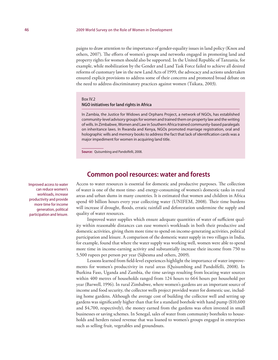paigns to draw attention to the importance of gender-equality issues in land policy (Knox and others, 2007). The efforts of women's groups and networks engaged in promoting land and property rights for women should also be supported. In the United Republic of Tanzania, for example, while mobilization by the Gender and Land Task Force failed to achieve all desired reforms of customary law in the new Land Acts of 1999, the advocacy and actions undertaken ensured explicit provisions to address some of their concerns and promoted broad debate on the need to address discriminatory practices against women (Tsikata, 2003).

#### Box IV.2

#### **NGO initiatives for land rights in Africa**

In Zambia, the Justice for Widows and Orphans Project, a network of NGOs, has established community-level advisory groups for women and trained them on property law and the writing of wills. In Zimbabwe, Women and Law in Southern Africa trained community-based paralegals on inheritance laws. In Rwanda and Kenya, NGOs promoted marriage registration, oral and holographic wills and memory books to address the fact that lack of identification cards was a major impediment for women in acquiring land title.

**Source:** Quisumbing and Pandolfelli, 2008.

## **Common pool resources: water and forests**

Access to water resources is essential for domestic and productive purposes. The collection of water is one of the most time- and energy-consuming of women's domestic tasks in rural areas and urban slums in many countries. It is estimated that women and children in Africa spend 40 billion hours every year collecting water (UNIFEM, 2008). Their time burdens will increase if drought, floods, erratic rainfall and deforestation undermine the supply and quality of water resources.

Improved water supplies which ensure adequate quantities of water of sufficient quality within reasonable distances can ease women's workloads in both their productive and domestic activities, giving them more time to spend on income-generating activities, political participation and leisure. A comparison of the domestic water supply in two villages in India, for example, found that where the water supply was working well, women were able to spend more time in income-earning activity and substantially increase their income from 750 to 5,500 rupees per person per year (Sijbesma and others, 2009).

Lessons learned from field-level experiences highlight the importance of water improvements for women's productivity in rural areas (Quisumbing and Pandolfelli, 2008). In Burkina Faso, Uganda and Zambia, the time savings resulting from locating water sources within 400 metres of households ranged from 124 hours to 664 hours per household per year (Barwell, 1996). In rural Zimbabwe, where women's gardens are an important source of income and food security, the collector wells project provided water for domestic use, including home gardens. Although the average cost of building the collector well and setting up gardens was significantly higher than that for a standard borehole with hand pump (\$10,600 and \$4,700, respectively), the money earned from the gardens was often invested in small businesses or saving schemes. In Senegal, sales of water from community boreholes to households and herders raised revenue that was loaned to women's groups engaged in enterprises such as selling fruit, vegetables and groundnuts.

Improved access to water can reduce women's workloads, increase productivity and provide more time for income generation, political participation and leisure.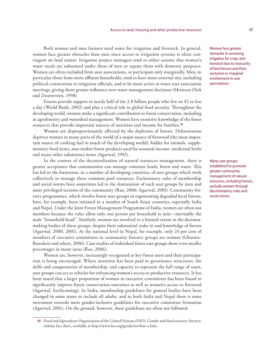Both women and men farmers need water for irrigation and livestock. In general, women face greater obstacles than men since access to irrigation systems is often contingent on land tenure. Irrigation project managers tend to either assume that women's water needs are subsumed under those of men or equate them with domestic purposes. Women are often excluded from user associations, or participate only marginally. Men, in particular those from more affluent households, tend to have more external ties, including political connections to irrigation officials, and to be more active at water user association meetings, giving them greater influence over water management decisions (Meinzen-Dick and Zwarteveen, 1998).

Forests provide support to nearly half of the 2.8 billion people who live on \$2 or less a day (World Bank, 2002) and play a critical role in global food security. Throughout the developing world, women make a significant contribution to forest conservation, including in agroforestry and watershed management. Women have extensive knowledge of the forest resources that provide important sources of nutrition and income for families.**<sup>35</sup>**

Women are disproportionately affected by the depletion of forests. Deforestation deprives women in many parts of the world of a major source of firewood (the most important source of cooking fuel in much of the developing world), fodder for animals, supplementary food items, non-timber forest products used for seasonal income, medicinal herbs and many other subsistence items (Agarwal, 1992).

In the context of the decentralization of natural resources management, there is greater acceptance that communities can manage common lands, forest and water. This has led to the formation, in a number of developing countries, of user groups which work collectively to manage these common pool resources. Exclusionary rules of membership and social norms have sometimes led to the domination of such user groups by men and more privileged sections of the community (Rao, 2006; Agarwal, 2001). Community forestry programmes, which involve forest user groups in regenerating degraded local forests, have, for example, been initiated in a number of South Asian countries, especially India and Nepal. Under the Joint Forest Management Programme of India, women are often not members because the rules allow only one person per household to join—inevitably the male "household head". Similarly, women are involved to a limited extent in the decisionmaking bodies of these groups, despite their substantial stake in and knowledge of forests (Agarwal, 2000, 2001). At the national level in Nepal, for example, only 24 per cent of members of executive committees in community forestry groups are women (Ghimire-Bastakoti and others, 2006). Case studies of individual forest user groups show even smaller percentages in many areas (Rao, 2006).

Women are, however, increasingly recognized as key forest users and their participation is being encouraged. Where attention has been paid to governance structures, the skills and competencies of membership, and capacity to represent the full range of users, user groups can act as vehicles for enhancing women's access to productive resources. It has been noted that a larger proportion of women in executive committees has been found to significantly improve forest conservation outcomes as well as women's access to firewood (Agarwal, forthcoming). In India, membership guidelines for general bodies have been changed in some states to include all adults, and in both India and Nepal there is some movement towards more gender-inclusive guidelines for executive committee formation (Agarwal, 2001). On the ground, however, these guidelines are often not followed.

Women face greater obstacles in accessing irrigation for crops and livestock due to insecurity of land tenure and their exclusion or marginal involvement in user associations.

Many user groups established to promote greater community management of natural resources, including forests, exclude women through discriminatory rules and social norms.

**<sup>35</sup>** Food and Agriculture Organization of the United Nations (FAO), Gender and food security: forestry, website fact sheet, available at http://www.fao.org/gender/en/fore-e.htm.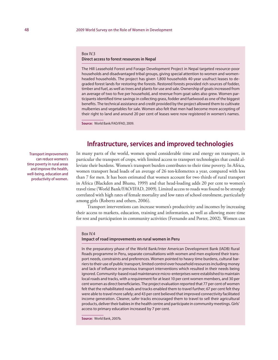#### Box IV.3

#### **Direct access to forest resources in Nepal**

The Hill Leasehold Forest and Forage Development Project in Nepal targeted resource-poor households and disadvantaged tribal groups, giving special attention to women and womenheaded households. The project has given 1,800 households 40-year usufruct leases to degraded forest lands for restoring the forests. Restored forests provided rich sources of fodder, timber and fuel, as well as trees and plants for use and sale. Ownership of goats increased from an average of two to five per household, and revenue from goat sales also grew. Women participants identified time savings in collecting grass, fodder and fuelwood as one of the biggest benefits. The technical assistance and credit provided by the project allowed them to cultivate mulberries and vegetables for sale. Women also felt that men had become more accepting of their right to land and around 20 per cent of leases were now registered in women's names.

**Source:** World Bank/FAO/IFAD, 2009.

## **Infrastructure, services and improved technologies**

In many parts of the world, women spend considerable time and energy on transport, in particular the transport of crops, with limited access to transport technologies that could alleviate their burdens. Women's transport burden contributes to their time poverty. In Africa, women transport head loads of an average of 26 ton-kilometres a year, compared with less than 7 for men. It has been estimated that women account for two thirds of rural transport in Africa (Blackden and Bhanu, 1999) and that head-loading adds 20 per cent to women's travel time (World Bank/FAO/IFAD, 2009). Limited access to roads was found to be strongly correlated with high rates of female mortality and low rates of school enrolment, particularly among girls (Roberts and others, 2006).

Transport interventions can increase women's productivity and incomes by increasing their access to markets, education, training and information, as well as allowing more time for rest and participation in community activities (Fernando and Porter, 2002). Women can

#### Box IV.4

#### **Impact of road improvements on rural women in Peru**

In the preparatory phase of the World Bank/Inter American Development Bank (IADB) Rural Roads programme in Peru, separate consultations with women and men explored their transport needs, constraints and preferences. Women pointed to heavy time burdens, cultural barriers to their use of public transport, limited control over household resources including money and lack of influence in previous transport interventions which resulted in their needs being ignored. Community-based road maintenance micro-enterprises were established to maintain local roads and tracks, with a requirement for at least 10 per cent women members, and 30 per cent women as direct beneficiaries. The project evaluation reported that 77 per cent of women felt that the rehabilitated roads and tracks enabled them to travel further; 67 per cent felt they were able to travel more safely; and 43 per cent believed that improved connectivity facilitated income generation. Cleaner, safer tracks encouraged them to travel to sell their agricultural products, deliver their babies in the health centre and participate in community meetings. Girls' access to primary education increased by 7 per cent.

**Source:** World Bank, 2007b.

Transport improvements can reduce women's time poverty in rural areas and improve the health, well-being, education and productivity of women.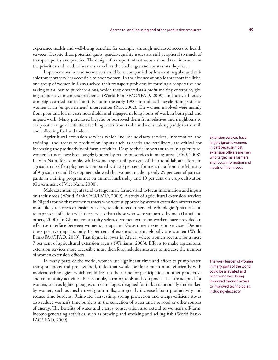experience health and well-being benefits, for example, through increased access to health services. Despite these potential gains, gender-equality issues are still peripheral to much of transport policy and practice. The design of transport infrastructure should take into account the priorities and needs of women as well as the challenges and constraints they face.

Improvements in road networks should be accompanied by low-cost, regular and reliable transport services accessible to poor women. In the absence of public transport facilities, one group of women in Kenya solved their transport problems by forming a cooperative and taking out a loan to purchase a bus, which they operated as a profit-making enterprise, giving cooperative members preference (World Bank/FAO/IFAD, 2009). In India, a literacy campaign carried out in Tamil Nadu in the early 1990s introduced bicycle-riding skills to women as an "empowerment" intervention (Rao, 2002). The women involved were mainly from poor and lower-caste households and engaged in long hours of work in both paid and unpaid work. Many purchased bicycles or borrowed them from relatives and neighbours to carry out a range of activities: fetching water from tanks and wells, taking paddy to the mill and collecting fuel and fodder.

Agricultural extension services which include advisory services, information and training, and access to production inputs such as seeds and fertilizers, are critical for increasing the productivity of farm activities. Despite their important roles in agriculture, women farmers have been largely ignored by extension services in many areas (FAO, 2008). In Viet Nam, for example, while women spent 30 per cent of their total labour efforts in agricultural self-employment, compared with 20 per cent for men, data from the Ministry of Agriculture and Development showed that women made up only 25 per cent of participants in training programmes on animal husbandry and 10 per cent on crop cultivation (Government of Viet Nam, 2000).

Male extension agents tend to target male farmers and to focus information and inputs on their needs (World Bank/FAO/IFAD, 2009). A study of agricultural extension services in Nigeria found that women farmers who were supported by women extension officers were more likely to access extension services, to adopt recommended technologies/practices and to express satisfaction with the services than those who were supported by men (Lahai and others, 2000). In Ghana, community-selected women extension workers have provided an effective interface between women's groups and Government extension services. Despite these positive impacts, only 15 per cent of extension agents globally are women (World Bank/FAO/IFAD, 2009). That figure is lower in Africa, where women account for a mere 7 per cent of agricultural extension agents (Williams, 2003). Efforts to make agricultural extension services more accessible must therefore include measures to increase the number of women extension officers.

In many parts of the world, women use significant time and effort to pump water, transport crops and process food, tasks that would be done much more efficiently with modern technologies, which could free up their time for participation in other productive and community activities. For example, farming tools and equipment that are adapted for women, such as lighter ploughs, or technologies designed for tasks traditionally undertaken by women, such as mechanized grain mills, can greatly increase labour productivity and reduce time burdens. Rainwater harvesting, spring protection and energy-efficient stoves also reduce women's time burdens in the collection of water and firewood or other sources of energy. The benefits of water and energy conservation also extend to women's off-farm, income-generating activities, such as brewing and smoking and selling fish (World Bank/ FAO/IFAD, 2009).

Extension services have largely ignored women, in part because most extension officers are men who target male farmers and focus information and inputs on their needs.

The work burden of women in many parts of the world could be alleviated and health and well-being improved through access to improved technologies, including electricity.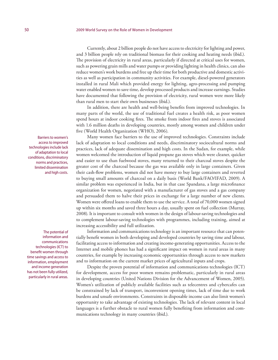Currently, about 2 billion people do not have access to electricity for lighting and power, and 3 billion people rely on traditional biomass for their cooking and heating needs (ibid.). The provision of electricity in rural areas, particularly if directed at critical uses for women, such as powering grain mills and water pumps or providing lighting in health clinics, can also reduce women's work burdens and free up their time for both productive and domestic activities as well as participation in community activities. For example, diesel-powered generators installed in rural Mali which provided energy for lighting, agro-processing and pumping water enabled women to save time, develop processed products and increase earnings. Studies have documented that following the provision of electricity, rural women were more likely than rural men to start their own businesses (ibid.).

In addition, there are health and well-being benefits from improved technologies. In many parts of the world, the use of traditional fuel creates a health risk, as poor women spend hours at indoor cooking fires. The smoke from indoor fires and stoves is associated with 1.6 million deaths in developing countries, mostly among women and children under five (World Health Organization (WHO), 2006).

Many women face barriers to the use of improved technologies. Constraints include lack of adaptation to local conditions and needs, discriminatory sociocultural norms and practices, lack of adequate dissemination and high costs. In the Sudan, for example, while women welcomed the introduction of liquid propane gas stoves which were cleaner, quicker and easier to use than fuelwood stoves, many returned to their charcoal stoves despite the greater cost of the charcoal because the gas was available only in large containers. Given their cash-flow problems, women did not have money to buy large containers and reverted to buying small amounts of charcoal on a daily basis (World Bank/FAO/IFAD, 2009). A similar problem was experienced in India, but in that case Spandana, a large microfinance organization for women, negotiated with a manufacturer of gas stoves and a gas company and persuaded them to halve their prices in exchange for a large number of new clients. Women were offered loans to enable them to use the service. A total of 70,000 women signed up within six months and saved three hours a day, usually spent on fuel collection (Murray, 2008). It is important to consult with women in the design of labour-saving technologies and to complement labour-saving technologies with programmes, including training, aimed at increasing accessibility and full utilization.

Information and communications technology is an important resource that can potentially benefit women in both developing and developed countries by saving time and labour, facilitating access to information and creating income-generating opportunities. Access to the Internet and mobile phones has had a significant impact on women in rural areas in many countries, for example by increasing economic opportunities through access to new markets and to information on the current market prices of agricultural inputs and crops.

Despite the proven potential of information and communications technologies (ICT) for development, access for poor women remains problematic, particularly in rural areas in developing countries (United Nations Division for the Advancement of Women, 2005). Women's utilization of publicly available facilities such as telecentres and cybercafes can be constrained by lack of transport, inconvenient opening times, lack of time due to work burdens and unsafe environments. Constraints in disposable income can also limit women's opportunity to take advantage of existing technologies. The lack of relevant content in local languages is a further obstacle to rural women fully benefiting from information and communications technology in many countries (ibid.).

Barriers to women's access to improved technologies include lack of adaptation to local conditions, discriminatory norms and practices, limited dissemination and high costs.

The potential of information and communications technologies (ICT) to benefit women through time savings and access to information, employment and income generation has not been fully utilized, particularly in rural areas.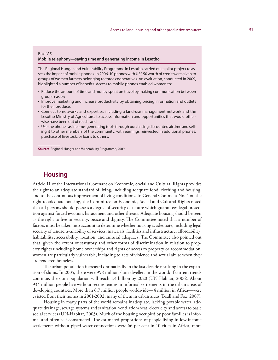#### Box IV.5

#### **Mobile telephony—saving time and generating income in Lesotho**

The Regional Hunger and Vulnerability Programme in Lesotho carried out a pilot project to assess the impact of mobile phones. In 2006, 10 phones with US\$ 50 worth of credit were given to groups of women farmers belonging to three cooperatives. An evaluation, conducted in 2009, highlighted a number of benefits. Access to mobile phones enabled women to:

- Reduce the amount of time and money spent on travel by making communication between groups easier;
- Improve marketing and increase productivity by obtaining pricing information and outlets for their produce;
- Connect to networks and expertise, including a land-use management network and the Lesotho Ministry of Agriculture, to access information and opportunities that would otherwise have been out of reach; and
- Use the phones as income-generating tools through purchasing discounted airtime and selling it to other members of the community, with earnings reinvested in additional phones, purchase of livestock, or loans to others.

**Source:** Regional Hunger and Vulnerability Programme, 2009.

# **Housing**

Article 11 of the International Covenant on Economic, Social and Cultural Rights provides the right to an adequate standard of living, including adequate food, clothing and housing, and to the continuous improvement of living conditions. In General Comment No. 4 on the right to adequate housing, the Committee on Economic, Social and Cultural Rights noted that all persons should possess a degree of security of tenure which guarantees legal protection against forced eviction, harassment and other threats. Adequate housing should be seen as the right to live in security, peace and dignity. The Committee noted that a number of factors must be taken into account to determine whether housing is adequate, including legal security of tenure; availability of services, materials, facilities and infrastructure; affordability; habitability; accessibility; location; and cultural adequacy. The Committee also pointed out that, given the extent of statutory and other forms of discrimination in relation to property rights (including home ownership) and rights of access to property or accommodation, women are particularly vulnerable, including to acts of violence and sexual abuse when they are rendered homeless.

The urban population increased dramatically in the last decade resulting in the expansion of slums. In 2005, there were 998 million slum-dwellers in the world; if current trends continue, the slum population will reach 1.4 billion by 2020 (UN-Habitat, 2006). About 934 million people live without secure tenure in informal settlements in the urban areas of developing countries. More than 6.7 million people worldwide—4 million in Africa—were evicted from their homes in 2001-2002, many of them in urban areas (Beall and Fox, 2007).

Housing in many parts of the world remains inadequate, lacking potable water, adequate drainage, sewage systems and sanitation, ventilation/heat, electricity and access to basic social services (UN-Habitat, 2003). Much of the housing occupied by poor families is informal and often self-constructed. The estimated proportions of people living in low-income settlements without piped-water connections were 66 per cent in 10 cities in Africa, more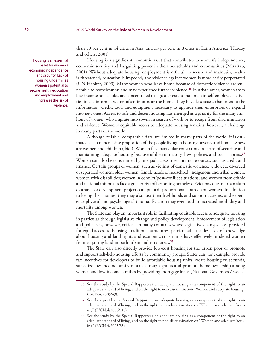Housing is an essential asset for women's economic independence and security. Lack of housing undermines women's potential to secure health, education and employment and increases the risk of violence.

than 50 per cent in 14 cities in Asia, and 33 per cent in 8 cities in Latin America (Hardoy and others, 2001).

Housing is a significant economic asset that contributes to women's independence, economic security and bargaining power in their households and communities (Miraftab, 2001). Without adequate housing, employment is difficult to secure and maintain, health is threatened, education is impeded, and violence against women is more easily perpetrated (UN-Habitat, 2003). Many women who leave home because of domestic violence are vulnerable to homelessness and may experience further violence.**<sup>36</sup>** In urban areas, women from low-income households are concentrated to a greater extent than men in self-employed activities in the informal sector, often in or near the home. They have less access than men to the information, credit, tools and equipment necessary to upgrade their enterprises or expand into new ones. Access to safe and decent housing has emerged as a priority for the many millions of women who migrate into towns in search of work or to escape from discrimination and violence. Women's equitable access to adequate housing remains, however, a challenge in many parts of the world.

Although reliable, comparable data are limited in many parts of the world, it is estimated that an increasing proportion of the people living in housing poverty and homelessness are women and children (ibid.). Women face particular constraints in terms of securing and maintaining adequate housing because of discriminatory laws, policies and social norms.**<sup>37</sup>** Women can also be constrained by unequal access to economic resources, such as credit and finance. Certain groups of women, such as victims of domestic violence; widowed, divorced or separated women; older women; female heads of household; indigenous and tribal women; women with disabilities; women in conflict/post-conflict situations; and women from ethnic and national minorities face a greater risk of becoming homeless. Evictions due to urban slum clearance or development projects can put a disproportionate burden on women. In addition to losing their homes, they may also lose their livelihoods and support systems, and experience physical and psychological trauma. Eviction may even lead to increased morbidity and mortality among women.

The State can play an important role in facilitating equitable access to adequate housing in particular through legislative change and policy development. Enforcement of legislation and policies is, however, critical. In many countries where legislative changes have provided for equal access to housing, traditional structures, patriarchal attitudes, lack of knowledge about housing and land rights and economic constraints have effectively hindered women from acquiring land in both urban and rural areas.**<sup>38</sup>**

The State can also directly provide low-cost housing for the urban poor or promote and support self-help housing efforts by community groups. States can, for example, provide tax incentives for developers to build affordable housing units, create housing trust funds, subsidize low-income family rentals through grants and promote home ownership among women and low-income families by providing mortgage loans (National Governors Associa-

**<sup>36</sup>** See the study by the Special Rapporteur on adequate housing as a component of the right to an adequate standard of living, and on the right to non-discrimination "Women and adequate housing" (E/CN.4/2005/43).

**<sup>37</sup>** See the report by the Special Rapporteur on adequate housing as a component of the right to an adequate standard of living, and on the right to non-discrimination on "Women and adequate housing" (E/CN.4/2006/118).

**<sup>38</sup>** See the study by the Special Rapporteur on adequate housing as a component of the right to an adequate standard of living, and on the right to non-discrimination on "Women and adequate housing" (E/CN.4/2003/55).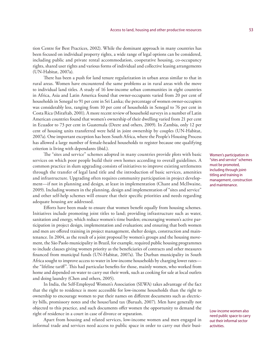tion Centre for Best Practices, 2002). While the dominant approach in many countries has been focused on individual property rights, a wide range of legal options can be considered, including public and private rental accommodation, cooperative housing, co-occupancy rights, shared user rights and various forms of individual and collective leasing arrangements (UN-Habitat, 2007a).

There has been a push for land tenure regularization in urban areas similar to that in rural areas. Women have encountered the same problems as in rural areas with the move to individual land titles. A study of 16 low-income urban communities in eight countries in Africa, Asia and Latin America found that owner-occupants varied from 20 per cent of households in Senegal to 91 per cent in Sri Lanka; the percentage of women owner-occupiers was considerably less, ranging from 10 per cent of households in Senegal to 76 per cent in Costa Rica (Miraftab, 2001). A more recent review of household surveys in a number of Latin American countries found that women's ownership of their dwelling varied from 21 per cent in Ecuador to 73 per cent in Guatemala (Deere and others, 2009). In Zambia, only 12 per cent of housing units transferred were held in joint ownership by couples (UN-Habitat, 2007a). One important exception has been South Africa, where the People's Housing Process has allowed a large number of female-headed households to register because one qualifying criterion is living with dependants (ibid.).

The "sites and service" schemes adopted in many countries provide plots with basic services on which poor people build their own homes according to overall guidelines. A common practice in slum upgrading consists of initiatives to improve existing settlements through the transfer of legal land title and the introduction of basic services, amenities and infrastructure. Upgrading often requires community participation in project development—if not in planning and design, at least in implementation (Chant and McIlwaine, 2009). Including women in the planning, design and implementation of "sites and service" and other self-help schemes will ensure that their specific priorities and needs regarding adequate housing are addressed.

Efforts have been made to ensure that women benefit equally from housing schemes. Initiatives include promoting joint titles to land; providing infrastructure such as water, sanitation and energy, which reduce women's time burden; encouraging women's active participation in project design, implementation and evaluation; and ensuring that both women and men are offered training in project management, shelter design, construction and maintenance. In 2004, as the result of a joint proposal by women's groups and the housing movement, the São Paolo municipality in Brazil, for example, required public housing programmes to include clauses giving women priority as the beneficiaries of contracts and other measures financed from municipal funds (UN-Habitat, 2007a). The Durban municipality in South Africa sought to improve access to water in low-income households by charging lower rates the "lifeline tariff". This had particular benefits for those, mainly women, who worked from home and depended on water to carry out their work, such as cooking for sale at local outlets and doing laundry (Chen and others, 2005).

In India, the Self-Employed Women's Association (SEWA) takes advantage of the fact that the right to residence is more accessible for low-income households than the right to ownership to encourage women to put their names on different documents such as electricity bills, promissory notes and the house/land tax (Baruah, 2007). Men have generally not objected to this practice, and such documents offer women the opportunity to demand the right of residence in a court in case of divorce or separation.

Apart from housing and related services, low-income women and men engaged in informal trade and services need access to public space in order to carry out their busiWomen's participation in "sites and service" schemes must be promoted, including through jointtitling and training in management, construction and maintenance.

Low-income women also need public space to carry out their informal sector activities.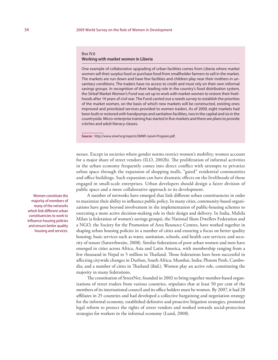#### Box IV.6 **Working with market women in Liberia**

One example of collaborative upgrading of urban facilities comes from Liberia where market women sell their surplus food or purchase food from smallholder farmers to sell in the market. The markets are run down and have few facilities and children play near their mothers in unsanitary conditions. The traders have no access to credit and must rely on their own informal savings groups. In recognition of their leading role in the country's food distribution system, the Sirleaf Market Women's Fund was set up to work with market women to restore their livelihoods after 14 years of civil war. The Fund carried out a needs survey to establish the priorities of the market women, on the basis of which new markets will be constructed, existing ones improved and prioritized services provided to women traders. As of 2009, eight markets had been built or restored with handpumps and sanitation facilities, two in the capital and six in the countryside. Micro-enterprise training has started in five markets and there are plans to provide crèches and adult literacy classes.

**Source:** http://www.smwf.org/reports/SMWF-June4-Program.pdf.

nesses. Except in societies where gender norms restrict women's mobility, women account for a major share of street vendors (ILO, 2002b). The proliferation of informal activities in the urban economy frequently comes into direct conflict with attempts to privatize urban space through the expansion of shopping malls, "gated" residential communities and office buildings. Such expansion can have dramatic effects on the livelihoods of those engaged in small-scale enterprises. Urban developers should design a fairer division of public space and a more collaborative approach to its development.

A number of networks have emerged that link different urban constituencies in order to maximize their ability to influence public policy. In many cities, community-based organizations have gone beyond involvement in the implementation of public-housing schemes to exercising a more active decision-making role in their design and delivery. In India, Mahila Milan (a federation of women's savings groups), the National Slum Dwellers Federation and a NGO, the Society for the Promotion of Area Resource Centres, have worked together in shaping urban housing policies in a number of cities and ensuring a focus on better quality housing; basic services such as water, sanitation, schools, and health care services; and security of tenure (Satterthwaite, 2008). Similar federations of poor urban women and men have emerged in cities across Africa, Asia and Latin America, with membership ranging from a few thousand in Nepal to 5 million in Thailand. Those federations have been successful in affecting citywide changes in Durban, South Africa; Mumbai, India; Phnom Penh, Cambodia; and a number of cities in Thailand (ibid.). Women play an active role, constituting the majority in many federations.

The constitution of StreetNet, founded in 2002 to bring together member-based organizations of street traders from various countries, stipulates that at least 50 per cent of the members of its international council and its office holders must be women. By 2007, it had 28 affiliates in 25 countries and had developed a collective bargaining and negotiation strategy for the informal economy, established defensive and proactive litigation strategies, promoted legal reform to protect the rights of street vendors and worked towards social-protection strategies for workers in the informal economy (Lund, 2008).

Women constitute the majority of members of many of the networks which link different urban constituencies to work to influence housing policies and ensure better quality housing and services.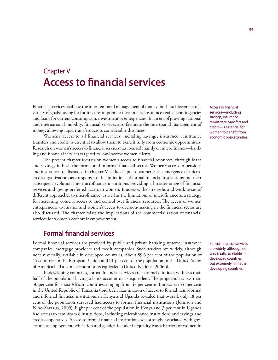# Chapter V **Access to financial services**

Financial services facilitate the inter-temporal management of money for the achievement of a variety of goals: saving for future consumption or investment, insurance against contingencies and loans for current consumption, investment or emergencies. In an era of growing national and international mobility, financial services also facilitate the interspatial management of money, allowing rapid transfers across considerable distances.

Women's access to all financial services, including savings, insurance, remittance transfers and credit, is essential to allow them to benefit fully from economic opportunities. Research on women's access to financial services has focused mainly on microfinance—banking and financial services targeted to low-income women clients.

The present chapter focuses on women's access to financial resources, through loans and savings, in both the formal and informal financial sector. Women's access to pensions and insurance are discussed in chapter VI. The chapter documents the emergence of microcredit organizations as a response to the limitations of formal financial institutions and their subsequent evolution into microfinance institutions providing a broader range of financial services and giving preferred access to women. It assesses the strengths and weaknesses of different approaches to microfinance, as well as the limitations of microfinance as a strategy for increasing women's access to and control over financial resources. The access of women entrepreneurs to finance and women's access to decision-making in the financial sector are also discussed. The chapter raises the implications of the commercialization of financial services for women's economic empowerment.

### **Formal financial services**

Formal financial services are provided by public and private banking systems, insurance companies, mortgage providers and credit companies. Such services are widely, although not universally, available in developed countries. About 89.6 per cent of the population of 15 countries in the European Union and 91 per cent of the population in the United States of America had a bank account or its equivalent (United Nations, 2006b).

In developing countries, formal financial services are extremely limited, with less than half of the population having a bank account or its equivalent. The proportion is less than 50 per cent for most African countries, ranging from 47 per cent in Botswana to 6 per cent in the United Republic of Tanzania (ibid.). An examination of access to formal, semi-formal and informal financial institutions in Kenya and Uganda revealed that overall, only 18 per cent of the population surveyed had access to formal financial institutions (Johnson and Niño-Zarazúa, 2009). Eight per cent of the population in Kenya and 3 per cent in Uganda had access to semi-formal institutions, including microfinance institutions and savings and credit cooperatives. Access to formal financial institutions was strongly associated with government employment, education and gender. Gender inequality was a barrier for women in Access to financial services—including savings, insurance, remittance transfers and credit—is essential for women to benefit from economic opportunities.

Formal financial services are widely, although not universally, available in developed countries, but extremely limited in developing countries.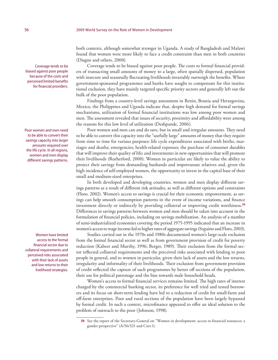both contexts, although somewhat stronger in Uganda. A study of Bangladesh and Malawi found that women were more likely to face a credit constraint than men in both countries (Diagne and others, 2000).

Coverage tends to be biased against poor people. The costs to formal financial providers of transacting small amounts of money to a large, often spatially dispersed, population with insecure and seasonally fluctuating livelihoods invariably outweigh the benefits. Where government-sponsored programmes and banks have sought to compensate for this institutional exclusion, they have mainly targeted specific priority sectors and generally left out the bulk of the poor population.

Findings from a country-level savings assessment in Benin, Bosnia and Herzegovina, Mexico, the Philippines and Uganda indicate that, despite high demand for formal savings mechanisms, utilization of formal financial institutions was low among poor women and men. The assessment revealed that issues of security, proximity and affordability were among the reasons for this low level of utilization (Deshpande, 2006).

Poor women and men can and do save, but in small and irregular amounts. They need to be able to convert this capacity into the "usefully large" amounts of money that they require from time to time for various purposes: life cycle expenditures associated with births, marriages and deaths; emergencies; health-related expenses; the purchase of consumer durables that will improve their quality of life; and investments in new opportunities that will promote their livelihoods (Rutherford, 2000). Women in particular are likely to value the ability to protect their savings from demanding husbands and importunate relatives and, given the high incidence of self-employed women, the opportunity to invest in the capital base of their small and medium-sized enterprises.

In both developed and developing countries, women and men display different savings patterns as a result of different risk attitudes, as well as different options and constraints (Floro, 2002). Women's access to savings is crucial for their economic empowerment, as savings can help smooth consumption patterns in the event of income variations, and finance investment directly or indirectly by providing collateral or improving credit worthiness.**<sup>39</sup>** Differences in savings patterns between women and men should be taken into account in the formulation of financial policies, including on savings mobilization. An analysis of a number of semi-industrialized economies covering the period 1975-1995 indicated that an increase in women's access to wage income led to higher rates of aggregate savings (Seguino and Floro, 2003).

Studies carried out in the 1970s and 1980s documented women's large-scale exclusion from the formal financial sector as well as from government provision of credit for poverty reduction (Kabeer and Murthy, 1996; Berger, 1989). Their exclusion from the formal sector reflected collateral requirements and the perceived risks associated with lending to poor people in general, and to women in particular, given their lack of assets and the low returns, irregularity and informality of their livelihoods. Their exclusion from government provision of credit reflected the capture of such programmes by better off sections of the population, their use for political patronage and the bias towards male household heads.

Women's access to formal financial services remains limited. The high rates of interest charged by the commercial banking sector, its preference for well tried and tested borrowers and its focus on short-term lending have led to a reduction of credit for small-farm and off-farm enterprises. Poor and rural sections of the population have been largely bypassed by formal credit. In such a context, microfinance appeared to offer an ideal solution to the problem of outreach to the poor (Johnson, 1998).

Coverage tends to be biased against poor people because of the costs and perceived limited benefits for financial providers.

Poor women and men need to be able to convert their savings capacity into larger amounts required over the life cycle. In all regions, women and men display different savings patterns.

Women have limited access to the formal financial sector due to collateral requirements and perceived risks associated with their lack of assets and low returns to their livelihood strategies.

**<sup>39</sup>** See the report of the Secretary-General on "Women in development: access to financial resources: a gender perspective" (A/56/321 and Corr.1).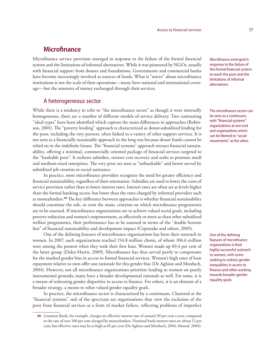### **Microfinance**

Microfinance service provision emerged in response to the failure of the formal financial system and the limitations of informal alternatives. While it was pioneered by NGOs, usually with financial support from donors and foundations, Governments and commercial banks have become increasingly involved as sources of funds. What is "micro" about microfinance institutions is not the scale of their operations—many have national and international coverage—but the amounts of money exchanged through their services.

### A heterogeneous sector

While there is a tendency to refer to "the microfinance sector" as though it were internally homogeneous, there are a number of different models of service delivery. Two contrasting "ideal types" have been identified which capture the main differences in approaches (Robinson, 2001). The "poverty lending" approach is characterized as donor-subsidized lending for the poor, including the very poorest, often linked to a variety of other support services. It is not seen as a financially sustainable approach in the long run because donor funds cannot be relied on in the indefinite future. The "financial systems" approach stresses financial sustainability, offering a minimal, commercially oriented package of financial services targeted to the "bankable poor". It eschews subsidies, stresses cost recovery and seeks to promote small and medium-sized enterprises. The very poor are seen as "unbankable" and better served by subsidized job creation or social assistance.

In practice, most microfinance providers recognize the need for greater efficiency and financial sustainability, regardless of their orientation. Subsidies are used to lower the costs of service provision rather than to lower interest rates. Interest rates are often set at levels higher than the formal banking sector, but lower than the rates charged by informal providers such as moneylenders.**<sup>40</sup>** The key difference between approaches is whether financial sustainability should constitute the sole, or even the main, criterion on which microfinance programmes are to be assessed. If microfinance organizations are to achieve valued social goals, including poverty reduction and women's empowerment, as effectively or more so than other subsidized welfare programmes, their performance has to be assessed in terms of the "double bottom line" of financial sustainability and development impact (Copestake and others, 2005).

One of the defining features of microfinance organizations has been their outreach to women. In 2007, such organizations reached 154.8 million clients, of whom 106.6 million were among the poorest when they took their first loan. Women made up 83.4 per cent of the latter group (Daley-Harris, 2009). Microfinance has thus served partly to compensate for the marked gender bias in access to formal financial services. Women's high rates of loan repayment relative to men offer one rationale for this gender bias (De Aghion and Morduch, 2004). However, not all microfinance organizations prioritize lending to women on purely instrumental grounds; many have a broader developmental rationale as well. For some, it is a means of redressing gender disparities in access to finance. For others, it is an element of a broader strategy, a means to other valued gender equality goals.

In practice, the microfinance sector is characterized by a continuum. Clustered at the "financial systems" end of the spectrum are organizations that view the exclusion of the poor from financial services as a form of market failure, reflecting problems of imperfect

Microfinance emerged in response to the failure of the formal financial system to reach the poor and the limitations of informal alternatives.

The microfinance sector can be seen as a continuum, with "financial systems" organizations at one end and organizations which can be likened to "social movements" at the other.

One of the defining features of microfinance organizations is their highly successful outreach to women, with some seeking to redress gender inequalities in access to finance and other working towards broader gender equality goals.

**<sup>40</sup>** Grameen Bank, for example, charges an effective interest rate of around 30 per cent a year, compared to the rate of over 100 per cent charged by moneylenders. Nominal bank interest rates are about 12 per cent, but effective rates may be as high as 65 per cent (De Aghion and Morduch, 2004; Ahmed, 2004).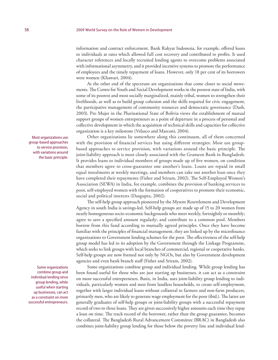information and contract enforcement. Bank Rakyat Indonesia, for example, offered loans to individuals at rates which allowed full cost recovery and contributed to profits. It used character references and locally recruited lending agents to overcome problems associated with informational asymmetry, and it provided incentive systems to promote the performance of employees and the timely repayment of loans. However, only 18 per cent of its borrowers were women (Khawari, 2004).

At the other end of the spectrum are organizations that come closer to social movements. The Centre for Youth and Social Development works in the poorest state of India, with some of its poorest and most socially marginalized, mainly tribal, women to strengthen their livelihoods, as well as to build group cohesion and the skills required for civic engagement, the participative management of community resources and democratic governance (Dash, 2003). Pro Mujer in the Plurinational State of Bolivia views the establishment of mutual support groups of women entrepreneurs as a point of departure in a process of personal and collective development in which the acquisition of technical skills and capacities for collective organization is a key milestone (Velasco and Marconi, 2004).

Other organizations lie somewhere along this continuum, all of them concerned with the provision of financial services but using different strategies. Most use groupbased approaches to service provision, with variations around the basic principle. The joint-liability approach is most closely associated with the Grameen Bank in Bangladesh. It provides loans to individual members of groups made up of five women, on condition that members agree to cross-guarantee one another's loans. Loans are repaid in small equal instalments at weekly meetings, and members can take out another loan once they have completed their repayments (Fisher and Sriram, 2002). The Self-Employed Women's Association (SEWA) in India, for example, combines the provision of banking services to poor, self-employed women with the formation of cooperatives to promote their economic, social and political interests (Dasgupta, 2002).

The self-help group approach pioneered by the Mysore Resettlement and Development Agency in south India is savings-led. Self-help groups are made up of 15 to 20 women from nearly homogeneous socio-economic backgrounds who meet weekly, fortnightly or monthly; agree to save a specified amount regularly; and contribute to a common pool. Members borrow from this fund according to mutually agreed principles. Once they have become familiar with the principles of financial management, they are linked up by the microfinance organizations to Government lending schemes for the poor. The effectiveness of the self-help group model has led to its adoption by the Government through the Linkage Programme, which seeks to link groups with local branches of commercial, regional or cooperative banks. Self-help groups are now formed not only by NGOs, but also by Government development agencies and even bank branch staff (Fisher and Sriram, 2002).

Some organizations combine group and individual lending. While group lending has been found useful for those who are just starting up businesses, it can act as a constraint on more successful entrepreneurs. Basix, in India, uses joint-liability group lending to individuals, particularly women and men from landless households, to create self-employment, together with larger individual loans without collateral to farmers and non-farm producers, primarily men, who are likely to generate wage employment for the poor (ibid.). The latter are generally graduates of self-help groups or joint-liability groups with a successful repayment record of two to three loans. They are given successively higher amounts each time they repay a loan on time. The track record of the borrower, rather than the group guarantee, becomes the collateral. The Bangladesh Rural Advancement Committee (BRAC) in Bangladesh also combines joint-liability group lending for those below the poverty line and individual lend-

Most organizations use group-based approaches to service provision, with variations around the basic principle.

Some organizations combine group and individual lending since group lending, while useful when starting up businesses, can act as a constraint on more successful entrepreneurs.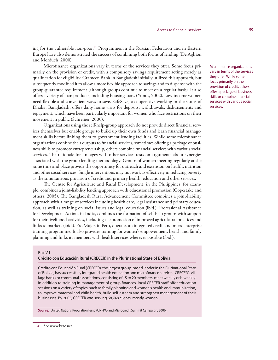ing for the vulnerable non-poor.**<sup>41</sup>** Programmes in the Russian Federation and in Eastern Europe have also demonstrated the success of combining both forms of lending (De Aghion and Morduch, 2000).

Microfinance organizations vary in terms of the services they offer. Some focus primarily on the provision of credit, with a compulsory savings requirement acting merely as qualification for eligibility. Grameen Bank in Bangladesh initially utilized this approach, but subsequently modified it to allow a more flexible approach to savings and to dispense with the group-guarantee requirement (although groups continue to meet on a regular basis). It also offers a variety of loan products, including housing loans (Yunus, 2002). Low-income women need flexible and convenient ways to save. SafeSave, a cooperative working in the slums of Dhaka, Bangladesh, offers daily home visits for deposits, withdrawals, disbursements and repayment, which have been particularly important for women who face restrictions on their movement in public (Schreiner, 2000).

Organizations using the self-help-group approach do not provide direct financial services themselves but enable groups to build up their own funds and learn financial management skills before linking them to government lending facilities. While some microfinance organizations confine their outputs to financial services, sometimes offering a package of business skills to promote entrepreneurship, others combine financial services with various social services. The rationale for linkages with other services rests on arguments about synergies associated with the group lending methodology. Groups of women meeting regularly at the same time and place provide the opportunity for outreach and extension on health, nutrition and other social services. Single interventions may not work as effectively in reducing poverty as the simultaneous provision of credit and primary health, education and other services.

The Centre for Agriculture and Rural Development, in the Philippines, for example, combines a joint-liability lending approach with educational promotion (Copestake and others, 2005). The Bangladesh Rural Advancement Committee combines a joint-liability approach with a range of services including health care, legal assistance and primary education, as well as training on social issues and legal education (ibid.). Professional Assistance for Development Action, in India, combines the formation of self-help groups with support for their livelihood activities, including the promotion of improved agricultural practices and links to markets (ibid.). Pro Mujer, in Peru, operates an integrated credit and microenterprise training programme. It also provides training for women's empowerment, health and family planning and links its members with health services wherever possible (ibid.).

#### Box V.1

### **Crédito con Educación Rural (CRECER) in the Plurinational State of Bolivia**

Crédito con Educación Rural (CRECER), the largest group-based lender in the Plurinational State of Bolivia, has successfully integrated health education and microfinance services. CRECER's village banks or communal associations, consisting of 15 to 20 members, meet weekly or biweekly. In addition to training in management of group finances, local CRECER staff offer education sessions on a variety of topics, such as family planning and women's health and immunization, to improve maternal and child health, build self-esteem and strengthen management of their businesses. By 2005, CRECER was serving 68,748 clients, mostly women.

**Source:** United Nations Population Fund (UNFPA) and Microcredit Summit Campaign, 2006.

Microfinance organizations vary in terms of the services they offer. While some focus primarily on the provision of credit, others offer a package of business skills or combine financial services with various social services.

**<sup>41</sup>** See www.brac.net.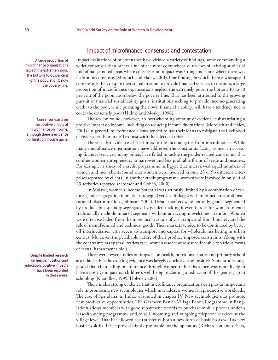A large proportion of microfinance organizations neglect the extremely poor, the bottom 10-50 per cent of the population below the poverty line.

Consensus exists on the positive effects of microfinance on income, although there is evidence of limits on income gains.

Despite limited research on health, nutrition and education, positive impacts have been recorded in these areas.

### Impact of microfinance: consensus and contestation

Impact evaluations of microfinance have yielded a variety of findings, some commanding a wider consensus than others. One of the most comprehensive reviews of existing studies of microfinance noted areas where consensus on impact was strong and some where there was little or no consensus (Morduch and Haley, 2001). One finding on which there is widespread consensus is that, despite their stated mission to provide financial services to the poor, a large proportion of microfinance organizations neglect the extremely poor: the bottom 10 to 50 per cent of the population below the poverty line. That has been attributed to the growing pursuit of financial sustainability goals; institutions seeking to provide income-generating credit to the poor, while pursuing their own financial viability, will have a tendency not to cover the extremely poor (Hulme and Mosley, 1996).

The review found, however, an overwhelming amount of evidence substantiating a positive impact on income, including on reducing income fluctuations (Morduch and Haley, 2001). In general, microfinance clients tended to use their loans to mitigate the likelihood of risk rather than to deal ex post with the effects of crisis.

There is also evidence of the limits to the income gains from microfinance. While many microfinance organizations have addressed the constraints facing women in accessing financial services, many others have failed to tackle the gender-related constraints that confine women entrepreneurs to narrower and less profitable forms of trade and business. For example, a study of a credit programme in Egypt that interviewed equal numbers of women and men clients found that women were involved in only 28 of 96 different enterprises reported by clients. In another credit programme, women were involved in only 14 of 43 activities reported (Sebstadt and Cohen, 2000).

In Malawi, women's income potential was seriously limited by a combination of factors: gender segregation in markets, unequal vertical linkages with intermediaries and institutional discrimination (Johnson, 2005). Urban markets were not only gender-segmented by produce but spatially segregated by gender, making it even harder for women to enter traditionally male-dominated segments without attracting unwelcome attention. Women were often excluded from the more lucrative sale of cash crops and from butchery and the sale of manufactured and technical goods. Their markets tended to be dominated by better off intermediaries with access to transport and capital for wholesale marketing in urban centres. Moreover, the perishable nature of their produce imposed constraints. Along with the constraints many small traders face, women traders were also vulnerable to various forms of sexual harassment (ibid.).

There were fewer studies on impacts on health, nutritional status and primary school attendance, but the existing evidence was largely conclusive and positive. Some studies suggested that channelling microfinance through women rather than men was more likely to have a positive impact on children's well-being, including a reduction of the gender gap in schooling (Khandker, 1999; Holvoet, 2004).

There is also strong evidence that microfinance organizations can play an important role in promoting new technologies which may address women's reproductive workloads. The case of Spandana, in India, was noted in chapter IV. New technologies may promote new productive opportunities. The Grameen Bank's Village Phone Programme in Bangladesh allows members with good repayment records to purchase mobile phones under a lease-financing programme and to sell incoming and outgoing telephone services at the village level. That has allowed the transfer of both a new form of business as well as new business skills. It has proved highly profitable for the operators (Richardson and others,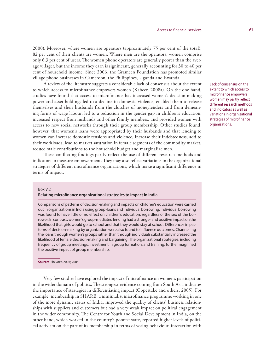2000). Moreover, where women are operators (approximately 75 per cent of the total), 82 per cent of their clients are women. Where men are the operators, women comprise only 6.3 per cent of users. The women phone operators are generally poorer than the average villager, but the income they earn is significant, generally accounting for 30 to 40 per cent of household income. Since 2006, the Grameen Foundation has promoted similar village phone businesses in Cameroon, the Philippines, Uganda and Rwanda.

A review of the literature suggests a considerable lack of consensus about the extent to which access to microfinance empowers women (Kabeer, 2008a). On the one hand, studies have found that access to microfinance has increased women's decision-making power and asset holdings led to a decline in domestic violence, enabled them to release themselves and their husbands from the clutches of moneylenders and from demeaning forms of wage labour, led to a reduction in the gender gap in children's education, increased respect from husbands and other family members, and provided women with access to new social networks through their group membership. Other studies found, however, that women's loans were appropriated by their husbands and that lending to women can increase domestic tensions and violence, increase their indebtedness, add to their workloads, lead to market saturation in female segments of the commodity market, reduce male contributions to the household budget and marginalize men.

These conflicting findings partly reflect the use of different research methods and indicators to measure empowerment. They may also reflect variations in the organizational strategies of different microfinance organizations, which make a significant difference in terms of impact.

### Box V.2

### **Relating microfinance organizational strategies to impact in India**

Comparisons of patterns of decision-making and impacts on children's education were carried out in organizations in India using group-loans and individual borrowing. Individual borrowing was found to have little or no effect on children's education, regardless of the sex of the borrower. In contrast, women's group-mediated lending had a stronger and positive impact on the likelihood that girls would go to school and that they would stay at school. Differences in patterns of decision-making by organization were also found to influence outcomes. Channelling the loans through women's groups rather than through individuals substantially increased the likelihood of female decision-making and bargaining. The organizational strategies, including frequency of group meetings, investment in group formation, and training, further magnified the positive impact of group membership.

**Source:** Holvoet, 2004; 2005.

Very few studies have explored the impact of microfinance on women's participation in the wider domain of politics. The strongest evidence coming from South Asia indicates the importance of strategies in differentiating impact (Copestake and others, 2005). For example, membership in SHARE, a minimalist microfinance programme working in one of the more dynamic states of India, improved the quality of clients' business relationships with suppliers and customers but had a very weak impact on political engagement in the wider community. The Centre for Youth and Social Development in India, on the other hand, which worked in the country's poorest state, reported higher levels of political activism on the part of its membership in terms of voting behaviour, interaction with Lack of consensus on the extent to which access to microfinance empowers women may partly reflect different research methods and indicators as well as variations in organizational strategies of microfinance organizations.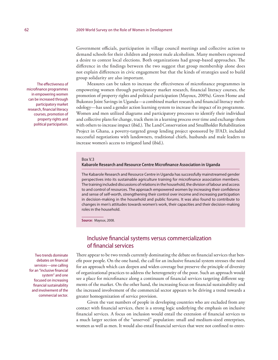Government officials, participation in village council meetings and collective action to demand schools for their children and protest male alcoholism. Many members expressed a desire to contest local elections. Both organizations had group-based approaches. The difference in the findings between the two suggest that group membership alone does not explain differences in civic engagement but that the kinds of strategies used to build group solidarity are also important.

Measures can be taken to increase the effectiveness of microfinance programmes in empowering women through participatory market research, financial literacy courses, the promotion of property rights and political participation (Mayoux, 2009a). Green Home and Bukonzo Joint Savings in Uganda—a combined market research and financial literacy methodology—has used a gender action learning system to increase the impact of its programme. Women and men utilized diagrams and participatory processes to identify their individual and collective plans for change, track them in a learning process over time and exchange them with others to increase impact (ibid.). The Land Conservation and Smallholder Rehabilitation Project in Ghana, a poverty-targeted group lending project sponsored by IFAD, included successful negotiations with landowners, traditional chiefs, husbands and male leaders to increase women's access to irrigated land (ibid.).

### Box V.3

### **Kabarole Research and Resource Centre Microfinance Association in Uganda**

The Kabarole Research and Resource Centre in Uganda has successfully mainstreamed gender perspectives into its sustainable agriculture training for microfinance association members. The training included discussions of relations in the household, the division of labour and access to and control of resources. The approach empowered women by increasing their confidence and sense of self-worth, strengthening their control over income and increasing participation in decision-making in the household and public forums. It was also found to contribute to changes in men's attitudes towards women's work, their capacities and their decision-making roles in the household.

**Source:** Mayoux, 2008.

## Inclusive financial systems versus commercialization of financial services

There appear to be two trends currently dominating the debate on financial services that benefit poor people. On the one hand, the call for an inclusive financial system stresses the need for an approach which can deepen and widen coverage but preserve the principle of diversity of organizational practices to address the heterogeneity of the poor. Such an approach would see a place for microfinance along a continuum of financial services targeting different segments of the market. On the other hand, the increasing focus on financial sustainability and the increased involvement of the commercial sector appears to be driving a trend towards a greater homogenization of service provision.

Given the vast numbers of people in developing countries who are excluded from any contact with financial services, there is a strong logic underlying the emphasis on inclusive financial services. A focus on inclusion would entail the extension of financial services to a much larger section of the "unserved" population: small and medium-sized enterprises, women as well as men. It would also entail financial services that were not confined to entre-

The effectiveness of microfinance programmes in empowering women can be increased through participatory market research, financial literacy courses, promotion of property rights and political participation.

Two trends dominate debates on financial services—one calling for an "inclusive financial system" and one focused on increasing financial sustainability and involvement of the commercial sector.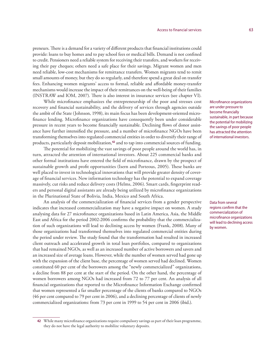preneurs. There is a demand for a variety of different products that financial institutions could provide: loans to buy homes and to pay school fees or medical bills. Demand is not confined to credit. Pensioners need a reliable system for receiving their transfers, and workers for receiving their pay cheques; others need a safe place for their savings. Migrant women and men need reliable, low-cost mechanisms for remittance transfers. Women migrants tend to remit small amounts of money, but they do so regularly, and therefore spend a great deal on transfer fees. Enhancing women migrants' access to formal, reliable and affordable money-transfer mechanisms would increase the impact of their remittances on the well-being of their families (INSTRAW and IOM, 2007). There is also interest in insurance services (see chapter VI).

While microfinance emphasizes the entrepreneurship of the poor and stresses cost recovery and financial sustainability, and the delivery of services through agencies outside the ambit of the State (Johnson, 1998), its main focus has been development-oriented microfinance lending. Microfinance organizations have consequently been under considerable pressure in recent years to become financially sustainable. Declining flows of donor assistance have further intensified the pressure, and a number of microfinance NGOs have been transforming themselves into regulated commercial entities in order to diversify their range of products, particularly deposit mobilization,**<sup>42</sup>** and to tap into commercial sources of funding.

The potential for mobilizing the vast savings of poor people around the world has, in turn, attracted the attention of international investors. About 225 commercial banks and other formal institutions have entered the field of microfinance, drawn by the prospect of sustainable growth and profit opportunities (Isern and Porteous, 2005). These banks are well placed to invest in technological innovations that will provide greater density of coverage of financial services. New information technology has the potential to expand coverage massively, cut risks and reduce delivery costs (Helms, 2006). Smart cards, fingerprint readers and personal digital assistants are already being utilized by microfinance organizations in the Plurinational State of Bolivia, India, Mexico and South Africa.

An analysis of the commercialization of financial services from a gender perspective indicates that increased commercialization may have a negative impact on women. A study analysing data for 27 microfinance organizations based in Latin America, Asia, the Middle East and Africa for the period 2002-2006 confirms the probability that the commercialization of such organizations will lead to declining access by women (Frank, 2008). Many of those organizations had transformed themselves into regulated commercial entities during the period under review. The study found that the transformation had resulted in increased client outreach and accelerated growth in total loan portfolios, compared to organizations that had remained NGOs, as well as an increased number of active borrowers and savers and an increased size of average loans. However, while the number of women served had gone up with the expansion of the client base, the percentage of women served had declined. Women constituted 60 per cent of the borrowers among the "newly commercialized" organizations, a decline from 88 per cent at the start of the period. On the other hand, the percentage of women borrowers among NGOs had increased from 72 to 77 per cent. An analysis of all financial organizations that reported to the Microfinance Information Exchange confirmed that women represented a far smaller percentage of the clients of banks compared to NGOs (46 per cent compared to 79 per cent in 2006), and a declining percentage of clients of newly commercialized organizations: from 73 per cent in 1999 to 54 per cent in 2006 (ibid.).

Data from several regions confirm that the commercialization of microfinance organizations will lead to declining access by women.

Microfinance organizations are under pressure to become financially sustainable, in part because the potential for mobilizing the savings of poor people has attracted the attention of international investors.

**<sup>42</sup>** While many microfinance organizations require compulsory savings as part of their loan programme, they do not have the legal authority to mobilize voluntary deposits.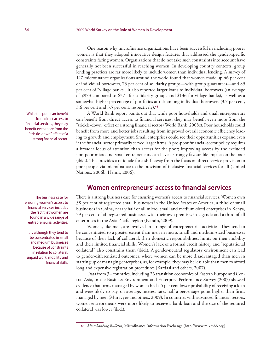One reason why microfinance organizations have been successful in including poorer women is that they adopted innovative design features that addressed the gender-specific constraints facing women. Organizations that do not take such constraints into account have generally not been successful in reaching women. In developing country contexts, group lending practices are far more likely to include women than individual lending. A survey of 147 microfinance organizations around the world found that women made up 46 per cent of individual borrowers, 73 per cent of solidarity groups—with group guarantees—and 89 per cent of "village banks". It also reported larger loans to individual borrowers (an average of \$973 compared to \$371 for solidarity groups and \$136 for village banks), as well as a somewhat higher percentage of portfolios at risk among individual borrowers (3.7 per cent, 3.6 per cent and 3.5 per cent, respectively).**<sup>43</sup>**

A World Bank report points out that while poor households and small entrepreneurs can benefit from direct access to financial services, they may benefit even more from the "trickle-down" effect of a strong financial sector (World Bank, 2008c). Poor households could benefit from more and better jobs resulting from improved overall economic efficiency leading to growth and employment. Small enterprises could see their opportunities expand even if the financial sector primarily served larger firms. A pro-poor financial-sector policy requires a broader focus of attention than access for the poor; improving access by the excluded non-poor micro and small entrepreneurs can have a strongly favourable impact on the poor (ibid.). This provides a rationale for a shift away from the focus on direct-service provision to poor people via microfinance to the provision of inclusive financial services for all (United Nations, 2006b; Helms, 2006).

# **Women entrepreneurs' access to financial services**

There is a strong business case for ensuring women's access to financial services. Women own 38 per cent of registered small businesses in the United States of America, a third of small businesses in China, nearly half of all micro, small and medium-sized enterprises in Kenya, 39 per cent of all registered businesses with their own premises in Uganda and a third of all enterprises in the Asia-Pacific region (Narain, 2009).

Women, like men, are involved in a range of entrepreneurial activities. They tend to be concentrated to a greater extent than men in micro, small and medium-sized businesses because of their lack of collateral, their domestic responsibilities, limits on their mobility and their limited financial skills. Women's lack of a formal credit history and "reputational collateral" also constrains them (ibid.). A gender-neutral regulatory environment can lead to gender-differentiated outcomes, where women can be more disadvantaged than men in starting up or managing enterprises, as, for example, they may be less able than men to afford long and expensive registration procedures (Bardasi and others, 2007).

Data from 34 countries, including 26 transition economies of Eastern Europe and Central Asia, in the Business Environment and Enterprise Performance Survey (2005) showed evidence that firms managed by women had a 5 per cent lower probability of receiving a loan and were likely to pay, on average, interest rates half a percentage point higher than firms managed by men (Muravyev and others, 2009). In countries with advanced financial sectors, women entrepreneurs were more likely to receive a bank loan and the size of the required collateral was lower (ibid.).

While the poor can benefit from direct access to financial services, they may benefit even more from the "trickle-down" effect of a strong financial sector.

The business case for ensuring women's access to financial services includes the fact that women are found in a wide range of entrepreneurial activities.

… although they tend to be concentrated in small and medium businesses because of constraints in relation to collateral, unpaid work, mobility and financial skills.

**<sup>43</sup>** *Microbanking Bulletin*, Microfinance Information Exchange (http://www.mixmbb.org).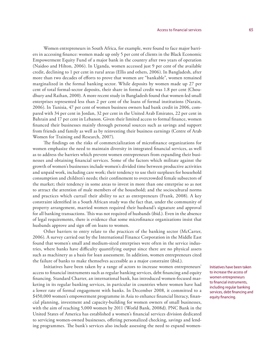Women entrepreneurs in South Africa, for example, were found to face major barriers in accessing finance: women made up only 5 per cent of clients in the Black Economic Empowerment Equity Fund of a major bank in the country after two years of operation (Naidoo and Hilton, 2006). In Uganda, women accessed just 9 per cent of the available credit, declining to 1 per cent in rural areas (Ellis and others, 2006). In Bangladesh, after more than two decades of efforts to prove that women are "bankable", women remained marginalized in the formal banking sector. While deposits by women made up 27 per cent of total formal-sector deposits, their share in formal credit was 1.8 per cent (Choudhury and Raihan, 2000). A more recent study in Bangladesh found that women-led small enterprises represented less than 2 per cent of the loans of formal institutions (Narain, 2006). In Tunisia, 47 per cent of women business owners had bank credit in 2006, compared with 34 per cent in Jordan, 32 per cent in the United Arab Emirates, 22 per cent in Bahrain and 17 per cent in Lebanon. Given their limited access to formal finance, women financed their businesses mainly through personal sources such as savings and support from friends and family as well as by reinvesting their business earnings (Centre of Arab Women for Training and Research, 2007).

The findings on the risks of commercialization of microfinance organizations for women emphasize the need to maintain diversity in integrated financial services, as well as to address the barriers which prevent women entrepreneurs from expanding their businesses and obtaining financial services. Some of the factors which militate against the growth of women's businesses include women's divided time between productive activities and unpaid work, including care work; their tendency to use their surpluses for household consumption and children's needs; their confinement to overcrowded female subsectors of the market; their tendency in some areas to invest in more than one enterprise so as not to attract the attention of male members of the household; and the sociocultural norms and practices which curtail their ability to act as entrepreneurs (Frank, 2008). A key constraint identified in a South African study was the fact that, under the community of property arrangement, married women required their husband's signature and approval for all banking transactions. This was not required of husbands (ibid.). Even in the absence of legal requirements, there is evidence that some microfinance organizations insist that husbands approve and sign off on loans to women.

Other barriers to entry relate to the practices of the banking sector (McCarter, 2006). A survey carried out by the International Finance Corporation in the Middle East found that women's small and medium-sized enterprises were often in the service industries, where banks have difficulty quantifying output since there are no physical assets such as machinery as a basis for loan assessment. In addition, women entrepreneurs cited the failure of banks to make themselves accessible as a major constraint (ibid.).

Initiatives have been taken by a range of actors to increase women entrepreneurs' access to financial instruments such as regular banking services, debt financing and equity financing. Standard Charter, an international bank, has introduced women-focused marketing in its regular banking services, in particular in countries where women have had a lower rate of formal engagement with banks. In December 2008, it committed to a \$450,000 women's empowerment programme in Asia to enhance financial literacy, financial planning, investment and capacity-building for women owners of small businesses, with the aim of reaching 5,000 women by 2011 (World Bank, 2008d). PNC Bank in the United States of America has established a women's financial services division dedicated to servicing women-owned businesses, offering personalized checking, savings and lending programmes. The bank's services also include assessing the need to expand women-

Initiatives have been taken to increase the access of women entrepreneurs to financial instruments, including regular banking services, debt financing and equity financing.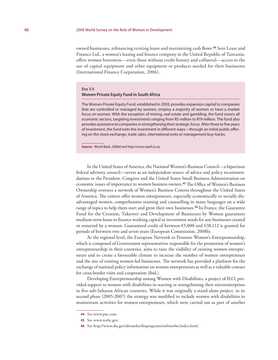owned businesses, refinancing existing loans and maximizing cash flows.**<sup>44</sup>** Sero Lease and Finance Ltd., a women's leasing and finance company in the United Republic of Tanzania, offers women borrowers—even those without credit history and collateral—access to the use of capital equipment and other equipment or products needed for their businesses (International Finance Corporation, 2006).

#### Box V.4

### **Women Private Equity Fund in South Africa**

The Women Private Equity Fund, established in 2003, provides expansion capital to companies that are controlled or managed by women, employ a majority of women or have a market focus on women. With the exception of mining, real estate and gambling, the fund covers all economic sectors, targeting investments ranging from R5 million to R19 million. The fund also provides assistance to companies in strengthening their strategic focus. After three to five years of investment, the fund exits the investment in different ways—through an initial public offering on the stock exchange, trade sales, international exits or management buy-backs.

**Source:** World Bank, 2008d and http://www.wpef.co.za.

In the United States of America, the National Women's Business Council—a bipartisan federal advisory council—serves as an independent source of advice and policy recommendations to the President, Congress and the United States Small Business Administration on economic issues of importance to women business owners.**<sup>45</sup>** The Office of Women's Business Ownership oversees a network of Women's Business Centres throughout the United States of America. The centres offer women entrepreneurs, especially economically or socially disadvantaged women, comprehensive training and counselling in many languages on a wide range of topics to help them start and grow their own businesses.**<sup>46</sup>** In France, the Guarantee Fund for the Creation, Takeover and Development of Businesses by Women guarantees medium-term loans to finance working capital or investment needs for any businesses created or restarted by a woman. Guaranteed credit of between  $\epsilon$ 5,000 and  $\epsilon$ 38,112 is granted for periods of between two and seven years (European Commission, 2008b).

At the regional level, the European Network to Promote Women's Entrepreneurship, which is composed of Government representatives responsible for the promotion of women's entrepreneurship in their countries, aims to raise the visibility of existing women entrepreneurs and to create a favourable climate to increase the number of women entrepreneurs and the size of existing women-led businesses. The network has provided a platform for the exchange of national policy information on women entrepreneurs as well as a valuable contact for cross-border visits and cooperation (ibid.).

Developing Entrepreneurship among Women with Disabilities, a project of ILO, provided support to women with disabilities in starting or strengthening their microenterprises in five sub-Saharan African countries. While it was originally a stand-alone project, in its second phase (2005-2007) the strategy was modified to include women with disabilities in mainstream activities for women entrepreneurs, which were carried out as part of another

**<sup>44</sup>** See www.pnc.com.

**<sup>45</sup>** See www.nwbc.gov.

**<sup>46</sup>** See http://www.sba.gov/aboutsba/sbaprograms/onlinewbc/index.html.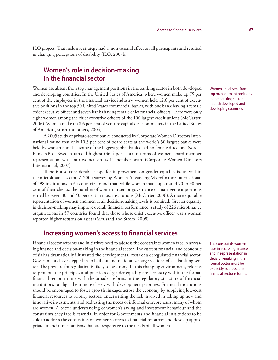ILO project. That inclusive strategy had a motivational effect on all participants and resulted in changing perceptions of disability (ILO, 2007b).

# **Women's role in decision-making in the financial sector**

Women are absent from top management positions in the banking sector in both developed and developing countries. In the United States of America, where women make up 75 per cent of the employees in the financial service industry, women held 12.6 per cent of executive positions in the top 50 United States commercial banks, with one bank having a female chief executive officer and seven banks having female chief financial officers. There were only eight women among the chief executive officers of the 100 largest credit unions (McCarter, 2006). Women make up 8.6 per cent of venture capital decision-makers in the United States of America (Brush and others, 2004).

A 2005 study of private-sector banks conducted by Corporate Women Directors International found that only 10.3 per cent of board seats at the world's 50 largest banks were held by women and that some of the biggest global banks had no female directors. Nordea Bank AB of Sweden ranked highest (36.4 per cent) in terms of women board member representation, with four women on its 11-member board (Corporate Women Directors International, 2007).

There is also considerable scope for improvement on gender equality issues within the microfinance sector. A 2005 survey by Women Advancing Microfinance International of 198 institutions in 65 countries found that, while women made up around 70 to 90 per cent of their clients, the number of women in senior governance or management positions varied between 30 and 40 per cent in most institutions (McCarter, 2006). A more equitable representation of women and men at all decision-making levels is required. Greater equality in decision-making may improve overall financial performance; a study of 226 microfinance organizations in 57 countries found that those whose chief executive officer was a woman reported higher returns on assets (Merlsand and Strom, 2008).

## **Increasing women's access to financial services**

Financial sector reforms and initiatives need to address the constraints women face in accessing finance and decision-making in the financial sector. The current financial and economic crisis has dramatically illustrated the developmental costs of a deregulated financial sector. Governments have stepped in to bail out and nationalize large sections of the banking sector. The pressure for regulation is likely to be strong. In this changing environment, reforms to promote the principles and practices of gender equality are necessary within the formal financial sector, in line with the broader reforms in the regulatory structure of financial institutions to align them more closely with development priorities. Financial institutions should be encouraged to foster growth linkages across the economy by supplying low-cost financial resources to priority sectors, underwriting the risk involved in taking up new and innovative investments, and addressing the needs of informal entrepreneurs, many of whom are women. A better understanding of women's saving and investment behaviour and the constraints they face is essential in order for Governments and financial institutions to be able to address the constraints on women's access to financial resources and develop appropriate financial mechanisms that are responsive to the needs of all women.

Women are absent from top management positions in the banking sector in both developed and developing countries.

The constraints women face in accessing finance and in representation in decision-making in the formal sector must be explicitly addressed in financial sector reforms.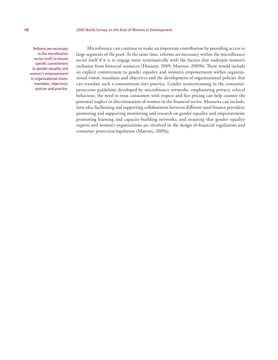Reforms are necessary in the microfinance sector itself, to ensure specific commitment to gender equality and women's empowerment in organizational vision, mandates, objectives, policies and practice.

Microfinance can continue to make an important contribution by providing access to large segments of the poor. At the same time, reforms are necessary within the microfinance sector itself if it is to engage more systematically with the factors that underpin women's exclusion from financial resources (Hussain, 2009; Mayoux, 2009b). These would include an explicit commitment to gender equality and women's empowerment within organizational vision, mandates and objectives and the development of organizational policies that can translate such a commitment into practice. Gender mainstreaming in the consumerprotection guidelines developed by microfinance networks, emphasizing privacy, ethical behaviour, the need to treat consumers with respect and fair pricing can help counter the potential neglect or discrimination of women in the financial sector. Measures can include, inter alia, facilitating and supporting collaboration between different rural finance providers; promoting and supporting monitoring and research on gender equality and empowerment; promoting learning and capacity-building networks; and ensuring that gender equality experts and women's organizations are involved in the design of financial regulations and consumer protection legislation (Mayoux, 2009a).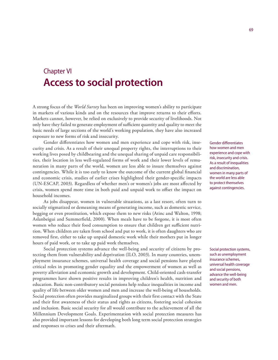# Chapter VI **Access to social protection**

A strong focus of the *World Survey* has been on improving women's ability to participate in markets of various kinds and on the resources that improve returns to their efforts. Markets cannot, however, be relied on exclusively to provide security of livelihoods. Not only have they failed to generate employment of sufficient quantity and quality to meet the basic needs of large sections of the world's working population, they have also increased exposure to new forms of risk and insecurity.

Gender differentiates how women and men experience and cope with risk, insecurity and crisis. As a result of their unequal property rights, the interruptions to their working lives posed by childbearing and the unequal sharing of unpaid care responsibilities, their location in less well-regulated forms of work and their lower levels of remuneration in many parts of the world, women are less able to insure themselves against contingencies. While it is too early to know the outcome of the current global financial and economic crisis, studies of earlier crises highlighted their gender-specific impacts (UN-ESCAP, 2003). Regardless of whether men's or women's jobs are most affected by crisis, women spend more time in both paid and unpaid work to offset the impact on household incomes.

As jobs disappear, women in vulnerable situations, as a last resort, often turn to socially stigmatized or demeaning means of generating income, such as domestic service, begging or even prostitution, which expose them to new risks (Atinc and Walton, 1998; Aslanbeigui and Summerfield, 2000). When meals have to be forgone, it is most often women who reduce their food consumption to ensure that children get sufficient nutrition. When children are taken from school and put to work, it is often daughters who are removed first, either to take up unpaid domestic work while their mothers put in longer hours of paid work, or to take up paid work themselves.

Social protection systems advance the well-being and security of citizens by protecting them from vulnerability and deprivation (ILO, 2003). In many countries, unemployment insurance schemes, universal health coverage and social pensions have played critical roles in promoting gender equality and the empowerment of women as well as poverty alleviation and economic growth and development. Child-oriented cash-transfer programmes have shown positive results in improving children's health, nutrition and education. Basic non-contributory social pensions help reduce inequalities in income and quality of life between older women and men and increase the well-being of households. Social protection often provides marginalized groups with their first contact with the State and their first awareness of their status and rights as citizens, fostering social cohesion and inclusion. Basic social security for all would contribute to the achievement of all the Millennium Development Goals. Experimentation with social protection measures has also provided important lessons for developing both long term social protection strategies and responses to crises and their aftermath.

Gender differentiates how women and men experience and cope with risk, insecurity and crisis. As a result of inequalities and discrimination, women in many parts of the world are less able to protect themselves against contingencies.

Social protection systems, such as unemployment insurance schemes, universal health coverage and social pensions, advance the well-being and security of both women and men.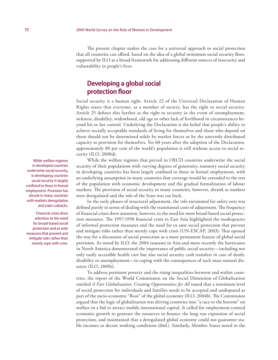The present chapter makes the case for a universal approach to social protection that all countries can afford, based on the idea of a global minimum social security floor, supported by ILO as a broad framework for addressing different sources of insecurity and vulnerability in people's lives.

## **Developing a global social protection floor**

Social security is a human right. Article 22 of the Universal Declaration of Human Rights states that everyone, as a member of society, has the right to social security. Article 25 defines this further as the right to security in the event of unemployment, sickness, disability, widowhood, old age or other lack of livelihood in circumstances beyond his or her control. Underlying the Declaration is the belief that people's ability to achieve socially acceptable standards of living for themselves and those who depend on them should not be determined solely by market forces or by the unevenly distributed capacity to provision for themselves. Yet 60 years after the adoption of the Declaration, approximately 80 per cent of the world's population is still without access to social security (ILO, 2008d).

While the welfare regimes that prevail in OECD countries underwrite the social security of their populations with varying degrees of generosity, statutory social security in developing countries has been largely confined to those in formal employment, with an underlying assumption in many countries that coverage would be extended to the rest of the population with economic development and the gradual formalization of labour markets. The provision of social security in many countries, however, shrank as markets were deregulated and the role of the State was cut back.

In the early phases of structural adjustment, the role envisioned for safety nets was defined purely in terms of dealing with the transitional costs of adjustment. The frequency of financial crises drew attention, however, to the need for more broad-based social protection measures. The 1997-1998 financial crisis in East Asia highlighted the inadequacies of informal protection measures and the need for ex ante social protection that prevent and mitigate risks rather than merely cope with crisis (UN-ESCAP, 2003). That opened the way for a discussion of social protection as a more permanent feature of global social provision. As noted by ILO, the 2004 tsunami in Asia and more recently the hurricanes in North America demonstrated the importance of public social security—including not only easily accessible health care but also social security cash transfers in case of death, disability or unemployment—in coping with the consequences of such mass natural disasters (ILO, 2009e).

To address persistent poverty and the rising inequalities between and within countries, the report of the World Commission on the Social Dimension of Globalization entitled *A Fair Globalization: Creating Opportunities for All* stated that a minimum level of social protection for individuals and families needs to be accepted and undisputed as part of the socio-economic "floor" of the global economy (ILO, 2004b). The Commission argued that the logic of globalization was driving countries into "a race to the bottom" on welfare in a bid to attract mobile international capital. It called for employment-centred economic growth to generate the resources to finance the long run expansion of social protection, and maintained that a deregulated global economy could not guarantee stable incomes or decent working conditions (ibid.). Similarly, Member States noted in the

While welfare regimes in developed countries underwrite social security, in developing countries social security is largely confined to those in formal employment. Provision has shrunk in many countries with markets deregulation and state cutbacks.

Financial crises drew attention to the need for broad-based social protection and ex ante measures that prevent and mitigate risks rather than merely cope with crisis.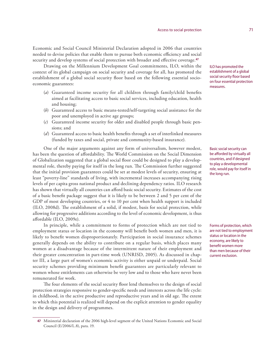Economic and Social Council Ministerial Declaration adopted in 2006 that countries needed to devise policies that enable them to pursue both economic efficiency and social security and develop systems of social protection with broader and effective coverage.**<sup>47</sup>**

Drawing on the Millennium Development Goal commitments, ILO, within the context of its global campaign on social security and coverage for all, has promoted the establishment of a global social security floor based on the following essential socioeconomic guarantees:

- (*a*) Guaranteed income security for all children through family/child benefits aimed at facilitating access to basic social services, including education, health and housing;
- (*b*) Guaranteed access to basic means-tested/self-targeting social assistance for the poor and unemployed in active age groups;
- (*c*) Guaranteed income security for older and disabled people through basic pensions; and
- (*d*) Guaranteed access to basic health benefits through a set of interlinked measures (funded by taxes and social, private and community-based insurance).

One of the major arguments against any form of universalism, however modest, has been the question of affordability. The World Commission on the Social Dimension of Globalization suggested that a global social floor could be designed to play a developmental role, thereby paying for itself in the long run. The Commission further suggested that the initial provision guarantees could be set at modest levels of security, ensuring at least "poverty-line" standards of living, with incremental increases accompanying rising levels of per capita gross national product and declining dependency ratios. ILO research has shown that virtually all countries can afford basic social security. Estimates of the cost of a basic benefit package suggest that it is likely to be between 2 and 5 per cent of the GDP of most developing countries, or 4 to 10 per cent when health support is included (ILO, 2008d). The establishment of a solid, if modest, basis for social protection, while allowing for progressive additions according to the level of economic development, is thus affordable (ILO, 2009e).

In principle, while a commitment to forms of protection which are not tied to employment status or location in the economy will benefit both women and men, it is likely to benefit women disproportionately. Participation in social insurance schemes generally depends on the ability to contribute on a regular basis, which places many women at a disadvantage because of the intermittent nature of their employment and their greater concentration in part-time work (UNRISD, 2005). As discussed in chapter III, a large part of women's economic activity is either unpaid or underpaid. Social security schemes providing minimum benefit guarantees are particularly relevant to women whose entitlements can otherwise be very low and to those who have never been remunerated for work.

The four elements of the social security floor lend themselves to the design of social protection strategies responsive to gender-specific needs and interests across the life cycle: in childhood, in the active productive and reproductive years and in old age. The extent to which this potential is realized will depend on the explicit attention to gender equality in the design and delivery of programmes.

ILO has promoted the establishment of a global social security floor based on four essential protection measures.

Basic social security can be afforded by virtually all countries, and if designed to play a developmental role, would pay for itself in the long run.

Forms of protection, which are not tied to employment status or location in the economy, are likely to benefit women more than men because of their current exclusion.

**<sup>47</sup>** Ministerial declaration of the 2006 high-level segment of the United Nations Economic and Social Council (E/2006/L.8), para. 19.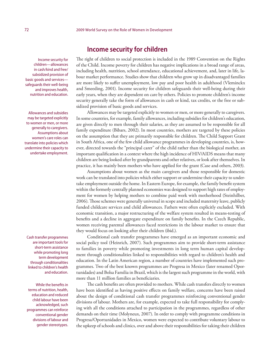Income security for children—allowances in cash/kind and free/ subsidized provision of basic goods and services safeguards their well-being and improves health, nutrition and education.

Allowances and subsidies may be targeted explicitly to women or men, or more generally to caregivers. Assumptions about women's care roles can translate into policies which undermine their capacity to undertake employment.

Cash transfer programmes are important tools for short-term assistance while promoting long term development through conditionalities linked to children's health and education.

While the benefits in terms of nutrition, health, education and reduced child labour have been acknowledged, such programmes can reinforce conventional gender divisions of labour and gender stereotypes.

### **Income security for children**

The right of children to social protection is included in the 1989 Convention on the Rights of the Child. Income poverty for children has negative implications in a broad range of areas, including health, nutrition, school attendance, educational achievement, and, later in life, labour market performance. Studies show that children who grow up in disadvantaged families are more likely to suffer unemployment, low pay and poor health in adulthood (Vleminckx and Smeeding, 2001). Income security for children safeguards their well-being during their early years, when they are dependent on care by others. Policies to promote children's income security generally take the form of allowances in cash or kind, tax credits, or the free or subsidized provision of basic goods and services.

Allowances may be targeted explicitly to women or men, or more generally to caregivers. In some countries, for example, family allowances, including subsidies for children's education, are given directly to men through their salaries, as they are assumed to be responsible for all family expenditure (Bibars, 2002). In most countries, mothers are targeted by these policies on the assumption that they are primarily responsible for children. The Child Support Grant in South Africa, one of the few child allowance programmes in developing countries, is, however, directed towards the "principal carer" of the child rather than the biological mother, an important qualification in a context where the high incidence of HIV/AIDS means that many children are being looked after by grandparents and other relatives, or look after themselves. In practice, it has mainly been mothers who have applied for the grant (Case and others, 2003).

Assumptions about women as the main caregivers and those responsible for domestic work can be translated into policies which either support or undermine their capacity to undertake employment outside the home. In Eastern Europe, for example, the family benefit system within the formerly centrally planned economies was designed to support high rates of employment for women by helping mothers to combine paid work with motherhood (Steinhilber, 2006). Those schemes were generally universal in scope and included maternity leave, publicly funded childcare services and child allowances. Fathers were often explicitly excluded. With economic transition, a major restructuring of the welfare system resulted in means-testing of benefits and a decline in aggregate expenditure on family benefits. In the Czech Republic, women receiving parental allowances faced restrictions in the labour market to ensure that they would focus on looking after their children (ibid.).

Conditional cash transfer programmes have emerged as an important economic and social policy tool (Heinrich, 2007). Such programmes aim to provide short-term assistance to families in poverty while promoting investments in long term human capital development through conditionalities linked to responsibilities with regard to children's health and education. In the Latin American region, a number of countries have implemented such programmes. Two of the best known programmes are Progresa in Mexico (later renamed Oportunidades) and Bolsa Familia in Brazil, which is the largest such programme in the world, with more than 11 million families as beneficiaries.

The cash benefits are often provided to mothers. While cash transfers directly to women have been identified as having positive effects on family welfare, concerns have been raised about the design of conditional cash transfer programmes reinforcing conventional gender divisions of labour. Mothers are, for example, expected to take full responsibility for complying with all the conditions attached to participation in the programmes, regardless of other demands on their time (Molyneux, 2007). In order to comply with programme conditions in Progresa/Oportunidades in Mexico, women were expected to contribute voluntary labour to the upkeep of schools and clinics, over and above their responsibilities for taking their children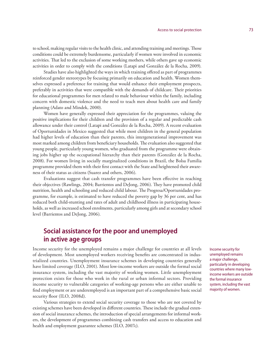to school, making regular visits to the health clinic, and attending training and meetings. Those conditions could be extremely burdensome, particularly if women were involved in economic activities. That led to the exclusion of some working mothers, while others gave up economic activities in order to comply with the conditions (Latapi and González de la Rocha, 2009).

Studies have also highlighted the ways in which training offered as part of programmes reinforced gender stereotypes by focusing primarily on education and health. Women themselves expressed a preference for training that would enhance their employment prospects, preferably in activities that were compatible with the demands of childcare. Their priorities for educational programmes for men related to male behaviour within the family, including concern with domestic violence and the need to teach men about health care and family planning (Adato and Mindek, 2000).

Women have generally expressed their appreciation for the programmes, valuing the positive implications for their children and the provision of a regular and predictable cash allowance under their control (Latapi and González de la Rocha, 2009). A recent evaluation of Oportunidades in Mexico suggested that while most children in the general population had higher levels of education than their parents, this intergenerational improvement was most marked among children from beneficiary households. The evaluation also suggested that young people, particularly young women, who graduated from the programme were obtaining jobs higher up the occupational hierarchy than their parents (González de la Rocha, 2008). For women living in socially marginalized conditions in Brazil, the Bolsa Familia programme provided them with their first contact with the State and heightened their awareness of their status as citizens (Suarez and others, 2006).

Evaluations suggest that cash transfer programmes have been effective in reaching their objectives (Rawlings, 2004; Barrientos and DeJong, 2006). They have promoted child nutrition, health and schooling and reduced child labour. The Progresa/Oportunidades programme, for example, is estimated to have reduced the poverty gap by 36 per cent, and has reduced both child-stunting and rates of adult and childhood illness in participating households, as well as increased school enrolments, particularly among girls and at secondary school level (Barrientos and DeJong, 2006).

# **Social assistance for the poor and unemployed in active age groups**

Income security for the unemployed remains a major challenge for countries at all levels of development. Most unemployed workers receiving benefits are concentrated in industrialized countries. Unemployment insurance schemes in developing countries generally have limited coverage (ILO, 2001). Most low-income workers are outside the formal social insurance system, including the vast majority of working women. Little unemployment protection exists for those who work in the rural or urban informal sectors. Providing income security to vulnerable categories of working-age persons who are either unable to find employment or are underemployed is an important part of a comprehensive basic social security floor (ILO, 2008d).

Various strategies to extend social security coverage to those who are not covered by existing schemes have been developed in different countries. These include the gradual extension of social insurance schemes, the introduction of special arrangements for informal workers, the development of programmes combining cash transfers and access to education and health and employment guarantee schemes (ILO, 2007c).

Income security for unemployed remains a major challenge, particularly in developing countries where many lowincome workers are outside the formal insurance system, including the vast majority of women.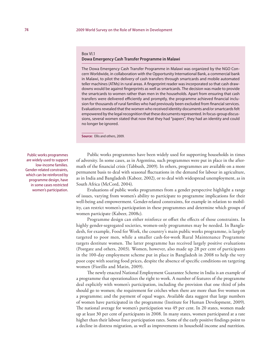#### Box VI.1

### **Dowa Emergency Cash Transfer Programme in Malawi**

The Dowa Emergency Cash Transfer Programme in Malawi was organized by the NGO Concern Worldwide, in collaboration with the Opportunity International Bank, a commercial bank in Malawi, to pilot the delivery of cash transfers through smartcards and mobile automated teller machines (ATMs) in rural areas. A fingerprint reader was incorporated so that cash drawdowns would be against fingerprints as well as smartcards. The decision was made to provide the smartcards to women rather than men in the households. Apart from ensuring that cash transfers were delivered efficiently and promptly, the programme achieved financial inclusion for thousands of rural families who had previously been excluded from financial services. Evaluations revealed that the women who received identity documents and/or smartcards felt empowered by the legal recognition that these documents represented. In focus-group discussions, several women stated that now that they had "papers", they had an identity and could no longer be ignored.

**Source:** Ellis and others, 2009.

Public works programmes are widely used to support low-income families. Gender-related constraints, which can be reinforced by programme design, have in some cases restricted women's participation.

Public works programmes have been widely used for supporting households in times of adversity. In some cases, as in Argentina, such programmes were put in place in the aftermath of the financial crisis (Tabbush, 2009). In others, programmes are available on a more permanent basis to deal with seasonal fluctuations in the demand for labour in agriculture, as in India and Bangladesh (Kabeer, 2002), or to deal with widespread unemployment, as in South Africa (McCord, 2004).

Evaluations of public works programmes from a gender perspective highlight a range of issues, varying from women's ability to participate to programme implications for their well-being and empowerment. Gender-related constraints, for example in relation to mobility, can restrict women's participation in these programmes and determine which groups of women participate (Kabeer, 2008c).

Programme design can either reinforce or offset the effects of those constraints. In highly gender-segregated societies, women-only programmes may be needed. In Bangladesh, for example, Food for Work, the country's main public works programme, is largely targeted to poor men, while a smaller cash-for-work Rural Maintenance Programme targets destitute women. The latter programme has received largely positive evaluations (Postgate and others, 2003). Women, however, also made up 28 per cent of participants in the 100-day employment scheme put in place in Bangladesh in 2008 to help the very poor cope with soaring food prices, despite the absence of specific conditions on targeting women (Fiorillo and Matin, 2009).

The newly enacted National Employment Guarantee Scheme in India is an example of a programme that operationalizes the right to work. A number of features of the programme deal explicitly with women's participation, including the provision that one third of jobs should go to women; the requirement for crèches when there are more than five women on a programme; and the payment of equal wages. Available data suggest that large numbers of women have participated in the programme (Institute for Human Development, 2009). The national average for women's participation was 49 per cent. In 20 states, women made up at least 30 per cent of participants in 2008. In many states, women participated at a rate higher than their labour force participation rates. Some of the early positive findings point to a decline in distress migration, as well as improvements in household income and nutrition.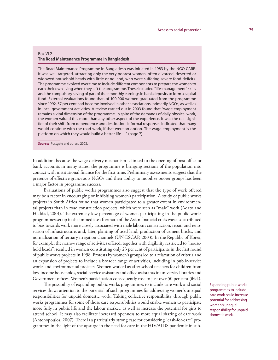### Box VI.2 **The Road Maintenance Programme in Bangladesh**

The Road Maintenance Programme in Bangladesh was initiated in 1983 by the NGO CARE. It was well targeted, attracting only the very poorest women, often divorced, deserted or widowed household heads with little or no land, who were suffering severe food deficits. The programme evolved over time to include different components to prepare the women to earn their own living when they left the programme. These included "life-management" skills and the compulsory saving of part of their monthly earnings in bank deposits to form a capital fund. External evaluations found that, of 100,000 women graduated from the programme since 1992, 57 per cent had become involved in other associations, primarily NGOs, as well as in local government activities. A review carried out in 2003 found that "wage employment remains a vital dimension of the programme. In spite of the demands of daily physical work, the women valued this more than any other aspect of the experience. It was the real signifier of their shift from dependence and destitution. Informal responses indicated that many would continue with the road work, if that were an option. The wage employment is the platform on which they would build a better life …" (page 7).

**Source:** Postgate and others, 2003.

In addition, because the wage-delivery mechanism is linked to the opening of post office or bank accounts in many states, the programme is bringing sections of the population into contact with institutional finance for the first time. Preliminary assessments suggest that the presence of effective grass-roots NGOs and their ability to mobilize poorer groups has been a major factor in programme success.

Evaluations of public works programmes also suggest that the type of work offered may be a factor in encouraging or inhibiting women's participation. A study of public works projects in South Africa found that women participated to a greater extent in environmental projects than in road construction projects, which were seen as "male" work (Adato and Haddad, 2001). The extremely low percentage of women participating in the public works programmes set up in the immediate aftermath of the Asian financial crisis was also attributed to bias towards work more closely associated with male labour: construction, repair and renovation of infrastructure, and, later, planting of used land, production of cement bricks, and normalization of tertiary irrigation channels (UN-ESCAP, 2003). In the Republic of Korea, for example, the narrow range of activities offered, together with eligibility restricted to "household heads", resulted in women constituting only 23 per cent of participants in the first round of public works projects in 1998. Protests by women's groups led to a relaxation of criteria and an expansion of projects to include a broader range of activities, including in public-service works and environmental projects. Women worked as after-school teachers for children from low-income households, social-service assistants and office assistants in university libraries and Government offices. Women's participation consequently rose to just over 50 per cent (ibid.).

The possibility of expanding public works programmes to include care work and social services draws attention to the potential of such programmes for addressing women's unequal responsibilities for unpaid domestic work. Taking collective responsibility through public works programmes for some of those care responsibilities would enable women to participate more fully in public life and the labour market, as well as increase the potential for girls to attend school. It may also facilitate increased openness to more equal sharing of care work (Antonopoulos, 2007). There is a particularly strong case for considering "cash-for-care" programmes in the light of the upsurge in the need for care in the HIV/AIDS pandemic in subExpanding public works programmes to include care work could increase potential for addressing women's unequal responsibility for unpaid domestic work.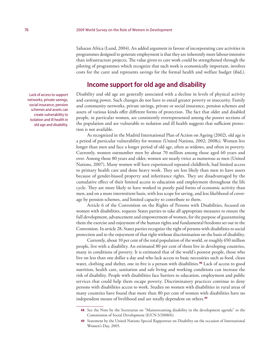Saharan Africa (Lund, 2004). An added argument in favour of incorporating care activities in programmes designed to generate employment is that they are inherently more labour-intensive than infrastructure projects. The value given to care work could be strengthened through the piloting of programmes which recognize that such work is economically important, involves costs for the carer and represents savings for the formal health and welfare budget (ibid.).

### **Income support for old age and disability**

Disability and old age are generally associated with a decline in levels of physical activity and earning power. Such changes do not have to entail greater poverty or insecurity. Family and community networks, private savings, private or social insurance, pension schemes and assets of various kinds offer different forms of protection. The fact that older and disabled people, in particular women, are consistently overrepresented among the poorer sections of the population and are vulnerable to isolation and ill health suggests that sufficient protection is not available.

As recognized in the Madrid International Plan of Action on Ageing (2002), old age is a period of particular vulnerability for women (United Nations, 2002; 2008c). Women live longer than men and face a longer period of old age, often as widows, and often in poverty. Currently, women outnumber men by about 70 million among those aged 60 years and over. Among those 80 years and older, women are nearly twice as numerous as men (United Nations, 2007). Many women will have experienced repeated childbirth, had limited access to primary health care and done heavy work. They are less likely than men to have assets because of gender-biased property and inheritance rights. They are disadvantaged by the cumulative effect of their limited access to education and employment throughout the life cycle. They are more likely to have worked in poorly paid forms of economic activity than men, and on a more intermittent basis, with less scope for saving, and less likelihood of coverage by pension schemes, and limited capacity to contribute to them.

Article 6 of the Convention on the Rights of Persons with Disabilities, focused on women with disabilities, requests States parties to take all appropriate measures to ensure the full development, advancement and empowerment of women, for the purpose of guaranteeing them the exercise and enjoyment of the human rights and fundamental freedoms set out in the Convention. In article 28, States parties recognize the right of persons with disabilities to social protection and to the enjoyment of that right without discrimination on the basis of disability.

Currently, about 10 per cent of the total population of the world, or roughly 650 million people, live with a disability. An estimated 80 per cent of them live in developing countries, many in conditions of poverty. It is estimated that of the world's poorest people, those who live on less than one dollar a day and who lack access to basic necessities such as food, clean water, clothing and shelter, one in five is a person with disabilities.**<sup>48</sup>** Lack of access to good nutrition, health care, sanitation and safe living and working conditions can increase the risk of disability. People with disabilities face barriers to education, employment and public services that could help them escape poverty. Discriminatory practices continue to deny persons with disabilities access to work. Studies on women with disabilities in rural areas of many countries have found that more than 80 per cent of women with disabilities have no independent means of livelihood and are totally dependent on others.**<sup>49</sup>**

Lack of access to support networks, private savings, social insurance, pension schemes and assets can create vulnerability to isolation and ill health in old age and disability.

**<sup>48</sup>** See the Note by the Secretariat on "Mainstreaming disability in the development agenda" to the Commission of Social Development (E/CN.5/2008/6).

**<sup>49</sup>** Statement by the United Nations Special Rapporteur on Disability on the occasion of International Women's Day, 2005.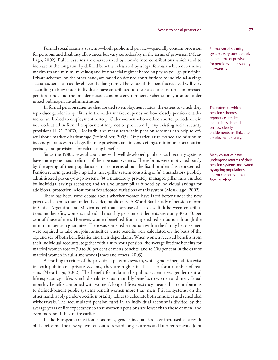Formal social security systems—both public and private—generally contain provision for pensions and disability allowances but vary considerably in the terms of provision (Mesa-Lago, 2002). Public systems are characterized by non-defined contributions which tend to increase in the long run; by defined benefits calculated by a legal formula which determines maximum and minimum values; and by financial regimes based on pay-as-you-go principles. Private schemes, on the other hand, are based on defined contributions to individual savings accounts, set at a fixed level over the long term. The value of the benefits received will vary according to how much individuals have contributed to these accounts, returns on invested pension funds and the broader macroeconomic environment. Schemes may also be under mixed public/private administration.

In formal pension schemes that are tied to employment status, the extent to which they reproduce gender inequalities in the wider market depends on how closely pension entitlements are linked to employment history. Older women who worked shorter periods or did not work at all in formal employment may not be protected by any existing social security provisions (ILO, 2007a). Redistributive measures within pension schemes can help to offset labour market disadvantage (Steinhilber, 2005). Of particular relevance are minimum income guarantees in old age, flat-rate provisions and income ceilings, minimum contribution periods, and provisions for calculating benefits.

Since the 1980s, several countries with well-developed public social security systems have undergone major reforms of their pension systems. The reforms were motivated partly by the ageing of their populations and concerns about the fiscal burden this represented. Pension reform generally implied a three-pillar system consisting of (*a*) a mandatory publicly administered pay-as-you-go system; (*b*) a mandatory privately managed pillar fully funded by individual savings accounts; and (*c*) a voluntary pillar funded by individual savings for additional protection. Most countries adopted variations of this system (Mesa-Lago, 2002).

There has been some debate about whether women have fared better under the new privatized schemes than under the older, public ones. A World Bank study of pension reform in Chile, Argentina and Mexico noted that, because of the close link between contributions and benefits, women's individual monthly pension entitlements were only 30 to 40 per cent of those of men. However, women benefited from targeted redistribution through the minimum pension guarantee. There was some redistribution within the family because men were required to take out joint annuities where benefits were calculated on the basis of the age and sex of both beneficiaries and their dependants. When women received benefits from their individual accounts, together with a survivor's pension, the average lifetime benefits for married women rose to 70 to 90 per cent of men's benefits, and to 100 per cent in the case of married women in full-time work (James and others, 2003).

According to critics of the privatized pensions system, while gender inequalities exist in both public and private systems, they are higher in the latter for a number of reasons (Mesa-Lago, 2002). The benefit formula in the public system uses gender-neutral life expectancy tables which distribute equal monthly benefits to women and men. Equal monthly benefits combined with women's longer life expectancy means that contributions to defined-benefit public systems benefit women more than men. Private systems, on the other hand, apply gender-specific mortality tables to calculate both annuities and scheduled withdrawals. The accumulated pension fund in an individual account is divided by the average years of life expectancy so that women's pensions are lower than those of men, and even more so if they retire earlier.

In the European transition economies, gender inequalities have increased as a result of the reforms. The new system sets out to reward longer careers and later retirements. Joint Formal social security systems vary considerably in the terms of provision for pensions and disability allowances.

The extent to which pension schemes reproduce gender inequalities depends on how closely entitlements are linked to employment history.

Many countries have undergone reforms of their pension systems, motivated by ageing populations and/or concerns about fiscal burdens.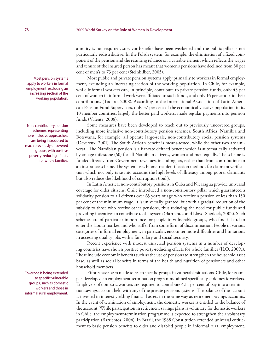annuity is not required, survivor benefits have been weakened and the public pillar is not particularly redistributive. In the Polish system, for example, the elimination of a fixed component of the pension and the resulting reliance on a variable element which reflects the wages and tenure of the insured person has meant that women's pensions have declined from 80 per cent of men's to 73 per cent (Steinhilber, 2005).

Most public and private pension systems apply primarily to workers in formal employment, excluding an increasing section of the working population. In Chile, for example, while informal workers can, in principle, contribute to private pension funds, only 43 per cent of women in informal work were affiliated to such funds, and only 16 per cent paid their contributions (Todaro, 2008). According to the International Association of Latin American Pension Fund Supervisors, only 37 per cent of the economically active population in its 10 member countries, largely the better paid workers, made regular payments into pension funds (Valente, 2008).

Some measures have been developed to reach out to previously uncovered groups, including more inclusive non-contributory pension schemes. South Africa, Namibia and Botswana, for example, all operate large-scale, non-contributory social pension systems (Devereux, 2001). The South African benefit is means-tested, while the other two are universal. The Namibian pension is a flat-rate defined benefit which is automatically activated by an age milestone (60) for all Namibian citizens, women and men equally. The scheme is funded directly from Government revenues, including tax, rather than from contributions to an insurance scheme. The system uses biometric identification methods for claimant verification which not only take into account the high levels of illiteracy among poorer claimants but also reduce the likelihood of corruption (ibid.).

In Latin America, non-contributory pensions in Cuba and Nicaragua provide universal coverage for older citizens. Chile introduced a non-contributory pillar which guaranteed a solidarity pension to all citizens over 65 years of age who receive a pension of less than 150 per cent of the minimum wage. It is universally granted, but with a gradual reduction of the subsidy to those who receive other pensions, thus reducing the need for public funds and providing incentives to contribute to the system (Barrientos and Lloyd-Sherlock, 2002). Such schemes are of particular importance for people in vulnerable groups, who find it hard to enter the labour market and who suffer from some form of discrimination. People in various categories of informal employment, in particular, encounter more difficulties and limitations in accessing quality jobs with a fair salary and social security.

Recent experience with modest universal pension systems in a number of developing countries have shown positive poverty-reducing effects for whole families (ILO, 2009e). These include economic benefits such as the use of pensions to strengthen the household asset base, as well as social benefits in terms of the health and nutrition of pensioners and other household members.

Efforts have been made to reach specific groups in vulnerable situations. Chile, for example, developed an employment-termination programme aimed specifically at domestic workers. Employers of domestic workers are required to contribute 4.11 per cent of pay into a termination savings account held with any of the private pensions systems. The balance of the account is invested in interest-yielding financial assets in the same way as retirement savings accounts. In the event of termination of employment, the domestic worker is entitled to the balance of the account. While participation in retirement savings plans is voluntary for domestic workers in Chile, the employment-termination programme is expected to strengthen their voluntary participation (Barrientos, 2004). In Brazil, the 1988 Constitution extended universal entitlement to basic pension benefits to older and disabled people in informal rural employment.

Most pension systems apply to workers in formal employment, excluding an increasing section of the working population.

Non-contributory pension schemes, representing more inclusive approaches, are being introduced to reach previously uncovered groups, with positive poverty-reducing effects for whole families.

Coverage is being extended to specific vulnerable groups, such as domestic workers and those in informal rural employment.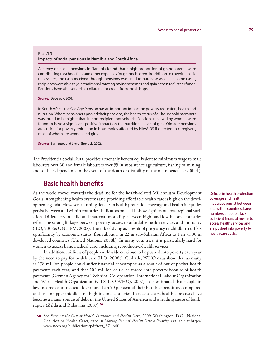#### Box VI.3

### **Impacts of social pensions in Namibia and South Africa**

A survey on social pensions in Namibia found that a high proportion of grandparents were contributing to school fees and other expenses for grandchildren. In addition to covering basic necessities, the cash received through pensions was used to purchase assets. In some cases, recipients were able to join traditional rotating saving schemes and gain access to further funds. Pensions have also served as collateral for credit from local shops.

#### **Source:** Devereux, 2001.

In South Africa, the Old Age Pension has an important impact on poverty reduction, health and nutrition. Where pensioners pooled their pensions, the health status of all household members was found to be higher than in non-recipient households. Pensions received by women were found to have a significant positive impact on the nutritional level of girls. Old age pensions are critical for poverty reduction in households affected by HIV/AIDS if directed to caregivers, most of whom are women and girls.

**Source:** Barrientos and Lloyd-Sherlock, 2002.

The Previdencia Social Rural provides a monthly benefit equivalent to minimum wage to male labourers over 60 and female labourers over 55 in subsistence agriculture, fishing or mining, and to their dependants in the event of the death or disability of the main beneficiary (ibid.).

### **Basic health benefits**

As the world moves towards the deadline for the health-related Millennium Development Goals, strengthening health systems and providing affordable health care is high on the development agenda. However, alarming deficits in health protection coverage and health inequities persist between and within countries. Indicators on health show significant cross-regional variation. Differences in child and maternal mortality between high- and low-income countries reflect the strong linkage between poverty, access to affordable health services and mortality (ILO, 2008e; UNIFEM, 2008). The risk of dying as a result of pregnancy or childbirth differs significantly by economic status, from about 1 in 22 in sub-Saharan Africa to 1 in 7,300 in developed countries (United Nations, 2008b). In many countries, it is particularly hard for women to access basic medical care, including reproductive-health services.

In addition, millions of people worldwide continue to be pushed into poverty each year by the need to pay for health care (ILO, 2008e). Globally, WHO data show that as many as 178 million people could suffer financial catastrophe as a result of out-of-pocket health payments each year, and that 104 million could be forced into poverty because of health payments (German Agency for Technical Co-operation, International Labour Organization and World Health Organization (GTZ-ILO-WHO), 2007). It is estimated that people in low-income countries shoulder more than 50 per cent of their health expenditures compared to those in upper-middle- and high-income countries. In recent years, health care costs have become a major source of debt in the United States of America and a leading cause of bankruptcy (Zelda and Rukavina, 2007).**<sup>50</sup>**

Deficits in health protection coverage and health inequities persist between and within countries. Large numbers of people lack sufficient financial means to access health services and are pushed into poverty by health care costs.

**<sup>50</sup>** See *Facts on the Cost of Health Insurance and Health Care*, 2009, Washington, D.C. (National Coalition on Health Care), cited in *Making Parents' Health Care a Priority*, available at http:// www.nccp.org/publications/pdf/text\_874.pdf.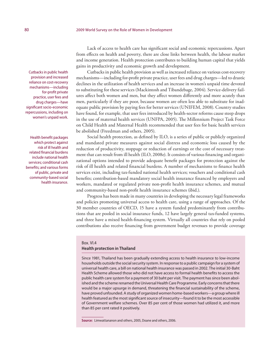Lack of access to health care has significant social and economic repercussions. Apart from effects on health and poverty, there are close links between health, the labour market and income generation. Health protection contributes to building human capital that yields gains in productivity and economic growth and development.

Cutbacks in public health provision as well as increased reliance on various cost-recovery mechanisms—including for-profit private practice, user fees and drug charges—led to drastic declines in the utilization of health services and an increase in women's unpaid time devoted to substituting for these services (Mackintosh and Tibandebage, 2004). Service-delivery failures affect both women and men, but they affect women differently and more acutely than men, particularly if they are poor, because women are often less able to substitute for inadequate public provision by paying fees for better services (UNIFEM, 2008). Country studies have found, for example, that user fees introduced by health-sector reforms cause steep drops in the use of maternal health services (UNFPA, 2005). The Millennium Project Task Force on Child Health and Maternal Health recommended that user fees for basic health services be abolished (Freedman and others, 2005).

Social health protection, as defined by ILO, is a series of public or publicly organized and mandated private measures against social distress and economic loss caused by the reduction of productivity, stoppage or reduction of earnings or the cost of necessary treatment that can result from ill health (ILO, 2008e). It consists of various financing and organizational options intended to provide adequate benefit packages for protection against the risk of ill health and related financial burdens. A number of mechanisms to finance health services exist, including tax-funded national health services; vouchers and conditional cash benefits; contribution-based mandatory social health insurance financed by employers and workers, mandated or regulated private non-profit health insurance schemes, and mutual and community-based non-profit health insurance schemes (ibid.).

Progress has been made in many countries in developing the necessary legal frameworks and policies promoting universal access to health care, using a range of approaches. Of the 30 member countries of OECD, 15 have a system funded predominantly from contributions that are pooled in social insurance funds, 12 have largely general tax-funded systems, and three have a mixed health-financing system. Virtually all countries that rely on pooled contributions also receive financing from government budget revenues to provide coverage

### Box. VI.4 **Health protection in Thailand**

Since 1981, Thailand has been gradually extending access to health insurance to low-income households outside the social security system. In response to a public campaign for a system of universal health care, a bill on national health insurance was passed in 2002. The initial 30-Baht Health Scheme allowed those who did not have access to formal health benefits to access the public health care system for a payment of 30 baht per visit. The payment has since been abolished and the scheme renamed the Universal Health Care Programme. Early concerns that there would be a major upsurge in demand, threatening the financial sustainability of the scheme, have proved unfounded. A study of organized women home-based workers—a group where ill health featured as the most significant source of insecurity—found it to be the most accessible of Government welfare schemes. Over 85 per cent of those women had utilized it, and more than 85 per cent rated it positively.

**Source:** Limwattananon and others, 2005, Doane and others, 2006.

Cutbacks in public health provision and increased reliance on cost-recovery mechanisms—including for-profit private practice, user fees and drug charges—have significant socio-economic repercussions, including on women's unpaid work.

Health benefit packages which protect against risk of ill health and related financial burdens include national health services; conditional cash benefits; and various forms of public, private and community-based social health insurance.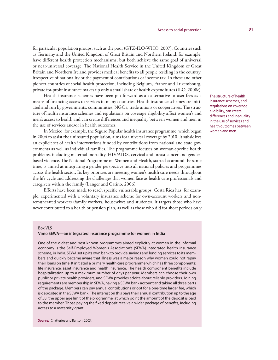for particular population groups, such as the poor (GTZ-ILO-WHO, 2007). Countries such as Germany and the United Kingdom of Great Britain and Northern Ireland, for example, have different health protection mechanisms, but both achieve the same goal of universal or near-universal coverage. The National Health Service in the United Kingdom of Great Britain and Northern Ireland provides medical benefits to all people residing in the country, irrespective of nationality or the payment of contributions or income tax. In these and other pioneer countries of social health protection, including Belgium, France and Luxembourg, private for-profit insurance makes up only a small share of health expenditures (ILO, 2008e).

Health insurance schemes have been put forward as an alternative to user fees as a means of financing access to services in many countries. Health insurance schemes are initiated and run by governments, communities, NGOs, trade unions or cooperatives. The structure of health insurance schemes and regulations on coverage eligibility affect women's and men's access to health and can create differences and inequality between women and men in the use of services and/or in health outcomes.

In Mexico, for example, the Seguro Popular health insurance programme, which began in 2004 to assist the uninsured population, aims for universal coverage by 2010. It subsidizes an explicit set of health interventions funded by contributions from national and state governments as well as individual families. The programme focuses on woman-specific health problems, including maternal mortality, HIV/AIDS, cervical and breast cancer and genderbased violence. The National Programme on Women and Health, started at around the same time, is aimed at integrating a gender perspective into all national policies and programmes across the health sector. Its key priorities are meeting women's health care needs throughout the life cycle and addressing the challenges that women face as health care professionals and caregivers within the family (Langer and Catino, 2006).

Efforts have been made to reach specific vulnerable groups. Costa Rica has, for example, experimented with a voluntary insurance scheme for own-account workers and nonremunerated workers (family workers, housewives and students). It targets those who have never contributed to a health or pension plan, as well as those who did for short periods only

#### **Vimo SEWA—an integrated insurance programme for women in India**

One of the oldest and best known programmes aimed explicitly at women in the informal economy is the Self-Employed Women's Association's (SEWA) integrated health insurance scheme, in India. SEWA set up its own bank to provide savings and lending services to its members and quickly became aware that illness was a major reason why women could not repay their loans on time. It initiated a primary health care programme which has three components: life insurance, asset insurance and health insurance. The health component benefits include hospitalization up to a maximum number of days per year. Members can choose their own public or private health providers, and SEWA provides advice about reliable providers. Joining requirements are membership in SEWA, having a SEWA bank account and taking all three parts of the package. Members can pay annual contributions or opt for a one-time larger fee, which is deposited in the SEWA bank. The interest on this pays their annual contribution up to the age of 58, the upper age limit of the programme, at which point the amount of the deposit is paid to the member. Those paying the fixed deposit receive a wider package of benefits, including access to a maternity grant.

**Source:** Chatterjee and Ranson, 2003.

The structure of health insurance schemes, and regulations on coverage eligibility, can create differences and inequality in the use of services and health outcomes between women and men.

Box VI.5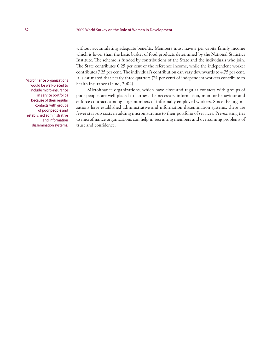without accumulating adequate benefits. Members must have a per capita family income which is lower than the basic basket of food products determined by the National Statistics Institute. The scheme is funded by contributions of the State and the individuals who join. The State contributes 0.25 per cent of the reference income, while the independent worker contributes 7.25 per cent. The individual's contribution can vary downwards to 4.75 per cent. It is estimated that nearly three quarters (74 per cent) of independent workers contribute to health insurance (Lund, 2004).

Microfinance organizations, which have close and regular contacts with groups of poor people, are well placed to harness the necessary information, monitor behaviour and enforce contracts among large numbers of informally employed workers. Since the organizations have established administrative and information dissemination systems, there are fewer start-up costs in adding microinsurance to their portfolio of services. Pre-existing ties to microfinance organizations can help in recruiting members and overcoming problems of trust and confidence.

Microfinance organizations would be well-placed to include micro-insurance in service portfolios because of their regular contacts with groups of poor people and established administrative and information dissemination systems.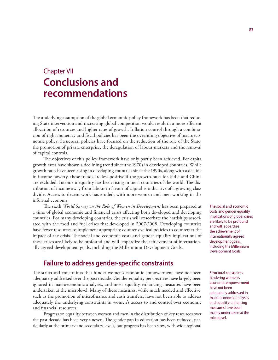# Chapter VII **Conclusions and recommendations**

The underlying assumption of the global economic policy framework has been that reducing State intervention and increasing global competition would result in a more efficient allocation of resources and higher rates of growth. Inflation control through a combination of tight monetary and fiscal policies has been the overriding objective of macroeconomic policy. Structural policies have focused on the reduction of the role of the State, the promotion of private enterprise, the deregulation of labour markets and the removal of capital controls.

The objectives of this policy framework have only partly been achieved. Per capita growth rates have shown a declining trend since the 1970s in developed countries. While growth rates have been rising in developing countries since the 1990s, along with a decline in income poverty, these trends are less positive if the growth rates for India and China are excluded. Income inequality has been rising in most countries of the world. The distribution of income away from labour in favour of capital is indicative of a growing class divide. Access to decent work has eroded, with more women and men working in the informal economy.

The sixth *World Survey on the Role of Women in Development* has been prepared at a time of global economic and financial crisis affecting both developed and developing countries. For many developing countries, the crisis will exacerbate the hardships associated with the food and fuel crises that developed in 2007-2008. Developing countries have fewer resources to implement appropriate counter-cyclical policies to counteract the impact of the crisis. The social and economic costs and gender equality implications of these crises are likely to be profound and will jeopardize the achievement of internationally agreed development goals, including the Millennium Development Goals.

## **Failure to address gender-specific constraints**

The structural constraints that hinder women's economic empowerment have not been adequately addressed over the past decade. Gender-equality perspectives have largely been ignored in macroeconomic analyses, and most equality-enhancing measures have been undertaken at the microlevel. Many of these measures, while much needed and effective, such as the promotion of microfinance and cash transfers, have not been able to address adequately the underlying constraints in women's access to and control over economic and financial resources.

Progress on equality between women and men in the distribution of key resources over the past decade has been very uneven. The gender gap in education has been reduced, particularly at the primary and secondary levels, but progress has been slow, with wide regional

The social and economic costs and gender equality implications of global crises are likely to be profound and will jeopardize the achievement of internationally agreed development goals, including the Millennium Development Goals.

Structural constraints hindering women's economic empowerment have not been adequately addressed in macroeconomic analyses and equality-enhancing measures have been mainly undertaken at the microlevel.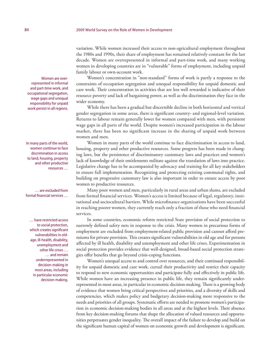variation. While women increased their access to non-agricultural employment throughout the 1980s and 1990s, their share of employment has remained relatively constant for the last decade. Women are overrepresented in informal and part-time work, and many working women in developing countries are in "vulnerable" forms of employment, including unpaid family labour or own-account work.

Women's concentration in "non-standard" forms of work is partly a response to the constraints of occupation segregation and unequal responsibility for unpaid domestic and care work. Their concentration in activities that are less well rewarded is indicative of their resource poverty and lack of bargaining power, as well as the discrimination they face in the wider economy.

While there has been a gradual but discernible decline in both horizontal and vertical gender segregation in some areas, there is significant country- and regional-level variation. Returns to labour remain generally lower for women compared with men, with persistent wage gaps in all parts of the world. Despite women's increased participation in the labour market, there has been no significant increase in the sharing of unpaid work between women and men.

Women in many parts of the world continue to face discrimination in access to land, housing, property and other productive resources. Some progress has been made in changing laws, but the persistence of discriminatory customary laws and practices and women's lack of knowledge of their entitlements militate against the translation of laws into practice. Legislative change has to be accompanied by advocacy and training for all key stakeholders to ensure full implementation. Recognizing and protecting existing communal rights, and building on progressive customary law is also important in order to ensure access by poor women to productive resources.

Many poor women and men, particularly in rural areas and urban slums, are excluded from formal financial services. Women's access is limited because of legal, regulatory, institutional and sociocultural barriers. While microfinance organizations have been successful in reaching poorer women, they currently reach only a fraction of those who need financial services.

In some countries, economic reform restricted State provision of social protection to narrowly defined safety nets in response to the crisis. Many women in precarious forms of employment are excluded from employment-related public provision and cannot afford premiums for private provision. This creates significant vulnerabilities in old age and for persons affected by ill health, disability and unemployment and other life crises. Experimentation in social protection provides evidence that well-designed, broad-based social protection strategies offer benefits that go beyond crisis-coping functions.

Women's unequal access to and control over resources, and their continued responsibility for unpaid domestic and care work, curtail their productivity and restrict their capacity to respond to new economic opportunities and participate fully and effectively in public life. While women have an increasing presence in public life, they remain significantly underrepresented in most areas, in particular in economic decision-making. There is a growing body of evidence that women bring critical perspectives and priorities, and a diversity of skills and competencies, which makes policy and budgetary decision-making more responsive to the needs and priorities of all groups. Systematic efforts are needed to promote women's participation in economic decision-making bodies in all areas and at the highest levels. Their absence from key decision-making forums that shape the allocation of valued resources and opportunities perpetuates gender inequality. The overall impact of the failure to develop and build on the significant human capital of women on economic growth and development is significant.

Women are overrepresented in informal and part-time work, and occupational segregation, wage gaps and unequal responsibility for unpaid work persist in all regions.

In many parts of the world, women continue to face discrimination in access to land, housing, property and other productive resources …

#### … are excluded from formal financial services …

… have restricted access to social protection, which creates significant vulnerabilities in oldage, ill-health, disability, unemployment and other life crises … … and remain underrepresented in decision-making in most areas, including in particular economic decision-making.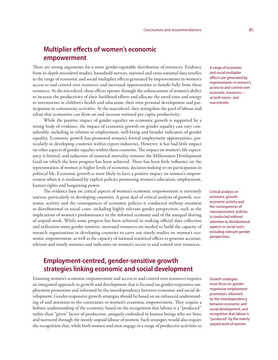# **Multiplier effects of women's economic empowerment**

There are strong arguments for a more gender-equitable distribution of resources. Evidence from in-depth microlevel studies, household surveys, national and cross-national data testifies to the range of economic and social multiplier effects generated by improvements in women's access to and control over resources and increased opportunities to benefit fully from these resources. At the microlevel, these effects operate through the enhancement of women's ability to increase the productivity of their livelihood efforts and allocate the saved time and energy to investments in children's health and education, their own personal development and participation in community activities. At the macrolevel, they strengthen the pool of labour and talent that economies can draw on and increase national per capita productivity.

While the positive impact of gender equality on economic growth is supported by a strong body of evidence, the impact of economic growth on gender equality can vary considerably, including in relation to employment, well-being and broader indicators of gender equality. Economic growth has promoted women's formal employment opportunities, particularly in developing countries within export industries. However, it has had little impact on other aspects of gender equality within these countries. The impact on women's life expectancy is limited, and reduction of maternal mortality remains the Millennium Development Goal on which the least progress has been achieved. There has been little influence on the representation of women at higher levels of economic decision-making or on participation in political life. Economic growth is most likely to have a positive impact on women's empowerment when it is mediated by explicit policies promoting women's education, employment, human rights and bargaining power.

The evidence base on critical aspects of women's economic empowerment is extremely uneven, particularly in developing countries. A great deal of critical analysis of growth, economic activity and the consequences of economic policies is conducted without attention to distributional or social costs, including highly relevant gender perspectives, such as the implications of women's predominance in the informal economy and of the unequal sharing of unpaid work. While some progress has been achieved in making official data collection and utilization more gender sensitive, increased resources are needed to build the capacity of research organizations in developing countries to carry out timely studies on women's economic empowerment, as well as the capacity of national statistical offices to generate accurate, relevant and timely statistics and indicators on women's access to and control over resources.

# **Employment-centred, gender-sensitive growth strategies linking economic and social development**

Ensuring women's economic empowerment and access to and control over resources requires an integrated approach to growth and development that is focused on gender-responsive employment promotion and informed by the interdependency between economic and social development. Gender-responsive growth strategies should be based on an enhanced understanding of and attention to the constraints to women's economic empowerment. They require a holistic understanding of the economy, based on the recognition that labour is a "produced" rather than "given" factor of production, uniquely embodied in human beings who are born and nurtured through the mostly unpaid labour of women. Such strategies would also require the recognition that, while both women and men engage in a range of productive activities to A range of economic and social multiplier effects are generated by improvements in women's access to and control over economic resources at both micro- and macrolevels.

Critical analysis on economic growth, economic activity and the consequences of macroeconomic policies is conducted without attention to distributional aspects or social costs, including relevant gender perspectives.

Growth strategies must focus on genderresponsive employment promotion, informed by the interdependency between economic and social development, and recognition that labour is "produced" by the mainly unpaid work of women.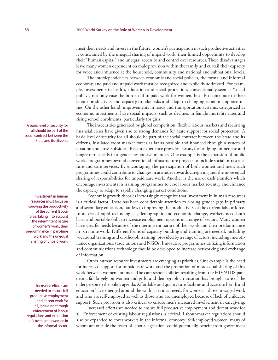meet their needs and invest in the future, women's participation in such productive activities is constrained by the unequal sharing of unpaid work, their limited opportunity to develop their "human capital" and unequal access to and control over resources. These disadvantages leave many women dependent on male provision within the family and curtail their capacity for voice and influence at the household, community and national and subnational levels.

The interdependencies between economic and social policies, the formal and informal economy, and paid and unpaid work must be recognized and explicitly addressed. For example, investments in health, education and social protection, conventionally seen as "social policy", not only ease the burden of unpaid work for women, but also contribute to their labour productivity and capacity to take risks and adapt to changing economic opportunities. On the other hand, improvements in roads and transportation systems, categorized as economic investments, have social impacts, such as declines in female mortality rates and rising school enrolments, particularly for girls.

The insecurities generated by global competition, flexible labour markets and recurring financial crises have given rise to strong demands for State support for social protection. A basic level of security for all should be part of the social contract between the State and its citizens, insulated from market forces as far as possible and financed through a system of taxation and cross-subsidies. Recent experience provides lessons for bridging immediate and longer-term needs in a gender-responsive manner. One example is the expansion of public works programmes beyond conventional infrastructure projects to include social infrastructure and care services. By encouraging the participation of both women and men, such programmes could contribute to changes in attitudes towards caregiving and the more equal sharing of responsibilities for unpaid care work. Another is the use of cash transfers which encourage investments in training programmes to ease labour market re-entry and enhance the capacity to adapt to rapidly changing market conditions.

Economic growth theories increasingly recognize that investment in human resources is a critical factor. There has been considerable attention to closing gender gaps in primary and secondary education, but less to improving the productivity of the current labour force. In an era of rapid technological, demographic and economic change, workers need both basic and portable skills to increase employment options in a range of sectors. Many women have specific needs because of the intermittent nature of their work and their predominance in part-time work. Different forms of capacity-building and training are needed, including vocational training and on-the-job training, provided by a range of actors, including microfinance organizations, trade unions and NGOs. Innovative programmes utilizing information and communications technology should be developed to increase networking and exchange of information.

Other human resource investments are emerging as priorities. One example is the need for increased support for unpaid care work and the promotion of more equal sharing of this work between women and men. The care responsibilities resulting from the HIV/AIDS pandemic fall largely on women and girls, and demographic transition has brought care of the older person to the policy agenda. Affordable and quality care facilities and access to health and education have emerged around the world as critical needs for women—those in waged work and who are self-employed as well as those who are unemployed because of lack of childcare support. Such provision is also critical to ensure men's increased involvement in caregiving.

Increased efforts are needed to ensure full productive employment and decent work for all. Enforcement of existing labour regulations is critical. Labour-market regulations should also be expanded to cover workers in the informal economy. Self-employed women, many of whom are outside the reach of labour legislation, could potentially benefit from government

A basic level of security for all should be part of the social contract between the State and its citizens.

Investment in human resources must focus on improving the productivity of the current labour force, taking into account the intermittent nature of women's work, their predominance in part-time work and the unequal sharing of unpaid work.

Increased efforts are needed to ensure full productive employment and decent work for all, including through enforcement of labour regulations and expansion of coverage to women in the informal sector.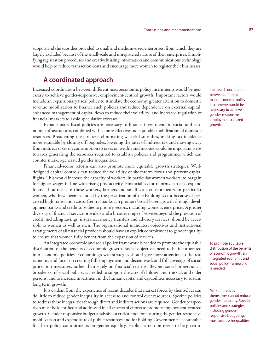support and the subsidies provided to small and medium-sized enterprises, from which they are largely excluded because of the small-scale and unregistered nature of their enterprises. Simplifying registration procedures and creatively using information and communications technology would help to reduce transaction costs and encourage more women to register their businesses.

### **A coordinated approach**

Increased coordination between different macroeconomic policy instruments would be necessary to achieve gender-responsive, employment-centred growth. Important factors would include an expansionary fiscal policy to stimulate the economy; greater attention to domestic revenue mobilization to finance such policies and reduce dependence on external capital; enhanced management of capital flows to reduce their volatility; and increased regulation of financial markets to avoid speculative excesses.

Expansionary fiscal policies are necessary to finance investments in social and economic infrastructure, combined with a more effective and equitable mobilization of domestic resources. Broadening the tax base, eliminating wasteful subsidies, making tax incidence more equitable by closing off loopholes, lowering the rates of indirect tax and moving away from indirect taxes on consumption to taxes on wealth and income would be important steps towards generating the resources required to establish policies and programmes which can counter market-generated gender inequalities.

Financial-sector reform can also promote more equitable growth strategies. Welldesigned capital controls can reduce the volatility of short-term flows and prevent capital flights. This would increase the capacity of workers, in particular women workers, to bargain for higher wages in line with rising productivity. Financial-sector reforms can also expand financial outreach to those workers, farmers and small-scale entrepreneurs, in particular women, who have been excluded by the privatization of the banking sector because of perceived high transaction costs. Central banks can promote broad-based growth through development banks and credit subsidies to priority sectors, including women's enterprises. A greater diversity of financial-service providers and a broader range of services beyond the provision of credit, including savings, insurance, money transfers and advisory services, should be accessible to women as well as men. The organizational mandates, objectives and institutional arrangements of all financial providers should have an explicit commitment to gender equality to ensure that women fully benefit from the expansion of services.

An integrated economic and social policy framework is needed to promote the equitable distribution of the benefits of economic growth. Social objectives need to be incorporated into economic policies. Economic growth strategies should give more attention to the real economy and focus on creating full employment and decent work and full coverage of social protection measures, rather than solely on financial returns. Beyond social protection, a broader set of social policies is needed to support the care of children and the sick and older persons, and to increase investment in the human capital and capabilities necessary to sustain long term growth.

It is evident from the experience of recent decades that market forces by themselves can do little to reduce gender inequality in access to and control over resources. Specific policies to address these inequalities through direct and indirect actions are required. Gender perspectives must be identified and addressed in all aspects of efforts to promote employment-centred growth. Gender-responsive budget analysis is a critical tool for ensuring the gender-responsive mobilization and expenditure of public resources and for holding Governments accountable for their policy commitments on gender equality. Explicit attention needs to be given to

Increased coordination between different macroeconomic policy instruments would be necessary to achieve gender-responsive employment-centred growth.

To promote equitable distribution of the benefits of economic growth, an integrated economic and social policy framework is needed.

Market forces by themselves cannot reduce gender inequality. Specific policies and strategies, including genderresponsive budgeting, must address inequalities.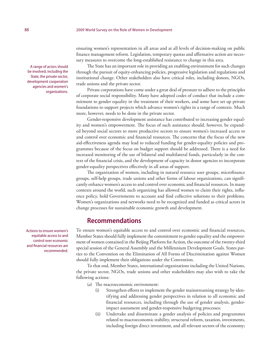ensuring women's representation in all areas and at all levels of decision-making on public finance management reform. Legislation, temporary quotas and affirmative action are necessary measures to overcome the long-established resistance to change in this area.

The State has an important role in providing an enabling environment for such changes through the pursuit of equity-enhancing policies, progressive legislation and regulations and institutional change. Other stakeholders also have critical roles, including donors, NGOs, trade unions and the private sector.

Private corporations have come under a great deal of pressure to adhere to the principles of corporate social responsibility. Many have adopted codes of conduct that include a commitment to gender equality in the treatment of their workers, and some have set up private foundations to support projects which advance women's rights in a range of contexts. Much more, however, needs to be done in the private sector.

Gender-responsive development assistance has contributed to increasing gender equality and women's empowerment. The focus of such assistance should, however, be expanded beyond social sectors to more productive sectors to ensure women's increased access to and control over economic and financial resources. The concerns that the focus of the new aid-effectiveness agenda may lead to reduced funding for gender-equality policies and programmes because of the focus on budget support should be addressed. There is a need for increased monitoring of the use of bilateral and multilateral funds, particularly in the context of the financial crisis, and the development of capacity in donor agencies to incorporate gender-equality perspectives effectively in all areas of support.

The organization of women, including in natural resource user groups, microfinance groups, self-help groups, trade unions and other forms of labour organizations, can significantly enhance women's access to and control over economic and financial resources. In many contexts around the world, such organizing has allowed women to claim their rights, influence policy, hold Governments to account and find collective solutions to their problems. Women's organizations and networks need to be recognized and funded as critical actors in change processes for sustainable economic growth and development.

### **Recommendations**

To ensure women's equitable access to and control over economic and financial resources, Member States should fully implement the commitment to gender equality and the empowerment of women contained in the Beijing Platform for Action, the outcome of the twenty-third special session of the General Assembly and the Millennium Development Goals. States parties to the Convention on the Elimination of All Forms of Discrimination against Women should fully implement their obligations under the Convention.

To that end, Member States, international organizations including the United Nations, the private sector, NGOs, trade unions and other stakeholders may also wish to take the following actions:

(*a*) The macroeconomic environment:

- (i) Strengthen efforts to implement the gender mainstreaming strategy by identifying and addressing gender perspectives in relation to all economic and financial resources, including through the use of gender analysis, genderimpact assessment and gender-responsive budgeting processes;
- (ii) Undertake and disseminate a gender analysis of policies and programmes related to macroeconomic stability, structural reform, taxation, investments, including foreign direct investment, and all relevant sectors of the economy;

A range of actors should be involved, including the State, the private sector, development cooperation agencies and women's organizations.

Actions to ensure women's equitable access to and control over economic and financial resources are recommended.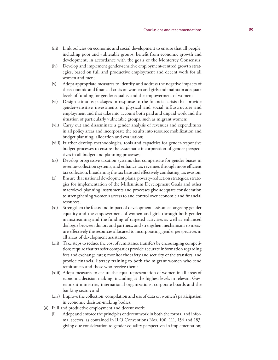- (iii) Link policies on economic and social development to ensure that all people, including poor and vulnerable groups, benefit from economic growth and development, in accordance with the goals of the Monterrey Consensus;
- (iv) Develop and implement gender-sensitive employment-centred growth strategies, based on full and productive employment and decent work for all women and men;
- (v) Adopt appropriate measures to identify and address the negative impacts of the economic and financial crisis on women and girls and maintain adequate levels of funding for gender equality and the empowerment of women;
- (vi) Design stimulus packages in response to the financial crisis that provide gender-sensitive investments in physical and social infrastructure and employment and that take into account both paid and unpaid work and the situation of particularly vulnerable groups, such as migrant women;
- (vii) Carry out and disseminate a gender analysis of revenues and expenditures in all policy areas and incorporate the results into resource mobilization and budget planning, allocation and evaluation;
- (viii) Further develop methodologies, tools and capacities for gender-responsive budget processes to ensure the systematic incorporation of gender perspec tives in all budget and planning processes;
- (ix) Develop progressive taxation systems that compensate for gender biases in revenue-collection systems, and enhance tax revenues through more efficient tax collection, broadening the tax base and effectively combating tax evasion;
- (x) Ensure that national development plans, poverty-reduction strategies, strate gies for implementation of the Millennium Development Goals and other macrolevel planning instruments and processes give adequate consideration to strengthening women's access to and control over economic and financial resources;
- (xi) Strengthen the focus and impact of development assistance targeting gender equality and the empowerment of women and girls through both gender mainstreaming and the funding of targeted activities as well as enhanced dialogue between donors and partners, and strengthen mechanisms to meas ure effectively the resources allocated to incorporating gender perspectives in all areas of development assistance;
- (xii) Take steps to reduce the cost of remittance transfers by encouraging competi tion; require that transfer companies provide accurate information regarding fees and exchange rates; monitor the safety and security of the transfers; and provide financial literacy training to both the migrant women who send remittances and those who receive them;
- (xiii) Adopt measures to ensure the equal representation of women in all areas of economic decision-making, including at the highest levels in relevant Government ministries, international organizations, corporate boards and the banking sector; and
- (xiv) Improve the collection, compilation and use of data on women's participation in economic decision-making bodies.
- ( *b*) Full and productive employment and decent work:
	- (i) Adopt and enforce the principles of decent work in both the formal and informal sectors, as contained in ILO Conventions Nos. 100, 111, 156 and 183, giving due consideration to gender-equality perspectives in implementation;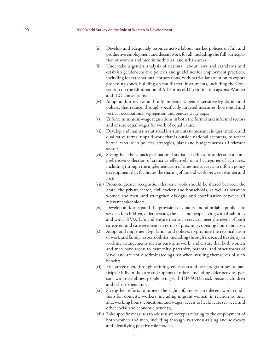- (ii) Develop and adequately resource active labour market policies on full and productive employment and decent work for all, including the full participation of women and men in both rural and urban areas;
- (iii) Undertake a gender analysis of national labour laws and standards and establish gender-sensitive policies and guidelines for employment practices, including for transnational corporations, with particular attention to export processing zones, building on multilateral instruments, including the Convention on the Elimination of All Forms of Discrimination against Women and ILO conventions;
- (iv) Adopt and/or review, and fully implement, gender-sensitive legislation and policies that reduce, through specifically targeted measures, horizontal and vertical occupational segregation and gender wage gaps;
- (v) Enforce minimum-wage regulations in both the formal and informal sectors and ensure equal wages for work of equal value;
- (vi) Develop and maintain statistical instruments to measure, in quantitative and qualitative terms, unpaid work that is outside national accounts, to reflect better its value in policies, strategies, plans and budgets across all relevant sectors;
- (vii) Strengthen the capacity of national statistical offices to undertake a comprehensive collection of statistics effectively on all categories of activities, including through the implementation of time-use surveys, to inform policy development that facilitates the sharing of unpaid work between women and men;
- (viii) Promote greater recognition that care work should be shared between the State, the private sector, civil society and households, as well as between women and men, and strengthen dialogue and coordination between all relevant stakeholders;
- (ix) Develop and/or expand the provision of quality and affordable public care services for children, older persons, the sick and people living with disabilities and with HIV/AIDS; and ensure that such services meet the needs of both caregivers and care recipients in terms of proximity, opening hours and cost;
- (x) Adopt and implement legislation and policies to promote the reconciliation of work and family responsibilities, including through increased flexibility in working arrangements such as part-time work; and ensure that both women and men have access to maternity, paternity, parental and other forms of leave, and are not discriminated against when availing themselves of such benefits;
- (xi) Encourage men, through training, education and peer programmes, to participate fully in the care and support of others, including older persons, persons with disabilities, people living with HIV/AIDS, sick persons, children and other dependants;
- (xii) Strengthen efforts to protect the rights of, and ensure decent work conditions for, domestic workers, including migrant women, in relation to, inter alia, working hours, conditions and wages, access to health care services, and other social and economic benefits;
- (xiii) Take specific measures to address stereotypes relating to the employment of both women and men, including through awareness-raising and advocacy and identifying positive role models;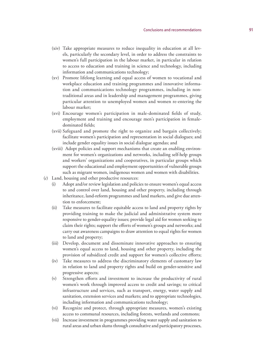- (xiv) Take appropriate measures to reduce inequality in education at all lev els, particularly the secondary level, in order to address the constraints to women's full participation in the labour market, in particular in relation to access to education and training in science and technology, including information and communications technology;
- (xv) Promote lifelong learning and equal access of women to vocational and workplace education and training programmes and innovative informa tion and communications technology programmes, including in nontraditional areas and in leadership and management programmes, giving particular attention to unemployed women and women re-entering the labour market;
- (xvi) Encourage women's participation in male-dominated fields of study, employment and training and encourage men's participation in femaledominated fields;
- (xvii) Safeguard and promote the right to organize and bargain collectively; facilitate women's participation and representation in social dialogues; and include gender equality issues in social dialogue agendas; and
- (xviii) Adopt policies and support mechanisms that create an enabling environ ment for women's organizations and networks, including self-help groups and workers' organizations and cooperatives, in particular groups which support the educational and employment opportunities of vulnerable groups such as migrant women, indigenous women and women with disabilities.
- ( *c*) Land, housing and other productive resources:
	- (i) Adopt and/or review legislation and policies to ensure women's equal access to and control over land, housing and other property, including through inheritance, land-reform programmes and land markets, and give due atten tion to enforcement;
	- (ii) Take measures to facilitate equitable access to land and property rights by providing training to make the judicial and administrative system more responsive to gender-equality issues; provide legal aid for women seeking to claim their rights; support the efforts of women's groups and networks; and carry out awareness campaigns to draw attention to equal rights for women to land and property;
	- (iii) Develop, document and disseminate innovative approaches to ensuring women's equal access to land, housing and other property, including the provision of subsidized credit and support for women's collective efforts;
	- (iv) Take measures to address the discriminatory elements of customary law in relation to land and property rights and build on gender-sensitive and progressive aspects;
	- (v) Strengthen efforts and investment to increase the productivity of rural women's work through improved access to credit and savings; to critical infrastructure and services, such as transport, energy, water supply and sanitation, extension services and markets; and to appropriate technologies, including information and communications technology;
	- (vi) Recognize and protect, through appropriate measures, women's existing access to communal resources, including forests, wetlands and commons;
	- (vii) Increase investment in programmes providing water supply and sanitation to rural areas and urban slums through consultative and participatory processes,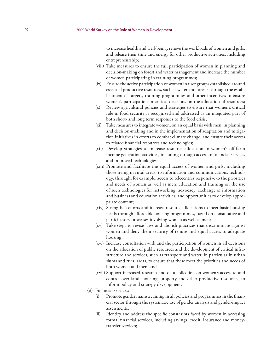to increase health and well-being, relieve the workloads of women and girls, and release their time and energy for other productive activities, including entrepreneurship;

- (viii) Take measures to ensure the full participation of women in planning and decision-making on forest and water management and increase the number of women participating in training programmes;
- (ix) Ensure the active participation of women in user groups established around essential productive resources, such as water and forests, through the establishment of targets, training programmes and other incentives to ensure women's participation in critical decisions on the allocation of resources;
- (x) Review agricultural policies and strategies to ensure that women's critical role in food security is recognized and addressed as an integrated part of both short- and long term responses to the food crisis;
- (xi) Take measures to integrate women, on an equal basis with men, in planning and decision-making and in the implementation of adaptation and mitigation initiatives in efforts to combat climate change, and ensure their access to related financial resources and technologies;
- (xii) Develop strategies to increase resource allocation to women's off-farm income generation activities, including through access to financial services and improved technologies;
- (xiii) Promote and facilitate the equal access of women and girls, including those living in rural areas, to information and communications technology, through, for example, access to telecentres responsive to the priorities and needs of women as well as men; education and training on the use of such technologies for networking, advocacy, exchange of information and business and education activities; and opportunities to develop appropriate content;
- (xiv) Strengthen efforts and increase resource allocations to meet basic housing needs through affordable housing programmes, based on consultative and participatory processes involving women as well as men;
- (xv) Take steps to revise laws and abolish practices that discriminate against women and deny them security of tenure and equal access to adequate housing;
- (xvi) Increase consultation with and the participation of women in all decisions on the allocation of public resources and the development of critical infrastructure and services, such as transport and water, in particular in urban slums and rural areas, to ensure that these meet the priorities and needs of both women and men; and
- (xvii) Support increased research and data collection on women's access to and control over land, housing, property and other productive resources, to inform policy and strategy development.
- (*d*) Financial services:
	- (i) Promote gender mainstreaming in all policies and programmes in the financial sector through the systematic use of gender analysis and gender-impact assessments;
	- (ii) Identify and address the specific constraints faced by women in accessing formal financial services, including savings, credit, insurance and moneytransfer services;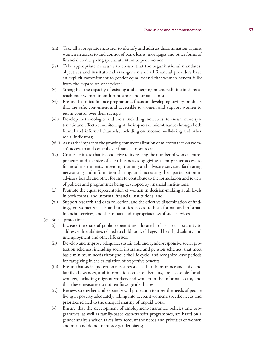- (iii) Take all appropriate measures to identify and address discrimination against women in access to and control of bank loans, mortgages and other forms of financial credit, giving special attention to poor women;
- (iv) Take appropriate measures to ensure that the organizational mandates, objectives and institutional arrangements of all financial providers have an explicit commitment to gender equality and that women benefit fully from the expansion of services;
- (v) Strengthen the capacity of existing and emerging microcredit institutions to reach poor women in both rural areas and urban slums;
- (vi) Ensure that microfinance programmes focus on developing savings products that are safe, convenient and accessible to women and support women to retain control over their savings;
- (vii) Develop methodologies and tools, including indicators, to ensure more sys tematic and effective monitoring of the impacts of microfinance through both formal and informal channels, including on income, well-being and other social indicators;
- (viii) Assess the impact of the growing commercialization of microfinance on wom en's access to and control over financial resources;
- (ix) Create a climate that is conducive to increasing the number of women entre preneurs and the size of their businesses by giving them greater access to financial instruments, providing training and advisory services, facilitating networking and information-sharing, and increasing their participation in advisory boards and other forums to contribute to the formulation and review of policies and programmes being developed by financial institutions;
- (x) Promote the equal representation of women in decision-making at all levels in both formal and informal financial institutions; and
- (xi) Support research and data collection, and the effective dissemination of find ings, on women's needs and priorities, access to both formal and informal financial services, and the impact and appropriateness of such services.
- ( *e*) Social protection:
	- (i) Increase the share of public expenditure allocated to basic social security to address vulnerabilities related to childhood, old age, ill health, disability and unemployment and other life crises;
	- (ii) Develop and improve adequate, sustainable and gender-responsive social pro tection schemes, including social insurance and pension schemes, that meet basic minimum needs throughout the life cycle, and recognize leave periods for caregiving in the calculation of respective benefits;
	- (iii) Ensure that social protection measures such as health insurance and child and family allowances, and information on those benefits, are accessible for all workers, including migrant workers and women in the informal sector, and that these measures do not reinforce gender biases;
	- (iv) Review, strengthen and expand social protection to meet the needs of people living in poverty adequately, taking into account women's specific needs and priorities related to the unequal sharing of unpaid work;
	- (v) Ensure that the development of employment-guarantee policies and pro grammes, as well as family-based cash-transfer programmes, are based on a gender analysis which takes into account the needs and priorities of women and men and do not reinforce gender biases;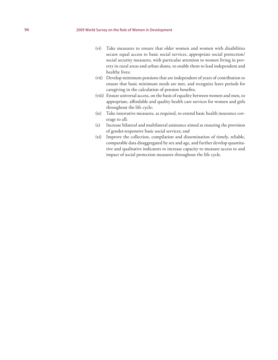- (vi) Take measures to ensure that older women and women with disabilities secure equal access to basic social services, appropriate social protection/ social security measures, with particular attention to women living in poverty in rural areas and urban slums, to enable them to lead independent and healthy lives;
- (vii) Develop minimum pensions that are independent of years of contribution to ensure that basic minimum needs are met, and recognize leave periods for caregiving in the calculation of pension benefits;
- (viii) Ensure universal access, on the basis of equality between women and men, to appropriate, affordable and quality health care services for women and girls throughout the life cycle;
- (ix) Take innovative measures, as required, to extend basic health insurance coverage to all;
- (x) Increase bilateral and multilateral assistance aimed at ensuring the provision of gender-responsive basic social services; and
- (xi) Improve the collection, compilation and dissemination of timely, reliable, comparable data disaggregated by sex and age, and further develop quantitative and qualitative indicators to increase capacity to measure access to and impact of social protection measures throughout the life cycle.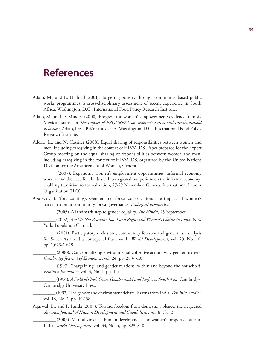- Adato, M., and L. Haddad (2001). Targeting poverty through community-based public works programmes: a cross-disciplinary assessment of recent experience in South Africa. Washington, D.C.: International Food Policy Research Institute.
- Adato, M., and D. Mindek (2000). Progress and women's empowerment: evidence from six Mexican states. In *The Impact of PROGRESA on Women's Status and Intrahousehold Relations*, Adato, De la Brière and others, Washington, D.C.: International Food Policy Research Institute.
- Addati, L., and N. Cassirer (2008). Equal sharing of responsibilities between women and men, including caregiving in the context of HIV/AIDS. Paper prepared for the Expert Group meeting on the equal sharing of responsibilities between women and men, including caregiving in the context of HIV/AIDS, organized by the United Nations Division for the Advancement of Women, Geneva.

\_\_\_\_\_\_\_\_\_\_ (2007). Expanding women's employment opportunities: informal economy workers and the need for childcare. Interregional symposium on the informal economy: enabling transition to formalization, 27-29 November. Geneva: International Labour Organization (ILO).

Agarwal, B. (forthcoming). Gender and forest conservation: the impact of women's participation in community forest governance. *Ecological Economics*.

\_\_\_\_\_\_\_\_\_\_ (2005). A landmark step to gender equality. *The Hindu*, 25 September.

\_\_\_\_\_\_\_\_\_\_ (2002). *Are We Not Peasants Too? Land Rights and Women's Claims in India.* New York: Population Council.

(2001). Participatory exclusions, community forestry and gender: an analysis for South Asia and a conceptual framework. *World Development*, vol. 29, No. 10, pp. 1,623-1,648.

(2000). Conceptualizing environmental collective action: why gender matters. *Cambridge Journal of Economics*, vol. 24, pp. 283-310.

(1997). "Bargaining" and gender relations: within and beyond the household. *Feminist Economics*, vol. 3, No. 1, pp. 1-51.

\_\_\_\_\_\_\_\_\_\_ (1994). *A Field of One's Own. Gender and Land Rights in South Asia.* Cambridge: Cambridge University Press.

\_\_\_\_\_\_\_\_\_\_ (1992). The gender and environment debate: lessons from India. *Feminist Studies*, vol. 18, No. 1, pp. 19-158.

Agarwal, B., and P. Panda (2007). Toward freedom from domestic violence: the neglected obvious. *Journal of Human Development and Capabilities*, vol. 8, No. 3.

(2005). Marital violence, human development and women's property status in India. *World Development*, vol. 33, No. 5, pp. 823-850.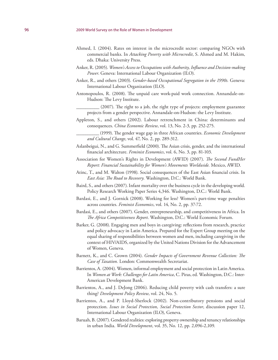- Ahmed, I. (2004). Rates on interest in the microcredit sector: comparing NGOs with commercial banks. In *Attacking Poverty with Microcredit*, S. Ahmed and M. Hakim, eds. Dhaka: University Press.
- Anker, R. (2005). *Women's Access to Occupations with Authority, Influence and Decision-making Power*. Geneva: International Labour Organization (ILO).
- Anker, R., and others (2003). *Gender-based Occupational Segregation in the 1990s.* Geneva: International Labour Organization (ILO).
- Antonopoulos, R. (2008). The unpaid care work-paid work connection. Annandale-on-Hudson: The Levy Institute.
	- (2007). The right to a job, the right type of projects: employment guarantee projects from a gender perspective. Annandale-on-Hudson: the Levy Institute.
- Appleton, S., and others (2002). Labour retrenchment in China: determinants and consequences. *China Economic Review*, vol. 13, No. 2-3, pp. 252-275.
	- \_\_\_\_\_\_\_\_\_\_ (1999). The gender wage gap in three African countries. *Economic Development and Cultural Change*, vol. 47, No. 2, pp. 289-312.
- Aslanbeigui, N., and G. Summerfield (2000). The Asian crisis, gender, and the international financial architecture. *Feminist Economics*, vol. 6, No. 3, pp. 81-103.
- Association for Women's Rights in Development (AWID) (2007). *The Second FundHer Report: Financial Sustainability for Women's Movements Worldwide.* Mexico, AWID.
- Atinc, T., and M. Walton (1998). Social consequences of the East Asian financial crisis. In *East Asia: The Road to Recovery.* Washington, D.C.: World Bank.
- Baird, S., and others (2007). Infant mortality over the business cycle in the developing world. Policy Research Working Paper Series 4,346. Washington, D.C.: World Bank.
- Bardasi, E., and J. Gornick (2008). Working for less? Women's part-time wage penalties across countries. *Feminist Economics*, vol. 14, No. 2, pp. 37-72.
- Bardasi, E., and others (2007). Gender, entrepreneurship, and competitiveness in Africa. In *The Africa Competitiveness Report*. Washington, D.C.: World Economic Forum.
- Barker, G. (2008). Engaging men and boys in caregiving: reflections from research, practice and policy advocacy in Latin America. Prepared for the Expert Group meeting on the equal sharing of responsibilities between women and men, including caregiving in the context of HIV/AIDS, organized by the United Nations Division for the Advancement of Women, Geneva.
- Barnett, K., and C. Grown (2004). *Gender Impacts of Government Revenue Collection: The Case of Taxation.* London: Commonwealth Secretariat.
- Barrientos, A. (2004). Women, informal employment and social protection in Latin America. In *Women at Work: Challenges for Latin America*, C. Piras, ed. Washington, D.C.: Inter-American Development Bank.
- Barrientos, A., and J. DeJong (2006). Reducing child poverty with cash transfers: a sure thing? *Development Policy Review*, vol. 24, No. 5.
- Barrientos, A., and P. Lloyd-Sherlock (2002). Non-contributory pensions and social protection. *Issues in Social Protection, Social Protection Sector*, discussion paper 12, International Labour Organization (ILO), Geneva.
- Baruah, B. (2007). Gendered realities: exploring property ownership and tenancy relationships in urban India. *World Development*, vol. 35, No. 12, pp. 2,096-2,109.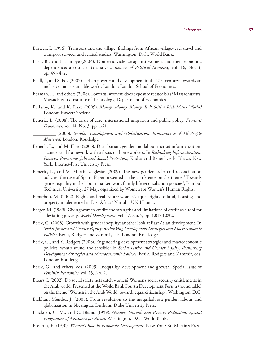- Barwell, I. (1996). Transport and the village: findings from African village-level travel and transport services and related studies. Washington, D.C.: World Bank.
- Basu, B., and F. Famoye (2004). Domestic violence against women, and their economic dependence: a count data analysis. *Review of Political Economy*, vol. 16, No. 4, pp. 457-472.
- Beall, J., and S. Fox (2007). Urban poverty and development in the 21st century: towards an inclusive and sustainable world. London: London School of Economics.
- Beaman, L., and others (2008). Powerful women: does exposure reduce bias? Massachusetts: Massachusetts Institute of Technology, Department of Economics.
- Bellamy, K., and K. Rake (2005). *Money, Money, Money: Is It Still a Rich Man's World?*  London: Fawcett Society.
- Benería, L. (2008). The crisis of care, international migration and public policy. *Feminist Economics*, vol. 14, No. 3, pp. 1-21.
	- \_\_\_\_\_\_\_\_\_\_ (2003). *Gender, Development and Globalization: Economics as if All People Mattered.* London: Routledge.
- Benería, L., and M. Floro (2005). Distribution, gender and labour market informalization: a conceptual framework with a focus on homeworkers. In *Rethinking Informalization: Poverty, Precarious Jobs and Social Protection*, Kudva and Benería, eds. Ithaca, New York: Internet-First University Press.
- Benería, L., and M. Martínez-Iglesias (2009). The new gender order and reconciliation policies: the case of Spain. Paper presented at the conference on the theme "Towards gender equality in the labour market: work-family life reconciliation policies", Istanbul Technical University, 27 May, organized by Women for Women's Human Rights.
- Benschop, M. (2002). Rights and reality: are women's equal rights to land, housing and property implemented in East Africa? Nairobi: UN-Habitat.
- Berger, M. (1989). Giving women credit: the strengths and limitations of credit as a tool for alleviating poverty, *World Development*, vol. 17, No. 7, pp. 1,017-1,032.
- Berik, G. (2008). Growth with gender inequity: another look at East Asian development. In *Social Justice and Gender Equity: Rethinking Development Strategies and Macroeconomic Policies*, Berik, Rodgers and Zammit, eds. London: Routledge.
- Berik, G., and Y. Rodgers (2008). Engendering development strategies and macroeconomic policies: what's sound and sensible? In *Social Justice and Gender Equity: Rethinking Development Strategies and Macroeconomic Policies*, Berik, Rodgers and Zammit, eds. London: Routledge.
- Berik, G., and others, eds. (2009). Inequality, development and growth. Special issue of *Feminist Economics*, vol. 15, No. 2.
- Bibars, I. (2002). Do social safety nets catch women? Women's social security entitlements in the Arab world. Presented at the World Bank Fourth Development Forum (round table) on the theme "Women in the Arab World: towards equal citizenship", Washington, D.C.
- Bickham Mendez, J. (2005). From revolution to the maquiladoras: gender, labour and globalization in Nicaragua. Durham: Duke University Press.
- Blackden, C. M., and C. Bhanu (1999). *Gender, Growth and Poverty Reduction: Special Programme of Assistance for Africa*. Washington, D.C.: World Bank.
- Boserup, E. (1970). *Women's Role in Economic Development*, New York: St. Martin's Press.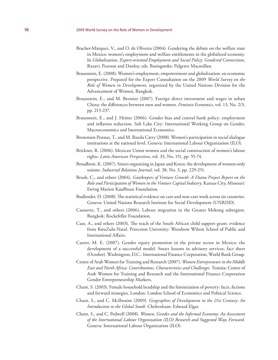- Brachet-Márquez, V., and O. de Oliveira (2004). Gendering the debate on the welfare state in Mexico: women's employment and welfare entitlements in the globalized economy. In *Globalization, Export-oriented Employment and Social Policy: Gendered Connections*, Razavi, Pearson and Danloy, eds. Basingstoke: Palgrave Macmillan.
- Braunstein, E. (2008). Women's employment, empowerment and globalization: an economic perspective. Prepared for the Expert Consultation on the 2009 *World Survey on the Role of Women in Development*, organized by the United Nations Division for the Advancement of Women, Bangkok.
- Braunstein, E., and M. Brenner (2007). Foreign direct investment and wages in urban China: the differences between men and women. *Feminist Economics*, vol. 13, No. 2/3, pp. 213-237.
- Braunstein, E., and J. Heintz (2006). Gender bias and central bank policy: employment and inflation reduction. Salt Lake City: International Working Group on Gender, Macroeconomics and International Economics.
- Breneman-Pennas, T., and M. Rueda Catry (2008). Women's participation in social dialogue institutions at the national level. Geneva: International Labour Organization (ILO).
- Brickner, R. (2006). Mexican Union women and the social construction of women's labour rights. *Latin American Perspectives*, vol. 33, No. 151, pp. 55-74.
- Broadbent, K. (2007). Sisters organizing in Japan and Korea: the development of women-only unions. *Industrial Relations Journal*, vol. 38, No. 3, pp. 229-251.
- Brush, C., and others (2004). *Gatekeepers of Venture Growth: A Diana Project Report on the Role and Participation of Women in the Venture Capital Industry*. Kansas City, Missouri: Ewing Marion Kauffman Foundation.
- Budlender, D. (2008). The statistical evidence on care and non-care work across six countries. Geneva: United Nations Research Institute for Social Development (UNRISD).
- Caouette, T., and others (2006). Labour migration in the Greater Mekong subregion. Bangkok: Rockefeller Foundation.
- Case, A., and others (2003). The reach of the South African child support grant: evidence from KwaZulu-Natal. Princeton University: Woodrow Wilson School of Public and International Affairs.
- Castro, M. E. (2007). Gender equity promotion in the private sector in Mexico: the development of a successful model. Smart lessons in advisory services, fact sheet (October). Washington, D.C.: International Finance Corporation, World Bank Group.
- Centre of Arab Women for Training and Research (2007). *Women Entrepreneurs in the Middle East and North Africa: Contributions, Characteristics and Challenges.* Tunisia: Centre of Arab Women for Training and Research and the International Finance Corporation Gender Entrepreneurship Markets.
- Chant, S. (2003). Female household headship and the feminization of poverty: facts, fictions and forward strategies. London: London School of Economics and Political Science.
- Chant, S., and C. McIlwaine (2009). *Geographies of Development in the 21st Century: An Introduction to the Global South.* Cheltenham: Edward Elgar.
- Chant, S., and C. Pedwell (2008). *Women, Gender and the Informal Economy: An Assessment of the International Labour Organization (ILO) Research and Suggested Ways Forward.* Geneva: International Labour Organization (ILO).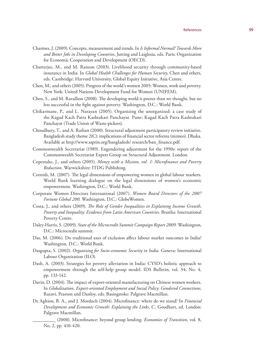- Charmes, J. (2009). Concepts, measurement and trends. In *Is Informal Normal? Towards More and Better Jobs in Developing Countries*, Jutting and Laiglesia, eds. Paris: Organization for Economic Cooperation and Development (OECD).
- Chatterjee, M., and M. Ranson (2003). Livelihood security through community-based insurance in India. In *Global Health Challenges for Human Security*, Chen and others, eds. Cambridge: Harvard University, Global Equity Initiative, Asia Centre.
- Chen, M., and others (2005). Progress of the world's women 2005: Women, work and poverty. New York: United Nations Development Fund for Women (UNIFEM).
- Chen, S., and M. Ravallion (2008). The developing world is poorer than we thought, but no less successful in the fight against poverty. Washington, D.C.: World Bank.
- Chikarmane, P., and L. Narayan (2005). Organizing the unorganized: a case study of the Kagad Kach Patra Kashtakari Panchayat. Pune: Kagad Kach Patra Kashtakari Panchayat (Trade Union of Waste-pickers).
- Choudhury, T., and A. Raihan (2000). Structural adjustment participatory review initiative. Bangladesh study theme 2(C): implications of financial sector reforms (mimeo). Dhaka. Available at http://www.saprin.org/bangladesh/ research/ban\_finance.pdf.
- Commonwealth Secretariat (1989). Engendering adjustment for the 1990s: report of the Commonwealth Secretariat Expert Group on Structural Adjustment. London.
- Copestake, J., and others (2005). *Money with a Mission, vol. 1: Microfinance and Poverty Reduction.* Warwickshire: ITDG Publishing.
- Cornish, M. (2007). The legal dimensions of empowering women in global labour markets. World Bank learning dialogue on the legal dimensions of women's economic empowerment. Washington, D.C.: World Bank.
- Corporate Women Directors International (2007). *Women Board Directors of the 2007 Fortune Global 200.* Washington, D.C.: GlobeWomen.
- Costa, J., and others (2009). *The Role of Gender Inequalities in Explaining Income Growth, Poverty and Inequality: Evidence from Latin American Countries.* Brasilia: International Poverty Centre.
- Daley-Harris, S. (2009). *State of the Microcredit Summit Campaign Report 2009.* Washington, D.C.: Microcredit summit.
- Das, M. (2006). Do traditional axes of exclusion affect labour market outcomes in India? Washington, D.C.: World Bank.
- Dasgupta, S. (2002). *Organizing for Socio-economic Security in India.* Geneva: International Labour Organization (ILO).
- Dash, A. (2003). Strategies for poverty alleviation in India: CYSD's holistic approach to empowerment through the self-help group model. IDS Bulletin, vol. 34, No. 4, pp. 133-142.
- Davin, D. (2004). The impact of export-oriented manufacturing on Chinese women workers. In *Globalization, Export-oriented Employment and Social Policy: Gendered Connections*, Razavi, Pearson and Danloy, eds. Basingstoke: Palgrave Macmillan.
- De Aghion, B. A., and J. Morduch (2004). Microfinance: where do we stand? In *Financial Development and Economic Growth: Explaining the Links*, C. Goodhart, ed. London: Palgrave Macmillan.
	- \_\_\_\_\_\_\_\_\_\_ (2000). Microfinance: beyond group lending. *Economies of Transition*, vol. 8, No. 2, pp. 410-420.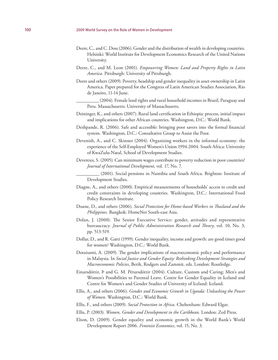- Deere, C., and C. Doss (2006). Gender and the distribution of wealth in developing countries. Helsinki: World Institute for Development Economics Research of the United Nations University.
- Deere, C., and M. Leon (2001). *Empowering Women: Land and Property Rights in Latin America.* Pittsburgh: University of Pittsburgh.
- Deere and others (2009). Poverty, headship and gender inequality in asset ownership in Latin America. Paper prepared for the Congress of Latin American Studies Association, Rio de Janeiro, 11-14 June.
	- (2004). Female land rights and rural household incomes in Brazil, Paraguay and Peru. Massachusetts: University of Massachusetts.
- Deininger, K., and others (2007). Rural land certification in Ethiopia: process, initial impact and implications for other African countries. Washington, D.C.: World Bank.
- Deshpande, R. (2006). Safe and accessible: bringing poor savers into the formal financial system. Washington, D.C.: Consultative Group to Assist the Poor.
- Devenish, A., and C. Skinner (2004). Organizing workers in the informal economy: the experience of the Self-Employed Women's Union 1994-2004. South Africa: University of KwaZulu-Natal, School of Development Studies.
- Devereux, S. (2005). Can minimum wages contribute to poverty reduction in poor countries? *Journal of International Development*, vol. 17, No. 7.

\_\_\_\_\_\_\_\_\_\_ (2001). Social pensions in Namibia and South Africa. Brighton: Institute of Development Studies.

- Diagne, A., and others (2000). Empirical measurements of households' access to credit and credit constraints in developing countries. Washington, D.C.: International Food Policy Research Institute.
- Doane, D., and others (2006). *Social Protection for Home-based Workers in Thailand and the Philippines.* Bangkok: HomeNet South-east Asia.
- Dolan, J. (2000). The Senior Executive Service: gender, attitudes and representative bureaucracy. *Journal of Public Administration Research and Theory*, vol. 10, No. 3, pp. 513-519.
- Dollar, D., and R. Gatti (1999). Gender inequality, income and growth: are good times good for women? Washington, D.C.: World Bank.
- Doraisami, A. (2009). The gender implications of macroeconomic policy and performance in Malaysia. In *Social Justice and Gender Equity: Rethinking Development Strategies and Macroeconomic Policies*, Berik, Rodgers and Zammit, eds. London: Routledge.
- Einarsdóttir, Þ and G. M. Pétursdóttir (2004). Culture, Custom and Caring: Men's and Women's Possibilities to Parental Leave. Centre for Gender Equality in Iceland and Centre for Women's and Gender Studies of University of Iceland: Iceland.
- Ellis, A., and others (2006). *Gender and Economic Growth in Uganda: Unleashing the Power of Women.* Washington, D.C.: World Bank.
- Ellis, F., and others (2009). *Social Protection in Africa.* Cheltenham: Edward Elgar.
- Ellis, P. (2003). *Women, Gender and Development in the Caribbean.* London: Zed Press.
- Elson, D. (2009). Gender equality and economic growth in the World Bank's World Development Report 2006. *Feminist Economics*, vol. 15, No. 3.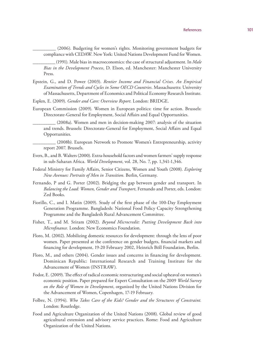\_\_\_\_\_\_\_\_\_\_ (2006). Budgeting for women's rights. Monitoring government budgets for compliance with CEDAW. New York: United Nations Development Fund for Women.

\_\_\_\_\_\_\_\_\_\_ (1991). Male bias in macroeconomics: the case of structural adjustment. In *Male Bias in the Development Process*, D. Elson, ed. Manchester: Manchester University Press.

Epstein, G., and D. Power (2003). *Rentier Income and Financial Crises. An Empirical Examination of Trends and Cycles in Some OECD Countries*. Massachusetts: University of Massachusetts, Department of Economics and Political Economy Research Institute.

Esplen, E. (2009). *Gender and Care: Overview Report.* London: BRIDGE.

European Commission (2009). Women in European politics: time for action. Brussels: Directorate-General for Employment, Social Affairs and Equal Opportunities.

\_\_\_\_\_\_\_\_\_\_ (2008a). Women and men in decision-making 2007: analysis of the situation and trends. Brussels: Directorate-General for Employment, Social Affairs and Equal Opportunities.

\_\_\_\_\_\_\_\_\_\_ (2008b). European Network to Promote Women's Entrepreneurship, activity report 2007. Brussels.

- Evers, B., and B. Walters (2000). Extra-household factors and women farmers' supply response in sub-Saharan Africa. *World Development*, vol. 28, No. 7, pp. 1,341-1,346.
- Federal Ministry for Family Affairs, Senior Citizens, Women and Youth (2008). *Exploring New Avenues: Portraits of Men in Transition.* Berlin, Germany.
- Fernando, P and G. Porter (2002). Bridging the gap between gender and transport. In *Balancing the Load: Women, Gender and Transport*, Fernando and Porter, eds. London: Zed Books.
- Fiorillo, C., and I. Matin (2009). Study of the first phase of the 100-Day Employment Generation Programme. Bangladesh: National Food Policy Capacity Strengthening Programme and the Bangladesh Rural Advancement Committee.
- Fisher, T., and M. Sriram (2002). *Beyond Microcredit: Putting Development Back into Microfinance.* London: New Economics Foundation.
- Floro, M. (2002). Mobilizing domestic resources for development: through the lens of poor women. Paper presented at the conference on gender budgets, financial markets and financing for development, 19-20 February 2002, Heinrich Böll Foundation, Berlin.
- Floro, M., and others (2004). Gender issues and concerns in financing for development. Dominican Republic: International Research and Training Institute for the Advancement of Women (INSTRAW).
- Fodor, E. (2009). The effect of radical economic restructuring and social upheaval on women's economic position. Paper prepared for Expert Consultation on the 2009 *World Survey on the Role of Women in Development*, organized by the United Nations Division for the Advancement of Women, Copenhagen, 17-19 February.
- Folbre, N. (1994). *Who Takes Care of the Kids? Gender and the Structures of Constraint.*  London: Routledge.
- Food and Agriculture Organization of the United Nations (2008). Global review of good agricultural extension and advisory service practices. Rome: Food and Agriculture Organization of the United Nations.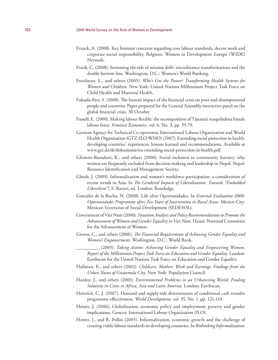- Franck, A. (2008). Key feminist concerns regarding core labour standards, decent work and corporate social responsibility. Belgium: Women in Development Europe (WIDE) Network.
- Frank, C. (2008). Stemming the tide of mission drift: microfinance transformations and the double bottom line. Washington, D.C.: Women's World Banking.
- Freedman, L., and others (2005). *Who's Got the Power? Transforming Health Systems for Women and Children.* New York: United Nations Millennium Project Task Force on Child Health and Maternal Health.
- Fukuda-Parr, S. (2008). The human impact of the financial crisis on poor and disempowered people and countries. Paper prepared for the General Assembly interactive panel on the global financial crisis, 30 October.
- Fussell, E. (2000). Making labour flexible: the recomposition of Tijuana's maquiladora female labour force. *Feminist Economics*, vol. 6, No. 3, pp. 59-79.
- German Agency for Technical Co-operation, International Labour Organization and World Health Organization (GTZ-ILO-WHO) (2007). Extending social protection in health: developing countries' experiences, lessons learned and recommendations. Available at www.gtz.de/de/dokumente/en-extending-social-protection-in-health.pdf.
- Ghimire-Bastakoti, K., and others (2006). Social inclusion in community forestry: why women are frequently excluded from decision-making and leadership in Nepal. Nepal: Resource Identification and Management Society.
- Ghosh, J. (2009). Informalization and women's workforce participation: a consideration of recent trends in Asia. In *The Gendered Impacts of Liberalization: Towards "Embedded Liberalism"?*, S. Razavi, ed. London: Routledge.
- González de la Rocha, N. (2008). Life after Oportunidades. In *External Evaluation 2008: Oportunidades Programme after Ten Years of Intervention in Rural Areas.* Mexico City: Mexican Secretariat of Social Development (SEDESOL).
- Government of Viet Nam (2000). *Situation Analysis and Policy Recommendations to Promote the Advancement of Women and Gender Equality in Viet Nam.* Hanoi: National Committee for the Advancement of Women.
- Grown, C., and others (2006). *The Financial Requirements of Achieving Gender Equality and Women's Empowerment.* Washington, D.C.: World Bank.
	- \_\_\_\_\_\_\_\_\_\_ (2005). *Taking Action: Achieving Gender Equality and Empowering Women. Report of the Millennium Project Task Force on Education and Gender Equality.* London: Earthscan for the United Nations Task Force on Education and Gender Equality.
- Hallman, K., and others (2002). *Childcare, Mothers' Work and Earnings: Findings from the Urban Slums of Guatemala City.* New York: Population Council.
- Hardoy, J., and others (2001). *Environmental Problems in an Urbanizing World: Finding Solutions in Cities in Africa, Asia and Latin America.* London: Earthscan.
- Heinrich, C. J. (2007). Demand and supply-side determinants of conditional cash transfer programme effectiveness. *World Development*, vol. 35, No. 1, pp. 121-143.
- Heintz, J. (2006). Globalization, economic policy and employment: poverty and gender implications. Geneva: International Labour Organization (ILO).
- Heintz, J., and R. Pollin (2005). Informalization, economic growth and the challenge of creating viable labour standards in developing countries. In *Rethinking Informalization:*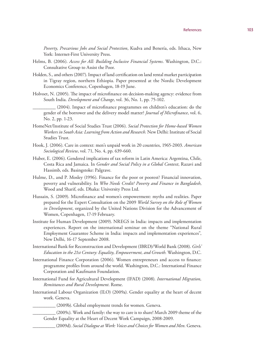*Poverty, Precarious Jobs and Social Protection*, Kudva and Benería, eds. Ithaca, New York: Internet-First University Press.

- Helms, B. (2006). *Access for All: Building Inclusive Financial Systems*. Washington, D.C.: Consultative Group to Assist the Poor.
- Holden, S., and others (2007). Impact of land certification on land rental market participation in Tigray region, northern Ethiopia. Paper presented at the Nordic Development Economics Conference, Copenhagen, 18-19 June.
- Holvoet, N. (2005). The impact of microfinance on decision-making agency: evidence from South India. *Development and Change*, vol. 36, No. 1, pp. 75-102.

(2004). Impact of microfinance programmes on children's education: do the gender of the borrower and the delivery model matter? *Journal of Microfinance*, vol. 6, No. 2, pp. 1-23.

- HomeNet/Institute of Social Studies Trust (2006). *Social Protection for Home-based Women Workers in South Asia: Learning from Action and Research.* New Delhi: Institute of Social Studies Trust.
- Hook, J. (2006). Care in context: men's unpaid work in 20 countries, 1965-2003. *American Sociological Review*, vol. 71, No. 4, pp. 639-660.
- Huber, E. (2006). Gendered implications of tax reform in Latin America: Argentina, Chile, Costa Rica and Jamaica. In *Gender and Social Policy in a Global Context*, Razavi and Hassimb, eds. Basingstoke: Palgrave.
- Hulme, D., and P. Mosley (1996). Finance for the poor or poorest? Financial innovation, poverty and vulnerability. In *Who Needs Credit? Poverty and Finance in Bangladesh*, Wood and Sharif, eds. Dhaka: University Press Ltd.
- Hussain, S. (2009). Microfinance and women's empowerment: myths and realities. Paper prepared for the Expert Consultation on the 2009 *World Survey on the Role of Women in Development*, organized by the United Nations Division for the Advancement of Women, Copenhagen, 17-19 February.
- Institute for Human Development (2009). NREGS in India: impacts and implementation experiences. Report on the international seminar on the theme "National Rural Employment Guarantee Scheme in India: impacts and implementation experiences", New Delhi, 16-17 September 2008.
- International Bank for Reconstruction and Development (IBRD)/World Bank (2008). *Girls' Education in the 21st Century: Equality, Empowerment, and Growth.* Washington, D.C.
- International Finance Corporation (2006). Women entrepreneurs and access to finance: programme profiles from around the world. Washington, D.C.: International Finance Corporation and Kaufmann Foundation.
- International Fund for Agricultural Development (IFAD) (2008). *International Migration, Remittances and Rural Development*. Rome.
- International Labour Organization (ILO) (2009a). Gender equality at the heart of decent work. Geneva.
	- (2009b). Global employment trends for women. Geneva.
	- \_\_\_\_\_\_\_\_\_\_ (2009c). Work and family: the way to care is to share! March 2009 theme of the Gender Equality at the Heart of Decent Work Campaign, 2008-2009.
		- \_\_\_\_\_\_\_\_\_\_ (2009d). *Social Dialogue at Work: Voices and Choices for Women and Men.* Geneva.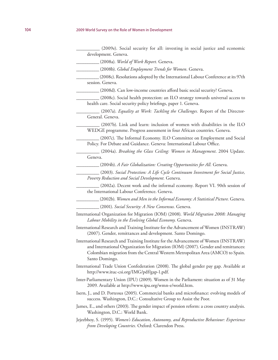\_\_\_\_\_\_\_\_\_\_ (2009e). Social security for all: investing in social justice and economic development. Geneva.

\_\_\_\_\_\_\_\_\_\_ (2008a). *World of Work Report.* Geneva.

\_\_\_\_\_\_\_\_\_\_ (2008b). *Global Employment Trends for Women.* Geneva.

\_\_\_\_\_\_\_\_\_\_ (2008c). Resolutions adopted by the International Labour Conference at its 97th session. Geneva.

\_\_\_\_\_\_\_\_\_\_ (2008d). Can low-income countries afford basic social security? Geneva.

\_\_\_\_\_\_\_\_\_\_ (2008c). Social health protection: an ILO strategy towards universal access to health care. Social security policy briefings, paper 1. Geneva.

\_\_\_\_\_\_\_\_\_\_ (2007a). *Equality at Work: Tackling the Challenges.* Report of the Director-General. Geneva.

(2007b). Link and learn: inclusion of women with disabilities in the ILO WEDGE programme. Progress assessment in four African countries. Geneva.

\_\_\_\_\_\_\_\_\_\_ (2007c). The Informal Economy. ILO Committee on Employment and Social Policy. For Debate and Guidance. Geneva: International Labour Office.

\_\_\_\_\_\_\_\_\_\_ (2004a). *Breaking the Glass Ceiling: Women in Management*. 2004 Update. Geneva.

\_\_\_\_\_\_\_\_\_\_ (2004b). *A Fair Globalization: Creating Opportunities for All.* Geneva.

\_\_\_\_\_\_\_\_\_\_ (2003). *Social Protection: A Life Cycle Continuum Investment for Social Justice, Poverty Reduction and Social Development.* Geneva.

\_\_\_\_\_\_\_\_\_\_ (2002a). Decent work and the informal economy. Report VI. 90th session of the International Labour Conference. Geneva.

\_\_\_\_\_\_\_\_\_\_ (2002b). *Women and Men in the Informal Economy: A Statistical Picture.* Geneva.

\_\_\_\_\_\_\_\_\_\_ (2001). *Social Security: A New Consensus.* Geneva.

- International Organization for Migration (IOM) (2008). *World Migration 2008: Managing Labour Mobility in the Evolving Global Economy.* Geneva.
- International Research and Training Institute for the Advancement of Women (INSTRAW) (2007). Gender, remittances and development. Santo Domingo.

International Research and Training Institute for the Advancement of Women (INSTRAW) and International Organization for Migration (IOM) (2007). Gender and remittances: Colombian migration from the Central Western Metropolitan Area (AMCO) to Spain. Santo Domingo.

International Trade Union Confederation (2008). The global gender pay gap. Available at http://www.ituc-csi.org/IMG/pdf/gap-1.pdf.

Inter-Parliamentary Union (IPU) (2009). Women in the Parliament: situation as of 31 May 2009. Available at http://www.ipu.org/wmn-e/world.htm.

Isern, J., and D. Porteous (2005). Commercial banks and microfinance: evolving models of success. Washington, D.C.: Consultative Group to Assist the Poor.

- James, E., and others (2003). The gender impact of pension reform: a cross country analysis. Washington, D.C.: World Bank.
- Jejeebhoy, S. (1995). *Women's Education, Autonomy, and Reproductive Behaviour: Experience from Developing Countries.* Oxford: Clarendon Press.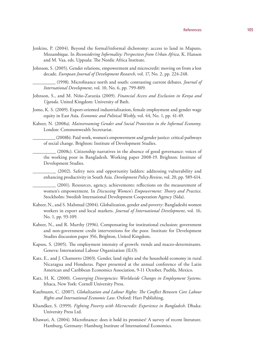## References and 105

- Jenkins, P. (2004). Beyond the formal/informal dichotomy: access to land in Maputo, Mozambique. In *Reconsidering Informality: Perspectives from Urban Africa*, K. Hansen and M. Vaa, eds. Uppsala: The Nordic Africa Institute.
- Johnson, S. (2005). Gender relations, empowerment and microcredit: moving on from a lost decade. *European Journal of Development Research*, vol. 17, No. 2, pp. 224-248.

- Johnson, S., and M. Niño-Zarazúa (2009). *Financial Access and Exclusion in Kenya and Uganda*. United Kingdom: University of Bath.
- Jomo, K. S. (2009). Export-oriented industrialization, female employment and gender wage equity in East Asia. *Economic and Political Weekly*, vol. 44, No. 1, pp. 41-49.
- Kabeer, N. (2008a). *Mainstreaming Gender and Social Protection in the Informal Economy*. London: Commonwealth Secretariat.

\_\_\_\_\_\_\_\_\_\_ (2008b). Paid work, women's empowerment and gender justice: critical pathways of social change. Brighton: Institute of Development Studies.

\_\_\_\_\_\_\_\_\_\_ (2008c). Citizenship narratives in the absence of good governance: voices of the working poor in Bangladesh. Working paper 2008-19. Brighton: Institute of Development Studies.

\_\_\_\_\_\_\_\_\_\_ (2002). Safety nets and opportunity ladders: addressing vulnerability and enhancing productivity in South Asia. *Development Policy Review*, vol. 20, pp. 589-614.

\_\_\_\_\_\_\_\_\_\_ (2001). Resources, agency, achievements: reflections on the measurement of women's empowerment. In *Discussing Women's Empowerment: Theory and Practice*. Stockholm: Swedish International Development Cooperation Agency (Sida).

- Kabeer, N., and S. Mahmud (2004). Globalization, gender and poverty: Bangladeshi women workers in export and local markets. *Journal of International Development*, vol. 16, No. 1, pp. 93-109.
- Kabeer, N., and R. Murthy (1996). Compensating for institutional exclusion: government and non-government credit interventions for the poor. Institute for Development Studies discussion paper 356, Brighton, United Kingdom.
- Kapsos, S. (2005). The employment intensity of growth: trends and macro-determinants. Geneva: International Labour Organization (ILO).
- Katz, E., and J. Chamorro (2003). Gender, land rights and the household economy in rural Nicaragua and Honduras. Paper presented at the annual conference of the Latin American and Caribbean Economics Association, 9-11 October, Puebla, Mexico.
- Katz, H. K. (2000). *Converging Divergencies: Worldwide Changes in Employment Systems*. Ithaca, New York: Cornell University Press.
- Kaufmann, C. (2007). *Globalization and Labour Rights: The Conflict Between Core Labour Rights and International Economic Law*. Oxford: Hart Publishing.
- Khandker, S. (1999). *Fighting Poverty with Microcredit: Experience in Bangladesh*. Dhaka: University Press Ltd.
- Khawari, A. (2004). Microfinance: does it hold its promises? A survey of recent literature. Hamburg, Germany: Hamburg Institute of International Economics.

\_\_\_\_\_\_\_\_\_\_ (1998). Microfinance north and south: contrasting current debates. *Journal of International Development*, vol. 10, No. 6, pp. 799-809.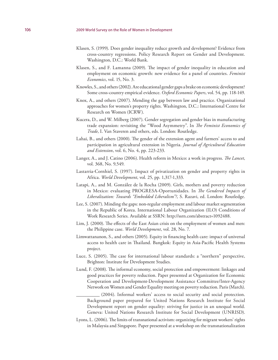- Klasen, S. (1999). Does gender inequality reduce growth and development? Evidence from cross-country regressions. Policy Research Report on Gender and Development. Washington, D.C.: World Bank.
- Klasen, S., and F. Lamanna (2009). The impact of gender inequality in education and employment on economic growth: new evidence for a panel of countries. *Feminist Economics*, vol. 15, No. 3.
- Knowles, S., and others (2002). Are educational gender gaps a brake on economic development? Some cross-country empirical evidence. *Oxford Economic Papers*, vol. 54, pp. 118-149.
- Knox, A., and others (2007). Mending the gap between law and practice. Organizational approaches for women's property rights. Washington, D.C.: International Centre for Research on Women (ICRW).
- Kucera, D., and W. Milberg (2007). Gender segregation and gender bias in manufacturing trade expansion: revisiting the "Wood Asymmetry". In *The Feminist Economics of Trade*, I. Van Staveren and others, eds. London: Routledge.
- Lahai, B., and others (2000). The gender of the extension agent and farmers' access to and participation in agricultural extension in Nigeria. *Journal of Agricultural Education and Extension*, vol. 6, No. 4, pp. 223-233.
- Langer, A., and J. Catino (2006). Health reform in Mexico: a work in progress. *The Lancet*, vol. 368, No. 9,549.
- Lastarria-Cornhiel, S. (1997). Impact of privatization on gender and property rights in Africa. *World Development*, vol. 25, pp. 1,317-1,333.
- Latapi, A., and M. González de la Rocha (2009). Girls, mothers and poverty reduction in Mexico: evaluating PROGRESA-Oportunidades. In *The Gendered Impacts of Liberalization: Towards "Embedded Liberalism"?*, S. Razavi, ed. London: Routledge.
- Lee, S. (2007). Minding the gaps: non-regular employment and labour market segmentation in the Republic of Korea. International Labour Organization (ILO) Conditions of Work Research Series. Available at SSRN: http://ssrn.com/abstract=1092488.
- Lim, J. (2000). The effects of the East Asian crisis on the employment of women and men: the Philippine case. *World Development*, vol. 28, No. 7.
- Limwattananon, S., and others (2005). Equity in financing health care: impact of universal access to health care in Thailand. Bangkok: Equity in Asia-Pacific Health Systems project.
- Luce, S. (2005). The case for international labour standards: a "northern" perspective, Brighton: Institute for Development Studies.
- Lund, F. (2008). The informal economy, social protection and empowerment: linkages and good practices for poverty reduction. Paper presented at Organization for Economic Cooperation and Development-Development Assistance Committee/Inter-Agency Network on Women and Gender Equality meeting on poverty reduction. Paris (March).

(2004). Informal workers' access to social security and social protection. Background paper prepared for United Nations Research Institute for Social Development report on gender equality: striving for justice in an unequal world. Geneva: United Nations Research Institute for Social Development (UNRISD).

Lyons, L. (2006). The limits of transnational activism: organizing for migrant workers' rights in Malaysia and Singapore. Paper presented at a workshop on the transnationalization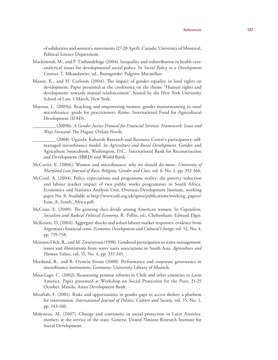of solidarities and women's movements (27-28 April). Canada: University of Montreal, Political Science Department.

- Mackintosh, M., and P. Tinbandebage (2004). Inequality and redistribution in health care: analytical issues for developmental social policy. In *Social Policy in a Development Context*, T. Mkandawire, ed., Basingstoke: Palgrave Macmillan.
- Mason, K., and H. Carlsson (2004). The impact of gender equality in land rights on development. Paper presented at the conference on the theme "Human rights and development: towards mutual reinforcement", hosted by the New York University School of Law, 1 March, New York.
- Mayoux, L. (2009a). Reaching and empowering women: gender mainstreaming in rural microfinance: guide for practitioners. Rome: International Fund for Agricultural Development (IFAD).

\_\_\_\_\_\_\_\_\_\_ (2009b). *A Gender Justice Protocol for Financial Services: Framework, Issues and Ways Forward*. The Hague: Oxfam Novib.

- \_\_\_\_\_\_\_\_\_\_ (2008). Uganda: Kabarole Research and Resource Centre's participatory, selfmanaged microfinance model. In *Agriculture and Rural Development*. Gender and Agriculture Sourcebook. Washington, D.C.: International Bank for Reconstruction and Development (IBRD) and World Bank.
- McCarter, E. (2006). Women and microfinance: why we should do more. *University of Maryland Law Journal of Race, Religion, Gender and Class*, vol. 6, No. 2, pp. 352-366.
- McCord, A. (2004). Policy expectations and programme reality: the poverty reduction and labour market impact of two public works programmes in South Africa. Economics and Statistics Analysis Unit, Overseas Development Institute, working paper No. 8. Available at http://www.odi.org.uk/spiru/publications/working\_papers/ Esau\_8\_South\_Africa.pdf.
- McCrate, E. (2000). The growing class divide among American women. In *Capitalism, Socialism and Radical Political Economy*, R. Pollin, ed., Cheltenham: Edward Elgar.
- McKenzie, D. (2004). Aggregate shocks and urban labour market responses: evidence from Argentina's financial crisis. *Economic Development and Cultural Change*, vol. 52, No. 4, pp. 719-758.
- Meinzen-Dick, R., and M. Zwarteveen (1998). Gendered participation in water management: issues and illustrations from water users associations in South Asia. *Agriculture and Human Values*, vol. 15, No. 4, pp. 337-345.
- Mersland, R., and R. Oystein Strom (2008). Performance and corporate governance in microfinance institutions. Germany: University Library of Munich.
- Mesa-Lago, C. (2002). Reassessing pension reforms in Chile and other countries in Latin America. Paper presented at Workshop on Social Protection for the Poor, 21-25 October. Manila: Asian Development Bank.
- Miraftab, F. (2001). Risks and opportunities in gender gaps to access shelter: a platform for intervention. *International Journal of Politics, Culture and Society*, vol. 15, No. 1, pp. 143-160.
- Molyneux, M. (2007). Change and continuity in social protection in Latin America: mothers at the service of the state. Geneva: United Nations Research Institute for Social Development.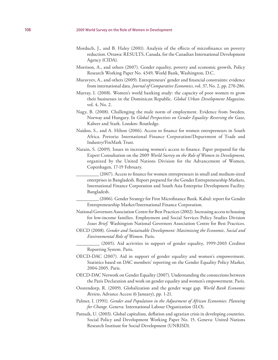- Morduch, J., and B. Haley (2001). Analysis of the effects of microfinance on poverty reduction. Ottawa: RESULTS, Canada, for the Canadian International Development Agency (CIDA).
- Morrison, A., and others (2007). Gender equality, poverty and economic growth, Policy Research Working Paper No. 4349, World Bank, Washington, D.C.
- Muravyev, A., and others (2009). Entrepreneurs' gender and financial constraints: evidence from international data. *Journal of Comparative Economics*, vol. 37, No. 2, pp. 270-286.
- Murray, I. (2008). Women's world banking study: the capacity of poor women to grow their businesses in the Dominican Republic. *Global Urban Development Magazine*, vol. 4, No. 2.
- Nagy, B. (2008). Challenging the male norm of employment. Evidence from Sweden, Norway and Hungary. In *Global Perspectives on Gender Equality: Reversing the Gaze*, Kabeer and Stark. London: Routledge.
- Naidoo, S., and A. Hilton (2006). Access to finance for women entrepreneurs in South Africa. Pretoria: International Finance Corporation/Department of Trade and Industry/FinMark Trust.
- Narain, S. (2009). Issues in increasing women's access to finance. Paper prepared for the Expert Consultation on the 2009 *World Survey on the Role of Women in Development*, organized by the United Nations Division for the Advancement of Women, Copenhagen, 17-19 February.
	- \_\_\_\_\_\_\_\_\_\_ (2007). Access to finance for women entrepreneurs in small and medium-sized enterprises in Bangladesh. Report prepared for the Gender Entrepreneurship Markets, International Finance Corporation and South Asia Enterprise Development Facility. Bangladesh.
	- \_\_\_\_\_\_\_\_\_\_ (2006). Gender Strategy for First Microfinance Bank. Kabul: report for Gender Entrepreneurship Market/International Finance Corporation.
- National Governors Association Centre for Best Practices (2002). Increasing access to housing for low-income families. Employment and Social Services Policy Studies Division *Issues Brief*. Washington National Governors Association Centre for Best Practices.
- OECD (2008). *Gender and Sustainable Development: Maximizing the Economic, Social and Environmental Role of Women*. Paris.
	- (2005). Aid activities in support of gender equality, 1999-2003 Creditor Reporting System. Paris.
- OECD-DAC (2007). Aid in support of gender equality and women's empowerment. Statistics based on DAC members' reporting on the Gender Equality Policy Marker, 2004-2005. Paris.
- OECD-DAC Network on Gender Equality (2007). Understanding the connections between the Paris Declaration and work on gender equality and women's empowerment. Paris.
- Oostendorp, R. (2009). Globalization and the gender wage gap. *World Bank Economic Review*, Advance Access (6 January), pp. 1-21.
- Palmer, I. (1991). *Gender and Population in the Adjustment of African Economies: Planning for Change*. Geneva: International Labour Organization (ILO).
- Patnaik, U. (2003). Global capitalism, deflation and agrarian crisis in developing countries. Social Policy and Development Working Paper No. 15. Geneva: United Nations Research Institute for Social Development (UNRISD).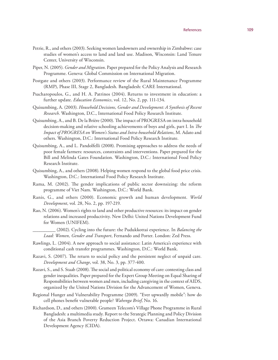- Petrie, R., and others (2003). Seeking women landowners and ownership in Zimbabwe: case studies of women's access to land and land use. Madison, Wisconsin: Land Tenure Center, University of Wisconsin.
- Piper, N. (2005). *Gender and Migration*. Paper prepared for the Policy Analysis and Research Programme. Geneva: Global Commission on International Migration.
- Postgate and others (2003). Performance review of the Rural Maintenance Programme (RMP), Phase III, Stage 2, Bangladesh. Bangladesh: CARE International.
- Psacharopoulos, G., and H. A. Patrinos (2004). Returns to investment in education: a further update. *Education Economics*, vol. 12, No. 2, pp. 111-134.
- Quisumbing, A. (2003). *Household Decisions, Gender and Development: A Synthesis of Recent Research*. Washington, D.C., International Food Policy Research Institute.
- Quisumbing, A., and B. De la Brière (2000). The impact of PROGRESA on intra-household decision-making and relative schooling achievements of boys and girls, part I. In *The Impact of PROGRESA on Women's Status and Intra-household Relations*, M. Adato and others. Washington, D.C.: International Food Policy Research Institute.
- Quisumbing, A., and L. Pandolfelli (2008). Promising approaches to address the needs of poor female farmers: resources, constraints and interventions. Paper prepared for the Bill and Melinda Gates Foundation. Washington, D.C.: International Food Policy Research Institute.
- Quisumbing, A., and others (2008). Helping women respond to the global food price crisis. Washington, D.C.: International Food Policy Research Institute.
- Rama, M. (2002). The gender implications of public sector downsizing: the reform programme of Viet Nam. Washington, D.C.: World Bank.
- Ranis, G., and others (2000). Economic growth and human development. *World Development*, vol. 28, No. 2, pp. 197-219.
- Rao, N. (2006). Women's rights to land and other productive resources: its impact on gender relations and increased productivity. New Delhi: United Nations Development Fund for Women (UNIFEM).
	- \_\_\_\_\_\_\_\_\_\_ (2002). Cycling into the future: the Pudukkottai experience. In *Balancing the Load: Women, Gender and Transport*, Fernando and Porter. London: Zed Press.
- Rawlings, L. (2004). A new approach to social assistance: Latin America's experience with conditional cash transfer programmes. Washington, D.C.: World Bank.
- Razavi, S. (2007). The return to social policy and the persistent neglect of unpaid care. *Development and Change*, vol. 38, No. 3, pp. 377-400.
- Razavi, S., and S. Staab (2008). The social and political economy of care: contesting class and gender inequalities. Paper prepared for the Expert Group Meeting on Equal Sharing of Responsibilities between women and men, including caregiving in the context of AIDS, organized by the United Nations Division for the Advancement of Women, Geneva.
- Regional Hunger and Vulnerability Programme (2009). "Ever upwardly mobile": how do cell phones benefit vulnerable people? *Wahenga Brief*, No. 16.
- Richardson, D., and others (2000). Grameen Telecom's Village Phone Programme in Rural Bangladesh: a multimedia study. Report to the Strategic Planning and Policy Division of the Asia Branch Poverty Reduction Project. Ottawa: Canadian International Development Agency (CIDA).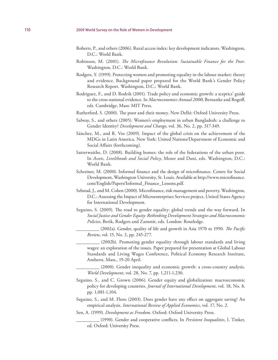- Roberts, P., and others (2006). Rural access index: key development indicators. Washington, D.C.: World Bank.
- Robinson, M. (2001). *The Microfinance Revolution: Sustainable Finance for the Poor*. Washington, D.C.: World Bank.
- Rodgers, Y. (1999). Protecting women and promoting equality in the labour market: theory and evidence. Background paper prepared for the World Bank's Gender Policy Research Report. Washington, D.C.: World Bank.
- Rodriguez, F., and D. Rodrik (2001). Trade policy and economic growth: a sceptics' guide to the cross-national evidence. In *Macroeconomics Annual 2000*, Bernanke and Rogoff, eds. Cambridge, Mass: MIT Press.
- Rutherford, S. (2000). The poor and their money. New Delhi: Oxford University Press.
- Salway, S., and others (2005). Women's employment in urban Bangladesh: a challenge to Gender Identity? *Development and Change*, vol. 36, No. 2, pp. 317-349.
- Sánchez, M., and R. Vos (2009). Impact of the global crisis on the achievement of the MDGs in Latin America. New York: United Nations/Department of Economic and Social Affairs (forthcoming).
- Satterwaithe, D. (2008). Building homes: the role of the federations of the urban poor. In *Assets, Livelihoods and Social Policy*, Moser and Dani, eds. Washington, D.C.: World Bank.
- Schreiner, M. (2000). Informal finance and the design of microfinance. Centre for Social Development, Washington University, St. Louis. Available at http://www.microfinance. com/English/Papers/Informal\_Finance\_Lessons.pdf.
- Sebstad, J., and M. Cohen (2000). Microfinance, risk management and poverty. Washington, D.C.: Assessing the Impact of Microenterprises Services project, United States Agency for International Development.
- Seguino, S. (2009). The road to gender equality: global trends and the way forward. In *Social Justice and Gender Equity: Rethinking Development Strategies and Macroeconomic Policies*, Berik, Rodgers and Zammit, eds. London: Routledge.
	- \_\_\_\_\_\_\_\_\_\_ (2002a). Gender, quality of life and growth in Asia 1970 to 1990. *The Pacific Review*, vol. 15, No. 2, pp. 245-277.
	- (2002b). Promoting gender equality through labour standards and living wages: an exploration of the issues. Paper prepared for presentation at Global Labour Standards and Living Wages Conference, Political Economy Research Institute, Amherst, Mass., 19-20 April.
	- (2000). Gender inequality and economic growth: a cross-country analysis. *World Development*, vol. 28, No. 7, pp. 1,211-1,230.
- Seguino, S., and C. Grown (2006). Gender equity and globalization: macroeconomic policy for developing countries. *Journal of International Development*, vol. 18, No. 8, pp. 1,081-1,104.
- Seguino, S., and M. Floro (2003). Does gender have any effect on aggregate saving? An empirical analysis. *International Review of Applied Economics*, vol. 17, No. 2.
- Sen, A. (1999). *Development as Freedom*. Oxford: Oxford University Press.
	- \_\_\_\_\_\_\_\_\_\_ (1990). Gender and cooperative conflicts. In *Persistent Inequalities*, I. Tinker, ed. Oxford: University Press.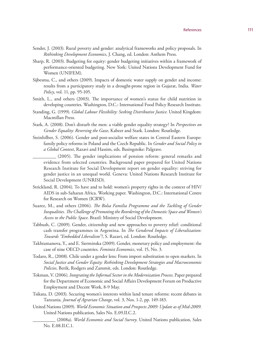- Sender, J. (2003). Rural poverty and gender: analytical frameworks and policy proposals. In *Rethinking Development Economics*, J. Chang, ed. London: Anthem Press.
- Sharp, R. (2003). Budgeting for equity: gender budgeting initiatives within a framework of performance-oriented budgeting. New York: United Nations Development Fund for Women (UNIFEM).
- Sijbesma, C., and others (2009). Impacts of domestic water supply on gender and income: results from a participatory study in a drought-prone region in Gujarat, India. *Water Policy*, vol. 11, pp. 95-105.
- Smith, L., and others (2003). The importance of women's status for child nutrition in developing countries. Washington, D.C.: International Food Policy Research Institute.
- Standing, G. (1999). *Global Labour Flexibility: Seeking Distributive Justice*. United Kingdom: Macmillan Press.
- Stark, A. (2008). Don't disturb the men: a viable gender equality strategy? In *Perspectives on Gender Equality: Reversing the Gaze*, Kabeer and Stark. London: Routledge.
- Steinhilber, S. (2006). Gender and post-socialist welfare states in Central Eastern Europe: family policy reforms in Poland and the Czech Republic. In *Gender and Social Policy in a Global Context*, Razavi and Hassim, eds. Basingstoke: Palgrave.
	- \_\_\_\_\_\_\_\_\_\_ (2005). The gender implications of pension reform: general remarks and evidence from selected countries. Background paper prepared for United Nations Research Institute for Social Development report on gender equality: striving for gender justice in an unequal world. Geneva: United Nations Research Institute for Social Development (UNRISD).
- Strickland, R. (2004). To have and to hold: women's property rights in the context of HIV/ AIDS in sub-Saharan Africa. Working paper. Washington, D.C.: International Centre for Research on Women (ICRW).
- Suarez, M., and others (2006). *The Bolsa Familia Programme and the Tackling of Gender Inequalities. The Challenge of Promoting the Reordering of the Domestic Space and Women's Access to the Public Space*. Brazil: Ministry of Social Development.
- Tabbush, C. (2009). Gender, citizenship and new approaches to poverty relief: conditional cash transfer programmes in Argentina. In *The Gendered Impacts of Liberalization: Towards "Embedded Liberalism"?*, S. Razavi, ed. London: Routledge.
- Takhtamanova, Y., and E. Sierminska (2009). Gender, monetary policy and employment: the case of nine OECD countries. *Feminist Economics*, vol. 15, No. 3.
- Todaro, R., (2008). Chile under a gender lens: From import substitution to open markets. In *Social Justice and Gender Equity: Rethinking Development Strategies and Macroeconomic Policies*, Berik, Rodgers and Zammit, eds. London: Routledge.
- Tokman, V. (2006). *Integrating the Informal Sector in the Modernization Process*. Paper prepared for the Department of Economic and Social Affairs Development Forum on Productive Employment and Decent Work, 8-9 May.
- Tsikata, D. (2003). Securing women's interests within land tenure reforms: recent debates in Tanzania. *Journal of Agrarian Change*, vol. 3, Nos. 1-2, pp. 149-183.
- United Nations (2009). *World Economic Situation and Prospects 2009: Update as of Mid-2009*. United Nations publication, Sales No. E.09.II.C.2.
	- \_\_\_\_\_\_\_\_\_\_ (2008a). *World Economic and Social Survey*. United Nations publication, Sales No. E.08.II.C.1.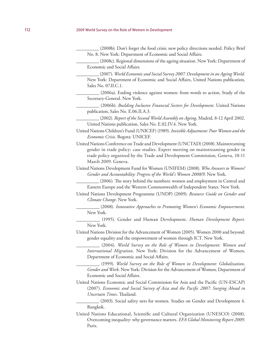(2008b). Don't forget the food crisis: new policy directions needed. Policy Brief No. 8. New York: Department of Economic and Social Affairs.

\_\_\_\_\_\_\_\_\_\_ (2008c). Regional dimensions of the ageing situation. New York: Department of Economic and Social Affairs.

\_\_\_\_\_\_\_\_\_\_ (2007). *World Economic and Social Survey 2007: Development in an Ageing World*. New York: Department of Economic and Social Affairs, United Nations publication, Sales No. 07.II.C.1.

\_\_\_\_\_\_\_\_\_\_ (2006a). Ending violence against women: from words to action, Study of the Secretary-General. New York.

\_\_\_\_\_\_\_\_\_\_ (2006b). *Building Inclusive Financial Sectors for Development*. United Nations publication, Sales No. E.06.II.A.3.

\_\_\_\_\_\_\_\_\_\_ (2002). *Report of the Second World Assembly on Ageing,* Madrid, 8-12 April 2002. United Nations publication, Sales No. E.02.IV.4. New York.

United Nations Children's Fund (UNICEF) (1989). *Invisible Adjustment: Poor Women and the Economic Crisis*. Bogota: UNICEF.

United Nations Conference on Trade and Development (UNCTAD) (2008). Mainstreaming gender in trade policy: case studies. Expert meeting on mainstreaming gender in trade policy organized by the Trade and Development Commission, Geneva, 10-11 March 2009. Geneva.

United Nations Development Fund for Women (UNIFEM) (2008). *Who Answers to Women? Gender and Accountability: Progress of the World's Women 2008/9*. New York.

\_\_\_\_\_\_\_\_\_\_ (2006). The story behind the numbers: women and employment in Central and Eastern Europe and the Western Commonwealth of Independent States. New York.

United Nations Development Programme (UNDP) (2009). *Resource Guide on Gender and Climate Change*. New York.

\_\_\_\_\_\_\_\_\_\_ (2008). *Innovative Approaches to Promoting Women's Economic Empowerment*. New York.

\_\_\_\_\_\_\_\_\_\_ (1995). Gender and Human Development. *Human Development Report*. New York.

United Nations Division for the Advancement of Women (2005). Women 2000 and beyond: gender equality and the empowerment of women through ICT. New York.

\_\_\_\_\_\_\_\_\_\_ (2004). *World Survey on the Role of Women in Development: Women and International Migration*. New York: Division for the Advancement of Women, Department of Economic and Social Affairs.

\_\_\_\_\_\_\_\_\_\_ (1999). *World Survey on the Role of Women in Development: Globalization, Gender and Work*. New York: Division for the Advancement of Women, Department of Economic and Social Affairs.

United Nations Economic and Social Commission for Asia and the Pacific (UN-ESCAP) (2007). *Economic and Social Survey of Asia and the Pacific 2007: Surging Ahead in Uncertain Times*. Thailand.

(2003). Social safety nets for women. Studies on Gender and Development 4. Bangkok.

United Nations Educational, Scientific and Cultural Organization (UNESCO) (2008). Overcoming inequality: why governance matters. *EFA Global Monitoring Report 2009*. Paris.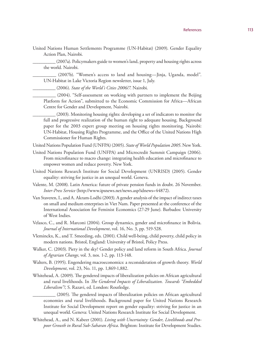United Nations Human Settlements Programme (UN-Habitat) (2009). Gender Equality Action Plan, Nairobi.

\_\_\_\_\_\_\_\_\_\_ (2007a). Policymakers guide to women's land, property and housing rights across the world. Nairobi.

\_\_\_\_\_\_\_\_\_\_ (2007b). "Women's access to land and housing—Jinja, Uganda, model". UN-Habitat in Lake Victoria Region newsletter, issue 1, July.

\_\_\_\_\_\_\_\_\_\_ (2006). *State of the World's Cities 2006/7*. Nairobi.

\_\_\_\_\_\_\_\_\_\_ (2004). "Self-assessment on working with partners to implement the Beijing Platform for Action", submitted to the Economic Commission for Africa—African Centre for Gender and Development, Nairobi.

\_\_\_\_\_\_\_\_\_\_ (2003). Monitoring housing rights: developing a set of indicators to monitor the full and progressive realization of the human right to adequate housing. Background paper for the 2003 expert group meeting on housing rights monitoring. Nairobi: UN-Habitat, Housing Rights Programme, and the Office of the United Nations High Commissioner for Human Rights.

United Nations Population Fund (UNFPA) (2005). *State of World Population 2005*. New York.

- United Nations Population Fund (UNFPA) and Microcredit Summit Campaign (2006). From microfinance to macro change: integrating health education and microfinance to empower women and reduce poverty. New York.
- United Nations Research Institute for Social Development (UNRISD) (2005). Gender equality: striving for justice in an unequal world. Geneva.
- Valente, M. (2008). Latin America: future of private pension funds in doubt. 26 November. *Inter-Press Service* (http://www.ipsnews.net/news.asp?idnews=44872).
- Van Staveren, I., and A. Akram-Lodhi (2003). A gender analysis of the impact of indirect taxes on small and medium enterprises in Viet Nam. Paper presented at the conference of the International Association for Feminist Economics (27-29 June). Barbados: University of West Indies.
- Velasco, C., and R. Marconi (2004). Group dynamics, gender and microfinance in Bolivia. *Journal of International Development*, vol. 16, No. 3, pp. 519-528.
- Vleminckx, K., and T. Smeeding, eds. (2001). Child well-being, child poverty, child policy in modern nations. Bristol, England: University of Bristol, Policy Press.
- Walker, C. (2003). Piety in the sky? Gender policy and land reform in South Africa. *Journal of Agrarian Change*, vol. 3, nos. 1-2, pp. 113-148.
- Walters, B. (1995). Engendering macroeconomics: a reconsideration of growth theory. *World Development*, vol. 23, No. 11, pp. 1,869-1,882.
- Whitehead, A. (2009). The gendered impacts of liberalization policies on African agricultural and rural livelihoods. In *The Gendered Impacts of Liberalization. Towards "Embedded Liberalism"?*, S. Razavi, ed. London: Routledge.

\_\_\_\_\_\_\_\_\_\_ (2005). The gendered impacts of liberalization policies on African agricultural economies and rural livelihoods. Background paper for United Nations Research Institute for Social Development report on gender equality: striving for justice in an unequal world. Geneva: United Nations Research Institute for Social Development.

Whitehead, A., and N. Kabeer (2001). *Living with Uncertainty: Gender, Livelihoods and Propoor Growth in Rural Sub-Saharan Africa*. Brighton: Institute for Development Studies.